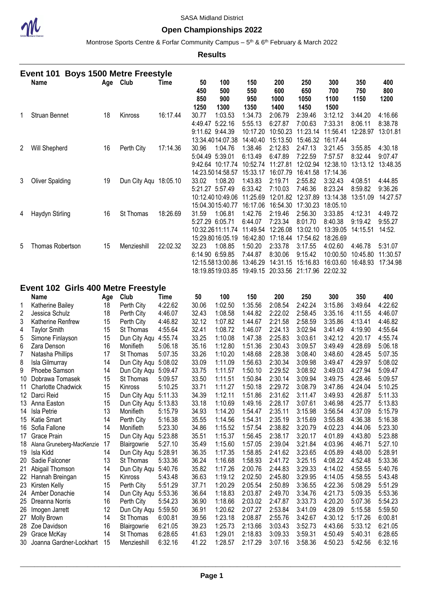

#### **Open Championships 2022**

Montrose Sports Centre & Forfar Community Campus – 5<sup>th</sup> & 6<sup>th</sup> February & March 2022

**Results**

|                | Event 101                           |     | <b>Boys 1500 Metre Freestyle</b> |          |           |                                     |                     |                            |                              |                      |            |            |
|----------------|-------------------------------------|-----|----------------------------------|----------|-----------|-------------------------------------|---------------------|----------------------------|------------------------------|----------------------|------------|------------|
|                | Name                                |     | Age Club                         | Time     | 50<br>450 | 100<br>500                          | 150<br>550          | 200<br>600                 | 250<br>650                   | 300<br>700           | 350<br>750 | 400<br>800 |
|                |                                     |     |                                  |          | 850       | 900                                 | 950                 | 1000                       | 1050                         | 1100                 | 1150       | 1200       |
|                |                                     |     |                                  |          | 1250      | 1300                                | 1350                | 1400                       | 1450                         | 1500                 |            |            |
| 1              | Struan Bennet                       | 18  | Kinross                          | 16:17.44 | 30.77     | 1:03.53                             | 1:34.73             | 2:06.79                    | 2:39.46                      | 3:12.12              | 3:44.20    | 4:16.66    |
|                |                                     |     |                                  |          |           | 4:49.47 5:22.16                     | 5:55.13             | 6:27.87                    | 7:00.63                      | 7:33.31              | 8:06.11    | 8:38.78    |
|                |                                     |     |                                  |          |           | 9:11.62 9:44.39                     | 10:17.20            | 10:50.23                   | 11:23.14                     | 11:56.41             | 12:28.97   | 13:01.81   |
|                |                                     |     |                                  |          |           | 13:34.4014:07.38                    | 14:40.40            | 15:13.50                   | 15:46.32                     | 16:17.44             |            |            |
| 2              | Will Shepherd                       | 16  | Perth City                       | 17:14.36 | 30.96     | 1:04.76                             | 1:38.46             | 2:12.83                    | 2:47.13                      | 3:21.45              | 3:55.85    | 4:30.18    |
|                |                                     |     |                                  |          |           | 5:04.49 5:39.01                     | 6:13.49             | 6:47.89                    | 7:22.59                      | 7:57.57              | 8:32.44    | 9:07.47    |
|                |                                     |     |                                  |          |           | 9:42.64 10:17.74                    | 10:52.74            | 11:27.81                   | 12:02.94                     | 12:38.10             | 13:13.12   | 13:48.35   |
|                |                                     |     |                                  |          |           | 14:23.5014:58.57                    | 15:33.17            | 16:07.79                   | 16:41.58                     | 17:14.36             |            |            |
| 3              | <b>Oliver Spalding</b>              | 19  | Dun City Aqu 18:05.10            |          | 33.02     | 1:08.20                             | 1:43.83             | 2:19.71                    | 2:55.82                      | 3:32.43              | 4:08.51    | 4:44.85    |
|                |                                     |     |                                  |          |           | 5:21.27 5:57.49                     | 6:33.42             | 7:10.03                    | 7:46.36                      | 8:23.24              | 8:59.82    | 9:36.26    |
|                |                                     |     |                                  |          |           | 10:12.4010:49.06                    | 11:25.69            |                            | 12:01.82 12:37.89            | 13:14.38             | 13:51.09   | 14:27.57   |
|                |                                     |     |                                  |          |           | 15:04.3015:40.77                    | 16:17.06            |                            | 16:54.30 17:30.23            | 18:05.10             |            |            |
| 4              | Haydyn Stirling                     | 16  | St Thomas                        | 18:26.69 | 31.59     | 1:06.81                             | 1:42.76             | 2:19.46                    | 2:56.30                      | 3:33.85              | 4:12.31    | 4:49.72    |
|                |                                     |     |                                  |          |           | 5:27.29 6:05.71                     | 6:44.07             | 7:23.34                    | 8:01.70                      | 8:40.38              | 9:19.42    | 9:55.27    |
|                |                                     |     |                                  |          |           | 10:32.2611:11.74                    | 11:49.54            | 12:26.08                   | 13:02.10                     | 13:39.05             | 14:15.51   | 14:52.     |
|                |                                     |     |                                  |          |           | 15:29.8016:05.19                    | 16:42.80            |                            | 17:18.44 17:54.62            | 18:26.69             |            |            |
| 5              | Thomas Robertson                    | 15  | Menzieshill                      | 22:02.32 | 32.23     | 1:08.85                             | 1:50.20             | 2:33.78                    | 3:17.55                      | 4:02.60              | 4:46.78    | 5:31.07    |
|                |                                     |     |                                  |          |           | 6:14.90 6:59.85<br>12:15.5813:00.86 | 7:44.87<br>13:46.29 | 8:30.06                    | 9:15.42<br>14:31.15 15:16.83 | 10:00.50<br>16:03.60 | 10:45.80   | 11:30.57   |
|                |                                     |     |                                  |          |           | 18:19.8519:03.85 19:49.15           |                     | 20:33.56 21:17.96 22:02.32 |                              |                      | 16:48.93   | 17:34.98   |
|                |                                     |     |                                  |          |           |                                     |                     |                            |                              |                      |            |            |
|                | Event 102 Girls 400 Metre Freestyle |     |                                  |          |           |                                     |                     |                            |                              |                      |            |            |
|                | Name                                | Age | Club                             | Time     | 50        | 100                                 | 150                 | 200                        | 250                          | 300                  | 350        | 400        |
| 1              | Katherine Bailey                    | 18  | Perth City                       | 4:22.62  | 30.06     | 1:02.50                             | 1:35.56             | 2:08.54                    | 2:42.24                      | 3:15.86              | 3:49.64    | 4:22.62    |
| $\overline{c}$ | Jessica Schulz                      | 18  | Perth City                       | 4:46.07  | 32.43     | 1:08.58                             | 1:44.82             | 2:22.02                    | 2:58.45                      | 3:35.16              | 4:11.55    | 4:46.07    |
| 3              | Katherine Renfrew                   | 15  | Perth City                       | 4:46.82  | 32.12     | 1:07.82                             | 1:44.67             | 2:21.58                    | 2:58.59                      | 3:35.86              | 4:13.41    | 4:46.82    |
| 4              | <b>Taylor Smith</b>                 | 15  | St Thomas                        | 4:55.64  | 32.41     | 1:08.72                             | 1:46.07             | 2:24.13                    | 3:02.94                      | 3:41.49              | 4:19.90    | 4:55.64    |
| 5              | Simone Finlayson                    | 15  | Dun City Aqu 4:55.74             |          | 33.25     | 1:10.08                             | 1:47.38             | 2:25.83                    | 3:03.61                      | 3:42.12              | 4:20.17    | 4:55.74    |
| 6              | Zara Denson                         | 16  | Monifieth                        | 5:06.18  | 35.16     | 1:12.80                             | 1:51.36             | 2:30.43                    | 3:09.57                      | 3:49.49              | 4:28.69    | 5:06.18    |
| $\overline{7}$ | Natasha Phillips                    | 17  | St Thomas                        | 5:07.35  | 33.26     | 1:10.20                             | 1:48.68             | 2:28.38                    | 3:08.40                      | 3:48.60              | 4:28.45    | 5:07.35    |
| 8              | Isla Gilmurray                      | 14  | Dun City Aqu 5:08.02             |          | 33.09     | 1:11.09                             | 1:56.63             | 2:30.34                    | 3:09.98                      | 3:49.47              | 4:29.97    | 5:08.02    |
| 9              | Phoebe Samson                       | 14  | Dun City Aqu 5:09.47             |          | 33.75     | 1:11.57                             | 1:50.10             | 2:29.52                    | 3:08.92                      | 3:49.03              | 4:27.94    | 5:09.47    |
| 10             | Dobrawa Tomasek                     | 15  | St Thomas                        | 5:09.57  | 33.50     | 1:11.51                             | 1:50.84             | 2:30.14                    | 3:09.94                      | 3:49.75              | 4:28.46    | 5:09.57    |
| 11             | <b>Charlotte Chadwick</b>           | 15  | Kinross                          | 5:10.25  | 33.71     | 1:11.27                             | 1:50.18             | 2:29.72                    | 3:08.79                      | 3:47.86              | 4:24.04    | 5:10.25    |
|                | 12 Darci Reid                       | 15  | Dun City Aqu 5:11.33             |          | 34.39     | 1:12.11                             | 1:51.86             | 2:31.62                    | 3:11.47                      | 3:49.93              | 4:26.87    | 5:11.33    |
|                | 13 Anna Easton                      | 15  | Dun City Aqu 5:13.83             |          | 33.18     | 1:10.69                             | 1:49.16             | 2:28.17                    | 3:07.61                      | 3:46.98              | 4:25.77    | 5:13.83    |
|                | 14 Isla Petrie                      | 13  | Monifieth                        | 5:15.79  | 34.93     | 1:14.20                             | 1:54.47             | 2:35.11                    | 3:15.98                      | 3:56.54              | 4:37.09    | 5:15.79    |
|                | 15 Katie Smart                      | 14  | Perth City                       | 5:16.38  | 35.55     | 1:14.56                             | 1:54.31             | 2:35.19                    | 3:15.69                      | 3:55.88              | 4:36.38    | 5:16.38    |
|                | 16 Sofia Fallone                    | 14  | Monifieth                        | 5:23.30  | 34.86     | 1:15.52                             | 1:57.54             | 2:38.82                    | 3:20.79                      | 4:02.23              | 4:44.06    | 5:23.30    |
|                | 17 Grace Prain                      | 15  | Dun City Aqu 5:23.88             |          | 35.51     | 1:15.37                             | 1:56.45             | 2:38.17                    | 3:20.17                      | 4:01.89              | 4:43.80    | 5:23.88    |
|                | 18 Alana Gruneberg-MacKenzie        | 17  | Blairgowrie                      | 5:27.10  | 35.49     | 1:15.60                             | 1:57.05             | 2:39.04                    | 3:21.84                      | 4:03.96              | 4:46.71    | 5:27.10    |
|                | 19 Isla Kidd                        | 14  | Dun City Aqu 5:28.91             |          | 36.35     | 1:17.35                             | 1:58.85             | 2:41.62                    | 3:23.65                      | 4:05.89              | 4:48.00    | 5:28.91    |
|                | 20 Sadie Falconer                   | 13  | St Thomas                        | 5:33.36  | 36.24     | 1:16.68                             | 1:58.93             | 2:41.72                    | 3:25.15                      | 4:08.22              | 4:52.48    | 5:33.36    |

 Abigail Thomson 14 Dun City Aqu 5:40.76 35.82 1:17.26 2:00.76 2:44.83 3:29.33 4:14.02 4:58.55 5:40.76 Hannah Breingan 15 Kinross 5:43.48 36.63 1:19.12 2:02.50 2:45.80 3:29.95 4:14.05 4:58.55 5:43.48 Kirsten Kelly 15 Perth City 5:51.29 37.71 1:20.29 2:05.54 2:50.89 3:36.55 4:22.36 5:08.29 5:51.29 Amber Donachie 14 Dun City Aqu 5:53.36 36.64 1:18.83 2:03.87 2:49.70 3:34.76 4:21.73 5:09.35 5:53.36 Dreanna Norris 16 Perth City 5:54.23 36.90 1:18.66 2:03.02 2:47.87 3:33.73 4:20.20 5:07.36 5:54.23 Imogen Jarrett 12 Dun City Aqu 5:59.50 36.91 1:20.62 2:07.27 2:53.84 3:41.09 4:28.09 5:15.58 5:59.50 Molly Brown 14 St Thomas 6:00.81 39.56 1:23.18 2:08.87 2:55.76 3:42.67 4:30.12 5:17.26 6:00.81 Zoe Davidson 16 Blairgowrie 6:21.05 39.23 1:25.73 2:13.66 3:03.43 3:52.73 4:43.66 5:33.12 6:21.05 Grace McKay 14 St Thomas 6:28.65 41.63 1:29.01 2:18.83 3:09.33 3:59.31 4:50.49 5:40.31 6:28.65 Joanna Gardner-Lockhart 15 Menzieshill 6:32.16 41.22 1:28.57 2:17.29 3:07.16 3:58.36 4:50.23 5:42.56 6:32.16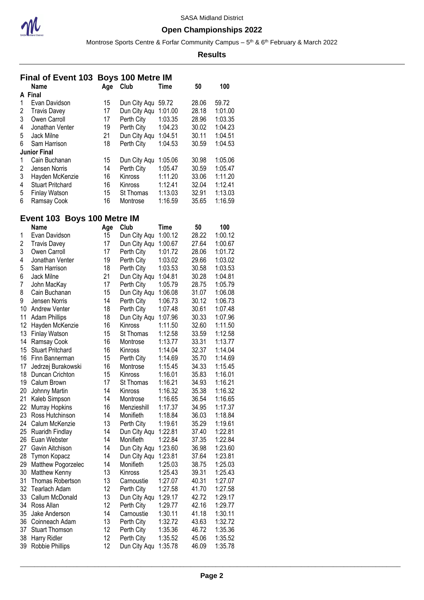

Montrose Sports Centre & Forfar Community Campus – 5<sup>th</sup> & 6<sup>th</sup> February & March 2022

#### **Results**

## **Final of Event 103 Boys 100 Metre IM**

|   | <b>Name</b>             | Age | Club             | Time    | 50    | 100     |
|---|-------------------------|-----|------------------|---------|-------|---------|
|   | A Final                 |     |                  |         |       |         |
|   | Evan Davidson           | 15  | Dun City Aqu     | 59.72   | 28.06 | 59.72   |
| 2 | <b>Travis Davey</b>     | 17  | Dun City Aqu     | 1:01.00 | 28.18 | 1:01.00 |
| 3 | Owen Carroll            | 17  | Perth City       | 1:03.35 | 28.96 | 1:03.35 |
| 4 | Jonathan Venter         | 19  | Perth City       | 1:04.23 | 30.02 | 1:04.23 |
| 5 | Jack Milne              | 21  | Dun City Aqu     | 1:04.51 | 30.11 | 1:04.51 |
| 6 | Sam Harrison            | 18  | Perth City       | 1:04.53 | 30.59 | 1:04.53 |
|   | <b>Junior Final</b>     |     |                  |         |       |         |
|   | Cain Buchanan           | 15  | Dun City Aqu     | 1:05.06 | 30.98 | 1:05.06 |
| 2 | Jensen Norris           | 14  | Perth City       | 1:05.47 | 30.59 | 1:05.47 |
| 3 | Hayden McKenzie         | 16  | <b>Kinross</b>   | 1:11.20 | 33.06 | 1:11.20 |
| 4 | <b>Stuart Pritchard</b> | 16  | Kinross          | 1:12.41 | 32.04 | 1:12.41 |
| 5 | <b>Finlay Watson</b>    | 15  | <b>St Thomas</b> | 1:13.03 | 32.91 | 1:13.03 |
| 6 | Ramsay Cook             | 16  | Montrose         | 1:16.59 | 35.65 | 1:16.59 |

## **Event 103 Boys 100 Metre IM**

|                | Name                    | Age | Club         | Time    | 50    | 100     |
|----------------|-------------------------|-----|--------------|---------|-------|---------|
| 1              | Evan Davidson           | 15  | Dun City Aqu | 1:00.12 | 28.22 | 1:00.12 |
| 2              | <b>Travis Davey</b>     | 17  | Dun City Aqu | 1:00.67 | 27.64 | 1:00.67 |
| 3              | Owen Carroll            | 17  | Perth City   | 1:01.72 | 28.06 | 1:01.72 |
| 4              | Jonathan Venter         | 19  | Perth City   | 1:03.02 | 29.66 | 1:03.02 |
| 5              | Sam Harrison            | 18  | Perth City   | 1:03.53 | 30.58 | 1:03.53 |
| 6              | Jack Milne              | 21  | Dun City Aqu | 1:04.81 | 30.28 | 1:04.81 |
| $\overline{7}$ | John MacKay             | 17  | Perth City   | 1:05.79 | 28.75 | 1:05.79 |
| 8              | Cain Buchanan           | 15  | Dun City Aqu | 1:06.08 | 31.07 | 1:06.08 |
| 9              | Jensen Norris           | 14  | Perth City   | 1:06.73 | 30.12 | 1:06.73 |
| 10             | <b>Andrew Venter</b>    | 18  | Perth City   | 1:07.48 | 30.61 | 1:07.48 |
| 11             | <b>Adam Phillips</b>    | 18  | Dun City Aqu | 1:07.96 | 30.33 | 1:07.96 |
| 12             | Hayden McKenzie         | 16  | Kinross      | 1:11.50 | 32.60 | 1:11.50 |
| 13             | <b>Finlay Watson</b>    | 15  | St Thomas    | 1:12.58 | 33.59 | 1:12.58 |
| 14             | Ramsay Cook             | 16  | Montrose     | 1:13.77 | 33.31 | 1:13.77 |
| 15             | <b>Stuart Pritchard</b> | 16  | Kinross      | 1:14.04 | 32.37 | 1:14.04 |
| 16             | Finn Bannerman          | 15  | Perth City   | 1:14.69 | 35.70 | 1:14.69 |
| 17             | Jedrzej Burakowski      | 16  | Montrose     | 1:15.45 | 34.33 | 1:15.45 |
| 18             | Duncan Crichton         | 15  | Kinross      | 1:16.01 | 35.83 | 1:16.01 |
| 19             | Calum Brown             | 17  | St Thomas    | 1:16.21 | 34.93 | 1:16.21 |
| 20             | Johnny Martin           | 14  | Kinross      | 1:16.32 | 35.38 | 1:16.32 |
| 21             | Kaleb Simpson           | 14  | Montrose     | 1:16.65 | 36.54 | 1:16.65 |
| 22             | <b>Murray Hopkins</b>   | 16  | Menzieshill  | 1:17.37 | 34.95 | 1:17.37 |
| 23             | Ross Hutchinson         | 14  | Monifieth    | 1:18.84 | 36.03 | 1:18.84 |
| 24             | Calum McKenzie          | 13  | Perth City   | 1:19.61 | 35.29 | 1:19.61 |
| 25             | Ruaridh Findlay         | 14  | Dun City Aqu | 1:22.81 | 37.40 | 1:22.81 |
| 26             | Euan Webster            | 14  | Monifieth    | 1:22.84 | 37.35 | 1:22.84 |
| 27             | Gavin Aitchison         | 14  | Dun City Aqu | 1:23.60 | 36.98 | 1:23.60 |
| 28             | Tymon Kopacz            | 14  | Dun City Aqu | 1:23.81 | 37.64 | 1:23.81 |
| 29             | Matthew Pogorzelec      | 14  | Monifieth    | 1:25.03 | 38.75 | 1:25.03 |
| 30             | Matthew Kenny           | 13  | Kinross      | 1:25.43 | 39.31 | 1:25.43 |
| 31             | Thomas Robertson        | 13  | Carnoustie   | 1:27.07 | 40.31 | 1:27.07 |
| 32             | <b>Tearlach Adam</b>    | 12  | Perth City   | 1:27.58 | 41.70 | 1:27.58 |
| 33             | Callum McDonald         | 13  | Dun City Aqu | 1:29.17 | 42.72 | 1:29.17 |
| 34             | Ross Allan              | 12  | Perth City   | 1:29.77 | 42.16 | 1:29.77 |
| 35             | Jake Anderson           | 14  | Carnoustie   | 1:30.11 | 41.18 | 1:30.11 |
| 36             | Coinneach Adam          | 13  | Perth City   | 1:32.72 | 43.63 | 1:32.72 |
| 37             | <b>Stuart Thomson</b>   | 12  | Perth City   | 1:35.36 | 46.72 | 1:35.36 |
| 38             | Harry Ridler            | 12  | Perth City   | 1:35.52 | 45.06 | 1:35.52 |
| 39             | Robbie Phillips         | 12  | Dun City Aqu | 1:35.78 | 46.09 | 1:35.78 |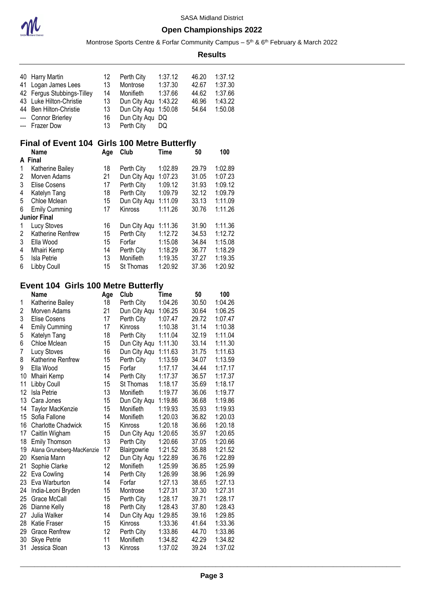

Montrose Sports Centre & Forfar Community Campus – 5<sup>th</sup> & 6<sup>th</sup> February & March 2022

| 40<br>41<br>42   | <b>Harry Martin</b><br>Logan James Lees<br>Fergus Stubbings-Tilley                            | 12<br>13<br>14<br>13 | Perth City<br>Montrose<br>Monifieth                        | 1:37.12<br>1:37.30<br>1:37.66  | 46.20<br>42.67<br>44.62 | 1:37.12<br>1:37.30<br>1:37.66 |
|------------------|-----------------------------------------------------------------------------------------------|----------------------|------------------------------------------------------------|--------------------------------|-------------------------|-------------------------------|
| 43<br>---<br>--- | Luke Hilton-Christie<br>44 Ben Hilton-Christie<br><b>Connor Brierley</b><br><b>Frazer Dow</b> | 13<br>16<br>13       | Dun City Aqu<br>Dun City Aqu<br>Dun City Aqu<br>Perth City | 1:43.22<br>1:50.08<br>DQ<br>DQ | 46.96<br>54.64          | 1:43.22<br>1:50.08            |
|                  |                                                                                               |                      |                                                            |                                |                         |                               |
|                  | Final of Event 104 Girls 100 Metre Butterfly<br><b>Name</b>                                   | Age                  | Club                                                       | <b>Time</b>                    | 50                      | 100                           |
|                  | A Final                                                                                       |                      |                                                            |                                |                         |                               |
| 1                | Katherine Bailey                                                                              | 18                   | Perth City                                                 | 1:02.89                        | 29.79                   | 1:02.89                       |
| $\overline{2}$   | Morven Adams                                                                                  | 21                   | Dun City Aqu                                               | 1:07.23                        | 31.05                   | 1:07.23                       |
| 3                | <b>Elise Cosens</b>                                                                           | 17                   | Perth City                                                 | 1:09.12                        | 31.93                   | 1:09.12                       |
| 4                | Katelyn Tang                                                                                  | 18                   | Perth City                                                 | 1:09.79                        | 32.12                   | 1:09.79                       |
| 5<br>6           | Chloe Mclean                                                                                  | 15<br>17             | Dun City Aqu                                               | 1:11.09                        | 33.13                   | 1:11.09                       |
|                  | <b>Emily Cumming</b><br><b>Junior Final</b>                                                   |                      | Kinross                                                    | 1:11.26                        | 30.76                   | 1:11.26                       |
| 1                | <b>Lucy Stoves</b>                                                                            | 16                   | Dun City Aqu                                               | 1:11.36                        | 31.90                   | 1:11.36                       |
| $\overline{2}$   | Katherine Renfrew                                                                             | 15                   | Perth City                                                 | 1:12.72                        | 34.53                   | 1:12.72                       |
| 3                | Ella Wood                                                                                     | 15                   | Forfar                                                     | 1:15.08                        | 34.84                   | 1:15.08                       |
| 4                | Mhairi Kemp                                                                                   | 14                   | Perth City                                                 | 1:18.29                        | 36.77                   | 1:18.29                       |
| 5                | Isla Petrie                                                                                   | 13                   | Monifieth                                                  | 1:19.35                        | 37.27                   | 1:19.35                       |
| 6                | Libby Coull                                                                                   | 15                   | St Thomas                                                  | 1:20.92                        | 37.36                   | 1:20.92                       |
|                  |                                                                                               |                      |                                                            |                                |                         |                               |
|                  | Event 104 Girls 100 Metre Butterfly                                                           |                      |                                                            |                                |                         |                               |
|                  | <b>Name</b>                                                                                   | Age                  | Club                                                       | <b>Time</b>                    | 50                      | 100                           |
| 1                | Katherine Bailey                                                                              | 18                   | Perth City                                                 | 1:04.26                        | 30.50                   | 1:04.26                       |
| $\overline{2}$   | Morven Adams                                                                                  | 21                   | Dun City Aqu                                               | 1:06.25                        | 30.64                   | 1:06.25                       |
| 3                | <b>Elise Cosens</b>                                                                           | 17                   | Perth City                                                 | 1:07.47                        | 29.72                   | 1:07.47                       |
| 4<br>5           | <b>Emily Cumming</b><br>Katelyn Tang                                                          | 17<br>18             | Kinross<br>Perth City                                      | 1:10.38<br>1:11.04             | 31.14<br>32.19          | 1:10.38<br>1:11.04            |
| 6                | Chloe Mclean                                                                                  | 15                   | Dun City Aqu                                               | 1:11.30                        | 33.14                   | 1:11.30                       |
| $\overline{7}$   | Lucy Stoves                                                                                   | 16                   | Dun City Aqu                                               | 1:11.63                        | 31.75                   | 1:11.63                       |
| 8                | Katherine Renfrew                                                                             | 15                   | Perth City                                                 | 1:13.59                        | 34.07                   | 1:13.59                       |
| 9                | Ella Wood                                                                                     | 15                   | Forfar                                                     | 1:17.17                        | 34.44                   | 1:17.17                       |
| 10               | Mhairi Kemp                                                                                   | 14                   | Perth City                                                 | 1:17.37                        | 36.57                   | 1:17.37                       |
| 11               | Libby Coull                                                                                   | 15                   | St Thomas                                                  | 1:18.17                        | 35.69                   | 1:18.17                       |
| 12               | Isla Petrie                                                                                   | 13                   | Monifieth                                                  | 1:19.77                        | 36.06                   | 1:19.77                       |
| 13               | Cara Jones                                                                                    | 15                   | Dun City Aqu                                               | 1:19.86                        | 36.68                   | 1:19.86                       |
| 14               | <b>Taylor MacKenzie</b>                                                                       | 15                   | Monifieth                                                  | 1:19.93                        | 35.93                   | 1:19.93                       |
| 15               | Sofia Fallone                                                                                 | 14                   | Monifieth                                                  | 1:20.03                        | 36.82                   | 1:20.03                       |
| 16               | <b>Charlotte Chadwick</b>                                                                     | 15                   | Kinross                                                    | 1:20.18                        | 36.66                   | 1:20.18                       |
| 17<br>18         | Caitlin Wigham                                                                                | 15<br>13             | Dun City Aqu                                               | 1:20.65                        | 35.97<br>37.05          | 1:20.65<br>1:20.66            |
| 19               | <b>Emily Thomson</b><br>Alana Gruneberg-MacKenzie                                             | 17                   | Perth City<br>Blairgowrie                                  | 1:20.66<br>1:21.52             | 35.88                   | 1:21.52                       |
| 20               | Ksenia Mann                                                                                   | 12                   | Dun City Aqu                                               | 1:22.89                        | 36.76                   | 1:22.89                       |
| 21               | Sophie Clarke                                                                                 | 12                   | Monifieth                                                  | 1:25.99                        | 36.85                   | 1:25.99                       |
| 22               | Eva Cowling                                                                                   | 14                   | Perth City                                                 | 1:26.99                        | 38.96                   | 1:26.99                       |
| 23               | Eva Warburton                                                                                 | 14                   | Forfar                                                     | 1:27.13                        | 38.65                   | 1:27.13                       |
| 24               | India-Leoni Bryden                                                                            | 15                   | Montrose                                                   | 1:27.31                        | 37.30                   | 1:27.31                       |
| 25               | Grace McCall                                                                                  | 15                   | Perth City                                                 | 1:28.17                        | 39.71                   | 1:28.17                       |
| 26               | Dianne Kelly                                                                                  | 18                   | Perth City                                                 | 1:28.43                        | 37.80                   | 1:28.43                       |
| 27               | Julia Walker                                                                                  | 14                   | Dun City Aqu                                               | 1:29.85                        | 39.16                   | 1:29.85                       |
| 28               | Katie Fraser                                                                                  | 15                   | Kinross                                                    | 1:33.36                        | 41.64                   | 1:33.36                       |
| 29               | <b>Grace Renfrew</b>                                                                          | 12                   | Perth City                                                 | 1:33.86                        | 44.70                   | 1:33.86                       |
| 30<br>31         | <b>Skye Petrie</b>                                                                            | 11<br>13             | Monifieth                                                  | 1:34.82                        | 42.29                   | 1:34.82                       |
|                  | Jessica Sloan                                                                                 |                      | Kinross                                                    | 1:37.02                        | 39.24                   | 1:37.02                       |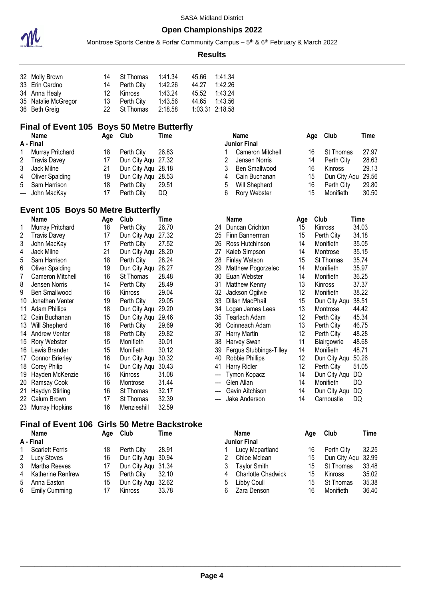

Montrose Sports Centre & Forfar Community Campus – 5<sup>th</sup> & 6<sup>th</sup> February & March 2022

#### **Results**

| 32 Molly Brown      | 14  | St Thomas     | 1:41.34 | 45.66 | 1:41.34         |
|---------------------|-----|---------------|---------|-------|-----------------|
| 33 Erin Cardno      |     | 14 Perth City | 1:42.26 | 44.27 | 1:42.26         |
| 34 Anna Healy       | 12. | Kinross       | 1:43.24 | 45.52 | 1:43.24         |
| 35 Natalie McGregor |     | 13 Perth City | 1:43.56 | 44.65 | 1:43.56         |
| 36 Beth Greig       | 22. | St Thomas     | 2:18.58 |       | 1:03.31 2:18.58 |

#### **Final of Event 105 Boys 50 Metre Butterfly**

|              | <b>Name</b>            | Aae | Club               | Time  |
|--------------|------------------------|-----|--------------------|-------|
|              | A - Final              |     |                    |       |
| $\mathbf{1}$ | Murray Pritchard       | 18  | Perth City         | 26.83 |
|              | 2 Travis Davey         | 17  | Dun City Agu 27.32 |       |
| 3            | Jack Milne             | 21  | Dun City Aqu 28.18 |       |
| 4            | <b>Oliver Spalding</b> | 19  | Dun City Aqu 28.53 |       |
|              | 5 Sam Harrison         | 18  | Perth City         | 29.51 |
|              | --- John MacKay        | 17  | Perth City         | DQ    |

#### **Event 105 Boys 50 Metre Butterfly**

|     | Name                   | Age | Club           | Time  |                        | Name                    | Age | Club         | Time |
|-----|------------------------|-----|----------------|-------|------------------------|-------------------------|-----|--------------|------|
|     | Murray Pritchard       | 18  | Perth City     | 26.70 | 24                     | Duncan Crichton         | 15  | Kinross      | 34.0 |
| 2   | <b>Travis Davey</b>    | 17  | Dun City Agu   | 27.32 | 25                     | Finn Bannerman          | 15  | Perth City   | 34.1 |
| 3   | John MacKay            | 17  | Perth City     | 27.52 | 26                     | Ross Hutchinson         | 14  | Monifieth    | 35.0 |
| 4   | Jack Milne             | 21  | Dun City Aqu   | 28.20 | 27                     | Kaleb Simpson           | 14  | Montrose     | 35.1 |
| 5   | Sam Harrison           | 18  | Perth City     | 28.24 | 28                     | <b>Finlay Watson</b>    | 15  | St Thomas    | 35.7 |
| 6   | <b>Oliver Spalding</b> | 19  | Dun City Aqu   | 28.27 | 29                     | Matthew Pogorzelec      | 14  | Monifieth    | 35.9 |
| 7   | Cameron Mitchell       | 16  | St Thomas      | 28.48 | 30                     | Euan Webster            | 14  | Monifieth    | 36.2 |
| 8   | Jensen Norris          | 14  | Perth City     | 28.49 | 31                     | Matthew Kenny           | 13  | Kinross      | 37.3 |
| 9   | Ben Smallwood          | 16  | <b>Kinross</b> | 29.04 | 32                     | Jackson Ogilvie         | 12  | Monifieth    | 38.2 |
| 10  | Jonathan Venter        | 19  | Perth City     | 29.05 | 33                     | Dillan MacPhail         | 15  | Dun City Aqu | 38.5 |
| 11  | <b>Adam Phillips</b>   | 18  | Dun City Aqu   | 29.20 | 34                     | Logan James Lees        | 13  | Montrose     | 44.4 |
| 12. | Cain Buchanan          | 15  | Dun City Aqu   | 29.46 | 35                     | <b>Tearlach Adam</b>    | 12  | Perth City   | 45.3 |
| 13  | Will Shepherd          | 16  | Perth City     | 29.69 | 36                     | Coinneach Adam          | 13  | Perth City   | 46.7 |
| 14  | <b>Andrew Venter</b>   | 18  | Perth City     | 29.82 | 37                     | Harry Martin            | 12  | Perth City   | 48.2 |
| 15  | Rory Webster           | 15  | Monifieth      | 30.01 | 38                     | Harvey Swan             | 11  | Blairgowrie  | 48.6 |
| 16  | Lewis Brander          | 15  | Monifieth      | 30.12 | 39                     | Fergus Stubbings-Tilley | 14  | Monifieth    | 48.7 |
| 17  | <b>Connor Brierley</b> | 16  | Dun City Aqu   | 30.32 | 40                     | Robbie Phillips         | 12  | Dun City Aqu | 50.2 |
| 18  | Corey Philip           | 14  | Dun City Aqu   | 30.43 | 41                     | Harry Ridler            | 12  | Perth City   | 51.0 |
| 19  | Hayden McKenzie        | 16  | <b>Kinross</b> | 31.08 | ---                    | Tymon Kopacz            | 14  | Dun City Aqu | DQ   |
| 20  | Ramsay Cook            | 16  | Montrose       | 31.44 | $\qquad \qquad \cdots$ | Glen Allan              | 14  | Monifieth    | DQ   |
| 21  | Haydyn Stirling        | 16  | St Thomas      | 32.17 |                        | Gavin Aitchison         | 14  | Dun City Aqu | DQ   |
| 22  | Calum Brown            | 17  | St Thomas      | 32.39 | $---$                  | Jake Anderson           | 14  | Carnoustie   | DQ   |
|     | 23 Murray Hopkins      | 16  | Menzieshill    | 32.59 |                        |                         |     |              |      |

# **Final of Event 106 Girls 50 Metre Backstroke**

|   | .     |
|---|-------|
| Α | Final |

| 1 Scarlett Ferris   | 18               | Perth City 28.91   |       |
|---------------------|------------------|--------------------|-------|
| 2 Lucy Stoves       | 16               | Dun City Aqu 30.94 |       |
| 3 Martha Reeves     | 17               | Dun City Aqu 31.34 |       |
| 4 Katherine Renfrew | 15               | Perth City 32.10   |       |
| 5 Anna Easton       | 15               | Dun City Aqu 32.62 |       |
| 6 Emily Cumming     | 17 <sup>17</sup> | Kinross            | 33.78 |
|                     |                  |                    |       |

| Name             | Aqe | Club               | Time  |   | Name                |    | Age Club       | Time  |
|------------------|-----|--------------------|-------|---|---------------------|----|----------------|-------|
| Final            |     |                    |       |   | <b>Junior Final</b> |    |                |       |
| Murray Pritchard | 18  | Perth City         | 26.83 |   | Cameron Mitchell    | 16 | St Thomas      | 27.97 |
| Travis Davey     | 17  | Dun City Agu 27.32 |       |   | Jensen Norris       | 14 | Perth City     | 28.63 |
| Jack Milne       | 21  | Dun City Agu 28.18 |       |   | Ben Smallwood       | 16 | <b>Kinross</b> | 29.13 |
| Oliver Spalding  | 19  | Dun City Agu 28.53 |       | 4 | Cain Buchanan       | 15 | Dun City Agu   | 29.56 |
| Sam Harrison     | 18  | Perth City         | 29.51 | 5 | Will Shepherd       | 16 | Perth City     | 29.80 |
| John MacKay      |     | Perth City         | DQ    | 6 | Rory Webster        | 15 | Monifieth      | 30.50 |

#### 24 Duncan Crichton 15 Kinross 34.03<br>25 Finn Bannerman 15 Perth City 34.18 25 Finn Bannerman 15 Perth City Ross Hutchinson 14 Monifieth 35.05 27 Kaleb Simpson 14 Montrose 35.15 28 Finlay Watson 15 St Thomas 35.74 Matthew Pogorzelec 14 Monifieth 35.97 Euan Webster 14 Monifieth 36.25 31 Matthew Kenny 13 Kinross 37.37<br>32 Jackson Ogilvie 12 Monifieth 38.22 32 Jackson Ogilvie<br>33 Dillan MacPhail 15 Dun City Aqu 38.51<br>13 Montrose 44.42 34 Logan James Lees 13 Montrose 44.42<br>35 Tearlach Adam 12 Perth City 45.34 35 Tearlach Adam Coinneach Adam 13 Perth City 46.75 37 Harry Martin 12 Perth City 48.28 38 Harvey Swan 11 Blairgowrie 48.68 Fergus Stubbings-Tilley 14 Monifieth 48.71 Robbie Phillips 12 Dun City Aqu 50.26 41 Harry Ridler 12 Perth City 51.05 --- Tymon Kopacz 14 Dun City Aqu DQ --- Glen Allan 14 Monifieth<br>--- Gavin Aitchison 14 Dun City 14 Dun City Aqu DQ<br>14 Carnoustie DQ --- Jake Anderson 14 Carnoustie DQ

| Name                   | Aae | Club               | Time  |   | Name                 | Age | Club               | Time  |
|------------------------|-----|--------------------|-------|---|----------------------|-----|--------------------|-------|
| inal                   |     |                    |       |   | <b>Junior Final</b>  |     |                    |       |
| <b>Scarlett Ferris</b> | 18  | Perth City         | 28.91 |   | Lucy Mcpartland      | 16  | Perth City         | 32.25 |
| Lucy Stoves            | 16  | Dun City Agu 30.94 |       |   | Chloe Mclean         | 15  | Dun City Agu 32.99 |       |
| Martha Reeves          | 17  | Dun City Aqu 31.34 |       | 3 | Taylor Smith         | 15  | St Thomas          | 33.48 |
| Katherine Renfrew      | 15  | Perth City         | 32.10 |   | 4 Charlotte Chadwick | 15  | Kinross            | 35.02 |
| Anna Easton            | 15  | Dun City Agu 32.62 |       |   | 5 Libby Coull        | 15  | St Thomas          | 35.38 |
| <b>Emily Cumming</b>   |     | Kinross            | 33.78 |   | Zara Denson          | 16  | Monifieth          | 36.40 |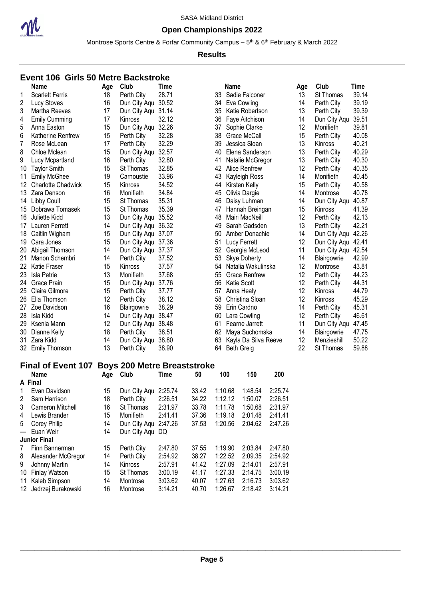

### **Open Championships 2022**

Montrose Sports Centre & Forfar Community Campus – 5<sup>th</sup> & 6<sup>th</sup> February & March 2022

#### **Results**

#### **Event 106 Girls 50 Metre Backstroke**

|                | Name                      | Age | Club                        | <b>Time</b> |    | <b>Name</b>          | Age | Club               | Time  |
|----------------|---------------------------|-----|-----------------------------|-------------|----|----------------------|-----|--------------------|-------|
| 1              | <b>Scarlett Ferris</b>    | 18  | Perth City                  | 28.71       | 33 | Sadie Falconer       | 13  | St Thomas          | 39.14 |
| $\overline{c}$ | <b>Lucy Stoves</b>        | 16  | Dun City Aqu                | 30.52       | 34 | Eva Cowling          | 14  | Perth City         | 39.19 |
| 3              | Martha Reeves             | 17  | Dun City Aqu 31.14          |             | 35 | Katie Robertson      | 13  | Perth City         | 39.39 |
| 4              | <b>Emily Cumming</b>      | 17  | <b>Kinross</b>              | 32.12       | 36 | Faye Aitchison       | 14  | Dun City Agu       | 39.51 |
| 5              | Anna Easton               | 15  | Dun City Aqu                | 32.26       | 37 | Sophie Clarke        | 12  | Monifieth          | 39.81 |
| 6              | Katherine Renfrew         | 15  | Perth City                  | 32.28       | 38 | Grace McCall         | 15  | Perth City         | 40.08 |
| 7              | Rose McLean               | 17  | Perth City                  | 32.29       | 39 | Jessica Sloan        | 13  | Kinross            | 40.21 |
| 8              | Chloe Mclean              | 15  | Dun City Aqu                | 32.57       | 40 | Elena Sanderson      | 13  | Perth City         | 40.29 |
| 9              | Lucy Mcpartland           | 16  | Perth City                  | 32.80       | 41 | Natalie McGregor     | 13  | Perth City         | 40.30 |
| 10             | <b>Taylor Smith</b>       | 15  | St Thomas                   | 32.85       | 42 | Alice Renfrew        | 12  | Perth City         | 40.35 |
| 11             | <b>Emily McGhee</b>       | 19  | Carnoustie                  | 33.96       | 43 | Kayleigh Ross        | 14  | Monifieth          | 40.45 |
| 12             | <b>Charlotte Chadwick</b> | 15  | Kinross                     | 34.52       | 44 | Kirsten Kelly        | 15  | Perth City         | 40.58 |
| 13             | Zara Denson               | 16  | Monifieth                   | 34.84       | 45 | Olivia Dargie        | 14  | Montrose           | 40.78 |
| 14             | Libby Coull               | 15  | St Thomas                   | 35.31       | 46 | Daisy Luhman         | 14  | Dun City Aqu       | 40.87 |
| 15             | Dobrawa Tomasek           | 15  | St Thomas                   | 35.39       | 47 | Hannah Breingan      | 15  | <b>Kinross</b>     | 41.39 |
| 16             | Juliette Kidd             | 13  | Dun City Aqu 35.52          |             | 48 | Mairi MacNeill       | 12  | Perth City         | 42.13 |
| 17             | Lauren Ferrett            | 14  | Dun City Aqu 36.32          |             | 49 | Sarah Gadsden        | 13  | Perth City         | 42.21 |
| 18             | Caitlin Wigham            | 15  | Dun City Aqu 37.07          |             | 50 | Amber Donachie       | 14  | Dun City Aqu 42.26 |       |
| 19             | Cara Jones                | 15  | Dun City Aqu 37.36          |             | 51 | Lucy Ferrett         | 12  | Dun City Agu       | 42.41 |
| 20             | Abigail Thomson           | 14  | Dun City Aqu 37.37          |             | 52 | Georgia McLeod       | 11  | Dun City Aqu 42.54 |       |
| 21             | Manon Schembri            | 14  | Perth City                  | 37.52       | 53 | <b>Skye Doherty</b>  | 14  | Blairgowrie        | 42.99 |
| 22             | <b>Katie Fraser</b>       | 15  | Kinross                     | 37.57       | 54 | Natalia Wakulinska   | 12  | Montrose           | 43.81 |
| 23             | <b>Isla Petrie</b>        | 13  | Monifieth                   | 37.68       | 55 | <b>Grace Renfrew</b> | 12  | Perth City         | 44.23 |
| 24             | <b>Grace Prain</b>        | 15  | Dun City Aqu                | 37.76       | 56 | Katie Scott          | 12  | Perth City         | 44.31 |
| 25             | <b>Claire Gilmore</b>     | 15  | Perth City                  | 37.77       | 57 | Anna Healy           | 12  | Kinross            | 44.79 |
| 26             | Ella Thomson              | 12  | Perth City                  | 38.12       | 58 | Christina Sloan      | 12  | Kinross            | 45.29 |
| 27             | Zoe Davidson              | 16  | Blairgowrie                 | 38.29       | 59 | Erin Cardno          | 14  | Perth City         | 45.31 |
| 28             | Isla Kidd                 | 14  | Dun City Aqu                | 38.47       | 60 | Lara Cowling         | 12  | Perth City         | 46.61 |
| 29             | Ksenia Mann               | 12  | Dun City Aqu                | 38.48       | 61 | Fearne Jarrett       | 11  | Dun City Aqu       | 47.45 |
| 30             | Dianne Kelly              | 18  | Perth City                  | 38.51       | 62 | Maya Suchomska       | 14  | Blairgowrie        | 47.75 |
| 31             | Zara Kidd                 | 14  | Dun City Aqu                | 38.80       | 63 | Kayla Da Silva Reeve | 12  | Menzieshill        | 50.22 |
| 32             | <b>Emily Thomson</b>      | 13  | Perth City                  | 38.90       | 64 | <b>Beth Greig</b>    | 22  | St Thomas          | 59.88 |
|                | Einal of Evont 107        |     | Rove 200 Motro Rrogetetroko |             |    |                      |     |                    |       |

#### **Final of Event 107 Boys 200 Metre Breaststroke**

|       | <b>Name</b>          | Age | Club             | Time    | 50    | 100     | 150     | 200     |
|-------|----------------------|-----|------------------|---------|-------|---------|---------|---------|
|       | A Final              |     |                  |         |       |         |         |         |
|       | Evan Davidson        | 15  | Dun City Aqu     | 2:25.74 | 33.42 | 1:10.68 | 1:48.54 | 2:25.74 |
| 2     | Sam Harrison         | 18  | Perth City       | 2:26.51 | 34.22 | 1:12.12 | 1:50.07 | 2:26.51 |
| 3     | Cameron Mitchell     | 16  | St Thomas        | 2:31.97 | 33.78 | 1:11.78 | 1:50.68 | 2:31.97 |
| 4     | Lewis Brander        | 15  | Monifieth        | 2:41.41 | 37.36 | 1:19.18 | 2:01.48 | 2:41.41 |
| 5     | Corey Philip         | 14  | Dun City Agu     | 2:47.26 | 37.53 | 1:20.56 | 2:04.62 | 2:47.26 |
| $---$ | Euan Weir            | 14  | Dun City Agu DQ  |         |       |         |         |         |
|       | <b>Junior Final</b>  |     |                  |         |       |         |         |         |
| 7     | Finn Bannerman       | 15  | Perth City       | 2:47.80 | 37.55 | 1:19.90 | 2:03.84 | 2:47.80 |
| 8     | Alexander McGregor   | 14  | Perth City       | 2:54.92 | 38.27 | 1:22.52 | 2:09.35 | 2:54.92 |
| 9     | Johnny Martin        | 14  | Kinross          | 2:57.91 | 41.42 | 1:27.09 | 2:14.01 | 2:57.91 |
| 10    | <b>Finlay Watson</b> | 15  | <b>St Thomas</b> | 3:00.19 | 41.17 | 1:27.33 | 2:14.75 | 3:00.19 |
| 11    | Kaleb Simpson        | 14  | Montrose         | 3:03.62 | 40.07 | 1:27.63 | 2:16.73 | 3:03.62 |
| 12    | Jedrzej Burakowski   | 16  | Montrose         | 3:14.21 | 40.70 | 1:26.67 | 2:18.42 | 3:14.21 |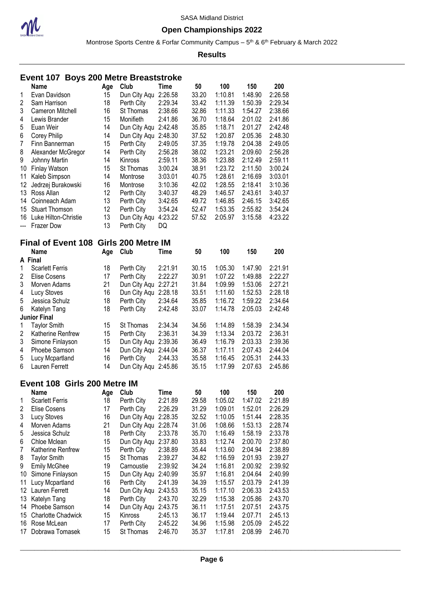

### **Open Championships 2022**

Montrose Sports Centre & Forfar Community Campus – 5<sup>th</sup> & 6<sup>th</sup> February & March 2022

|                         | Event 107 Boys 200 Metre Breaststroke |          |                      |                    |       |                    |                    |                    |
|-------------------------|---------------------------------------|----------|----------------------|--------------------|-------|--------------------|--------------------|--------------------|
|                         | <b>Name</b>                           | Age      | Club                 | Time               | 50    | 100                | 150                | 200                |
| 1                       | Evan Davidson                         | 15       | Dun City Aqu         | 2:26.58            | 33.20 | 1:10.81            | 1:48.90            | 2:26.58            |
| $\overline{2}$          | Sam Harrison                          | 18       | Perth City           | 2:29.34            | 33.42 | 1:11.39            | 1:50.39            | 2:29.34            |
| 3                       | Cameron Mitchell                      | 16       | St Thomas            | 2:38.66            | 32.86 | 1:11.33            | 1:54.27            | 2:38.66            |
| 4                       | Lewis Brander                         | 15       | Monifieth            | 2:41.86            | 36.70 | 1:18.64            | 2:01.02            | 2:41.86            |
| 5                       | Euan Weir                             | 14       | Dun City Aqu 2:42.48 |                    | 35.85 | 1:18.71            | 2:01.27            | 2:42.48            |
| 6                       | Corey Philip                          | 14       | Dun City Aqu 2:48.30 |                    | 37.52 | 1:20.87            | 2:05.36            | 2:48.30            |
| $\overline{7}$          | Finn Bannerman                        | 15       | Perth City           | 2:49.05            | 37.35 | 1:19.78            | 2:04.38            | 2:49.05            |
| 8                       | Alexander McGregor                    | 14       | Perth City           | 2:56.28            | 38.02 | 1:23.21            | 2:09.60            | 2:56.28            |
| 9                       | Johnny Martin                         | 14       | Kinross              | 2:59.11            | 38.36 | 1:23.88            | 2:12.49            | 2:59.11            |
| 10                      | <b>Finlay Watson</b>                  | 15       | St Thomas            | 3:00.24            | 38.91 | 1:23.72            | 2:11.50            | 3:00.24            |
| 11                      | Kaleb Simpson                         | 14       | Montrose             | 3:03.01            | 40.75 | 1:28.61            | 2:16.69            | 3:03.01            |
| 12                      | Jedrzej Burakowski                    | 16       | Montrose             | 3:10.36            | 42.02 | 1:28.55            | 2:18.41            | 3:10.36            |
| 13                      | Ross Allan                            | 12       | Perth City           | 3:40.37            | 48.29 | 1:46.57            | 2:43.61            | 3:40.37            |
| 14                      | Coinneach Adam                        | 13       | Perth City           | 3:42.65            | 49.72 | 1:46.85            | 2:46.15            | 3:42.65            |
| 15                      | <b>Stuart Thomson</b>                 | 12       | Perth City           | 3:54.24            | 52.47 | 1:53.35            | 2:55.82            | 3:54.24            |
| 16                      | Luke Hilton-Christie                  | 13       | Dun City Aqu         | 4:23.22            | 57.52 | 2:05.97            | 3:15.58            | 4:23.22            |
| ---                     | <b>Frazer Dow</b>                     | 13       | Perth City           | DQ                 |       |                    |                    |                    |
|                         | Final of Event 108 Girls 200 Metre IM |          |                      |                    |       |                    |                    |                    |
|                         | <b>Name</b>                           | Age      | Club                 | <b>Time</b>        | 50    | 100                | 150                | 200                |
|                         | A Final                               |          |                      |                    |       |                    |                    |                    |
| 1                       | <b>Scarlett Ferris</b>                | 18       | Perth City           | 2:21.91            | 30.15 | 1:05.30            | 1:47.90            | 2:21.91            |
| $\overline{c}$          | <b>Elise Cosens</b>                   | 17       | Perth City           | 2:22.27            | 30.91 | 1:07.22            | 1:49.88            | 2:22.27            |
| 3                       | Morven Adams                          | 21       | Dun City Aqu 2:27.21 |                    | 31.84 | 1:09.99            | 1:53.06            | 2:27.21            |
| 4                       | <b>Lucy Stoves</b>                    | 16       | Dun City Aqu 2:28.18 |                    | 33.51 | 1:11.60            | 1:52.53            | 2:28.18            |
| 5                       | Jessica Schulz                        | 18       | Perth City           | 2:34.64            | 35.85 | 1:16.72            | 1:59.22            | 2:34.64            |
| $6\phantom{1}6$         | Katelyn Tang                          | 18       | Perth City           | 2:42.48            | 33.07 | 1:14.78            | 2:05.03            | 2:42.48            |
|                         | <b>Junior Final</b>                   |          |                      |                    |       |                    |                    |                    |
| 1                       | <b>Taylor Smith</b>                   | 15       | St Thomas            | 2:34.34            | 34.56 | 1:14.89            | 1:58.39            | 2:34.34            |
| $\overline{\mathbf{c}}$ | Katherine Renfrew                     | 15       | Perth City           | 2:36.31            | 34.39 | 1:13.34            | 2:03.72            | 2:36.31            |
| 3<br>4                  | Simone Finlayson                      | 15       | Dun City Aqu         | 2:39.36            | 36.49 | 1:16.79            | 2:03.33            | 2:39.36            |
| 5                       | Phoebe Samson                         | 14<br>16 | Dun City Aqu         | 2:44.04<br>2:44.33 | 36.37 | 1:17.11<br>1:16.45 | 2:07.43            | 2:44.04<br>2:44.33 |
| 6                       | Lucy Mcpartland<br>Lauren Ferrett     | 14       | Perth City           |                    | 35.58 | 1:17.99            | 2:05.31<br>2:07.63 |                    |
|                         |                                       |          | Dun City Aqu 2:45.86 |                    | 35.15 |                    |                    | 2:45.86            |
|                         | Event 108 Girls 200 Metre IM          |          |                      |                    |       |                    |                    |                    |
|                         | Name                                  | Age      | Club                 | <b>Time</b>        | 50    | 100                | 150                | 200                |
| 1                       | <b>Scarlett Ferris</b>                | 18       | Perth City           | 2:21.89            | 29.58 | 1:05.02            | 1:47.02            | 2:21.89            |
| 2                       | Elise Cosens                          | 17       | Perth City           | 2:26.29            | 31.29 | 1:09.01            | 1:52.01            | 2:26.29            |
| 3                       | Lucy Stoves                           | 16       | Dun City Aqu 2:28.35 |                    | 32.52 | 1:10.05            | 1:51.44            | 2:28.35            |
| 4                       | Morven Adams                          | 21       | Dun City Aqu 2:28.74 |                    | 31.06 | 1:08.66            | 1:53.13            | 2:28.74            |
| 5                       | Jessica Schulz                        | 18       | Perth City           | 2:33.78            | 35.70 | 1:16.49            | 1:58.19            | 2:33.78            |
| 6                       | Chloe Mclean                          | 15       | Dun City Aqu 2:37.80 |                    | 33.83 | 1:12.74            | 2:00.70            | 2:37.80            |
| 7                       | Katherine Renfrew                     | 15       | Perth City           | 2:38.89            | 35.44 | 1:13.60            | 2:04.94            | 2:38.89            |
| 8                       | <b>Taylor Smith</b>                   | 15       | St Thomas            | 2:39.27            | 34.82 | 1:16.59            | 2:01.93            | 2:39.27            |
| 9                       | <b>Emily McGhee</b>                   | 19       | Carnoustie           | 2:39.92            | 34.24 | 1:16.81            | 2:00.92            | 2:39.92            |
| 10                      | Simone Finlayson                      | 15       | Dun City Aqu         | 2:40.99            | 35.97 | 1:16.81            | 2:04.64            | 2:40.99            |
| 11                      | Lucy Mcpartland                       | 16       | Perth City           | 2:41.39            | 34.39 | 1:15.57            | 2:03.79            | 2:41.39            |
| 12                      | Lauren Ferrett                        | 14       | Dun City Aqu 2:43.53 |                    | 35.15 | 1:17.10            | 2:06.33            | 2:43.53            |
| 13                      | Katelyn Tang                          | 18       | Perth City           | 2:43.70            | 32.29 | 1:15.38            | 2:05.86            | 2:43.70            |
| 14                      | Phoebe Samson                         | 14       | Dun City Aqu 2:43.75 |                    | 36.11 | 1:17.51            | 2:07.51            | 2:43.75            |
| 15                      | <b>Charlotte Chadwick</b>             | 15       | Kinross              | 2:45.13            | 36.17 | 1:19.44            | 2:07.71            | 2:45.13            |
| 16                      | Rose McLean                           | 17       | Perth City           | 2:45.22            | 34.96 | 1:15.98            | 2:05.09            | 2:45.22            |
| 17                      | Dobrawa Tomasek                       | 15       | St Thomas            | 2:46.70            | 35.37 | 1:17.81            | 2:08.99            | 2:46.70            |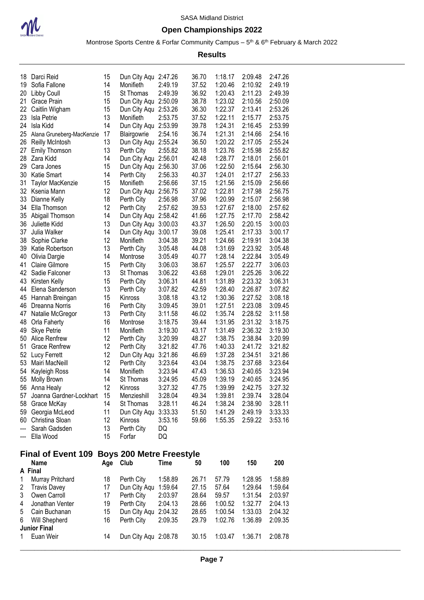

### **Open Championships 2022**

Montrose Sports Centre & Forfar Community Campus – 5<sup>th</sup> & 6<sup>th</sup> February & March 2022

| 1:18.17<br>36.70<br>2:09.48<br>2:47.26<br>18 Darci Reid<br>15<br>Dun City Aqu 2:47.26<br>37.52<br>14<br>Monifieth<br>2:49.19<br>1:20.46<br>2:10.92<br>2:49.19<br>Sofia Fallone<br>2:49.39<br>1:20.43<br>15<br>St Thomas<br>36.92<br>2:11.23<br>2:49.39<br>20 Libby Coull<br>1:23.02<br>Dun City Aqu 2:50.09<br>38.78<br>2:10.56<br>2:50.09<br>Grace Prain<br>15<br>1:22.37<br>2:53.26<br>Dun City Aqu 2:53.26<br>36.30<br>2:13.41<br>Caitlin Wigham<br>15<br>13<br>2:53.75<br>37.52<br>1:22.11<br>2:15.77<br>2:53.75<br>Isla Petrie<br>Monifieth<br>14<br>Dun City Aqu 2:53.99<br>39.78<br>1:24.31<br>2:16.45<br>2:53.99<br>Isla Kidd<br>17<br>2:54.16<br>36.74<br>1:21.31<br>2:14.66<br>2:54.16<br>Blairgowrie<br>Alana Gruneberg-MacKenzie<br>13<br>Dun City Aqu 2:55.24<br>36.50<br>1:20.22<br>2:17.05<br>2:55.24<br>26 Reilly McIntosh<br>38.18<br>1:23.76<br><b>Emily Thomson</b><br>13<br>2:55.82<br>2:15.98<br>2:55.82<br>Perth City<br>42.48<br>1:28.77<br>2:56.01<br>28 Zara Kidd<br>14<br>Dun City Aqu 2:56.01<br>2:18.01<br>1:22.50<br>15<br>Dun City Aqu 2:56.30<br>37.06<br>2:15.64<br>2:56.30<br>Cara Jones<br>14<br>2:56.33<br>2:56.33<br>Katie Smart<br>Perth City<br>40.37<br>1:24.01<br>2:17.27<br>15<br>Monifieth<br>2:56.66<br>37.15<br>1:21.56<br>2:15.09<br>2:56.66<br><b>Taylor MacKenzie</b><br>12<br>Dun City Aqu 2:56.75<br>37.02<br>1:22.81<br>2:17.98<br>2:56.75<br>32 Ksenia Mann<br>18<br>2:56.98<br>37.96<br>1:20.99<br>2:15.07<br>2:56.98<br>33 Dianne Kelly<br>Perth City<br>12<br>2:57.62<br>39.53<br>1:27.67<br>2:18.00<br>2:57.62<br>34 Ella Thomson<br>Perth City<br>Abigail Thomson<br>Dun City Aqu 2:58.42<br>1:27.75<br>2:17.70<br>2:58.42<br>14<br>41.66<br>13<br>43.37<br>1:26.50<br>3:00.03<br>Juliette Kidd<br>Dun City Aqu 3:00.03<br>2:20.15<br>14<br>39.08<br>1:25.41<br>2:17.33<br>3:00.17<br>Julia Walker<br>Dun City Aqu 3:00.17<br>39.21<br>12<br>Monifieth<br>1:24.66<br>2:19.91<br>3:04.38<br>Sophie Clarke<br>3:04.38<br>13<br>Perth City<br>3:05.48<br>44.08<br>1:31.69<br>2:23.92<br>3:05.48<br>Katie Robertson<br>1:28.14<br>2:22.84<br>3:05.49<br>40.77<br>3:05.49<br>Olivia Dargie<br>14<br>Montrose<br>3:06.03<br>38.67<br>2:22.77<br><b>Claire Gilmore</b><br>15<br>Perth City<br>1:25.57<br>3:06.03<br>1:29.01<br>2:25.26<br>13<br>3:06.22<br>43.68<br>3:06.22<br>Sadie Falconer<br>St Thomas<br>2:23.32<br>15<br>3:06.31<br>44.81<br>1:31.89<br>3:06.31<br>Kirsten Kelly<br>Perth City<br>2:26.87<br>3:07.82<br>42.59<br>1:28.40<br>3:07.82<br>Elena Sanderson<br>13<br>Perth City<br>3:08.18<br>43.12<br>1:30.36<br>2:27.52<br>3:08.18<br>45 Hannah Breingan<br>15<br>Kinross<br>3:09.45<br>39.01<br>1:27.51<br>2:23.08<br>3:09.45<br>46 Dreanna Norris<br>16<br>Perth City<br>3:11.58<br>46.02<br>1:35.74<br>2:28.52<br>3:11.58<br>13<br>Perth City<br>Natalie McGregor<br>16<br>3:18.75<br>39.44<br>1:31.95<br>2:31.32<br>3:18.75<br>Orla Faherty<br>Montrose<br>1:31.49<br>11<br>Monifieth<br>3:19.30<br>43.17<br>2:36.32<br>3:19.30<br><b>Skye Petrie</b><br>3:20.99<br>48.27<br>1:38.75<br>12<br>2:38.84<br>3:20.99<br>50 Alice Renfrew<br>Perth City<br>3:21.82<br>1:40.33<br><b>Grace Renfrew</b><br>12<br>Perth City<br>47.76<br>2:41.72<br>3:21.82<br>12<br>Dun City Aqu 3:21.86<br>46.69<br>1:37.28<br>2:34.51<br>3:21.86<br>52 Lucy Ferrett<br>12<br>Perth City<br>3:23.64<br>43.04<br>1:38.75<br>2:37.68<br>3:23.64<br>53 Mairi MacNeill<br>14<br>Monifieth<br>3:23.94<br>47.43<br>1:36.53<br>3:23.94<br>Kayleigh Ross<br>2:40.65<br>45.09<br>1:39.19<br>3:24.95<br>55 Molly Brown<br>14<br>St Thomas<br>3:24.95<br>2:40.65<br>3:27.32<br>47.75<br>1:39.99<br>2:42.75<br>3:27.32<br>56 Anna Healy<br>Kinross<br>12<br>3:28.04<br>1:39.81<br>3:28.04<br>49.34<br>2:39.74<br>57 Joanna Gardner-Lockhart<br>15<br>Menzieshill<br>58 Grace McKay<br>3:28.11<br>46.24<br>1:38.24<br>2:38.90<br>3:28.11<br>St Thomas<br>14<br>59 Georgia McLeod<br>Dun City Aqu 3:33.33<br>51.50<br>1:41.29<br>2:49.19<br>3:33.33<br>11<br>60 Christina Sloan<br>12<br>3:53.16<br>59.66<br>1:55.35<br>2:59.22<br>Kinross<br>3:53.16<br>Perth City<br>Sarah Gadsden<br>13<br>DQ<br>Ella Wood<br>15<br>Forfar<br>DQ<br>Final of Event 109 Boys 200 Metre Freestyle<br>Age Club<br>100<br>150<br>200<br><b>Name</b><br>50<br>Time<br>A Final<br>Murray Pritchard<br>1:58.89<br>26.71<br>1:28.95<br>1:58.89<br>18<br>Perth City<br>57.79<br><b>Travis Davey</b><br>Dun City Aqu 1:59.64<br>27.15<br>57.64<br>1:29.64<br>1:59.64<br>17<br>Owen Carroll<br>17<br>Perth City<br>2:03.97<br>28.64<br>59.57<br>1:31.54<br>2:03.97<br>Jonathan Venter<br>19<br>Perth City<br>2:04.13<br>28.66<br>1:00.52<br>1:32.77<br>2:04.13<br>Dun City Aqu 2:04.32<br>15<br>28.65<br>1:00.54<br>1:33.03<br>2:04.32<br>Cain Buchanan<br>1:02.76<br>Will Shepherd<br>Perth City<br>2:09.35<br>29.79<br>1:36.89<br>16<br>2:09.35<br><b>Junior Final</b><br>Dun City Aqu 2:08.78<br>1:03.47<br>1:36.71<br>Euan Weir<br>14<br>30.15<br>2:08.78 |     |  |  |  |  |  |
|---------------------------------------------------------------------------------------------------------------------------------------------------------------------------------------------------------------------------------------------------------------------------------------------------------------------------------------------------------------------------------------------------------------------------------------------------------------------------------------------------------------------------------------------------------------------------------------------------------------------------------------------------------------------------------------------------------------------------------------------------------------------------------------------------------------------------------------------------------------------------------------------------------------------------------------------------------------------------------------------------------------------------------------------------------------------------------------------------------------------------------------------------------------------------------------------------------------------------------------------------------------------------------------------------------------------------------------------------------------------------------------------------------------------------------------------------------------------------------------------------------------------------------------------------------------------------------------------------------------------------------------------------------------------------------------------------------------------------------------------------------------------------------------------------------------------------------------------------------------------------------------------------------------------------------------------------------------------------------------------------------------------------------------------------------------------------------------------------------------------------------------------------------------------------------------------------------------------------------------------------------------------------------------------------------------------------------------------------------------------------------------------------------------------------------------------------------------------------------------------------------------------------------------------------------------------------------------------------------------------------------------------------------------------------------------------------------------------------------------------------------------------------------------------------------------------------------------------------------------------------------------------------------------------------------------------------------------------------------------------------------------------------------------------------------------------------------------------------------------------------------------------------------------------------------------------------------------------------------------------------------------------------------------------------------------------------------------------------------------------------------------------------------------------------------------------------------------------------------------------------------------------------------------------------------------------------------------------------------------------------------------------------------------------------------------------------------------------------------------------------------------------------------------------------------------------------------------------------------------------------------------------------------------------------------------------------------------------------------------------------------------------------------------------------------------------------------------------------------------------------------------------------------------------------------------------------------------------------------------------------------------------------------------------------------------------------------------------------------------------------------------------------------------------------------------------------------------------------------------------------------------------------------------------------------------------------------------------------------------------------------------------------------------------------------------------------------------------------------------------------------------------------------------------------------------------------------------------------------------------------------------------------------------------------------------------------------------------------|-----|--|--|--|--|--|
|                                                                                                                                                                                                                                                                                                                                                                                                                                                                                                                                                                                                                                                                                                                                                                                                                                                                                                                                                                                                                                                                                                                                                                                                                                                                                                                                                                                                                                                                                                                                                                                                                                                                                                                                                                                                                                                                                                                                                                                                                                                                                                                                                                                                                                                                                                                                                                                                                                                                                                                                                                                                                                                                                                                                                                                                                                                                                                                                                                                                                                                                                                                                                                                                                                                                                                                                                                                                                                                                                                                                                                                                                                                                                                                                                                                                                                                                                                                                                                                                                                                                                                                                                                                                                                                                                                                                                                                                                                                                                                                                                                                                                                                                                                                                                                                                                                                                                                                                                                           |     |  |  |  |  |  |
|                                                                                                                                                                                                                                                                                                                                                                                                                                                                                                                                                                                                                                                                                                                                                                                                                                                                                                                                                                                                                                                                                                                                                                                                                                                                                                                                                                                                                                                                                                                                                                                                                                                                                                                                                                                                                                                                                                                                                                                                                                                                                                                                                                                                                                                                                                                                                                                                                                                                                                                                                                                                                                                                                                                                                                                                                                                                                                                                                                                                                                                                                                                                                                                                                                                                                                                                                                                                                                                                                                                                                                                                                                                                                                                                                                                                                                                                                                                                                                                                                                                                                                                                                                                                                                                                                                                                                                                                                                                                                                                                                                                                                                                                                                                                                                                                                                                                                                                                                                           | 19  |  |  |  |  |  |
|                                                                                                                                                                                                                                                                                                                                                                                                                                                                                                                                                                                                                                                                                                                                                                                                                                                                                                                                                                                                                                                                                                                                                                                                                                                                                                                                                                                                                                                                                                                                                                                                                                                                                                                                                                                                                                                                                                                                                                                                                                                                                                                                                                                                                                                                                                                                                                                                                                                                                                                                                                                                                                                                                                                                                                                                                                                                                                                                                                                                                                                                                                                                                                                                                                                                                                                                                                                                                                                                                                                                                                                                                                                                                                                                                                                                                                                                                                                                                                                                                                                                                                                                                                                                                                                                                                                                                                                                                                                                                                                                                                                                                                                                                                                                                                                                                                                                                                                                                                           |     |  |  |  |  |  |
|                                                                                                                                                                                                                                                                                                                                                                                                                                                                                                                                                                                                                                                                                                                                                                                                                                                                                                                                                                                                                                                                                                                                                                                                                                                                                                                                                                                                                                                                                                                                                                                                                                                                                                                                                                                                                                                                                                                                                                                                                                                                                                                                                                                                                                                                                                                                                                                                                                                                                                                                                                                                                                                                                                                                                                                                                                                                                                                                                                                                                                                                                                                                                                                                                                                                                                                                                                                                                                                                                                                                                                                                                                                                                                                                                                                                                                                                                                                                                                                                                                                                                                                                                                                                                                                                                                                                                                                                                                                                                                                                                                                                                                                                                                                                                                                                                                                                                                                                                                           | 21  |  |  |  |  |  |
|                                                                                                                                                                                                                                                                                                                                                                                                                                                                                                                                                                                                                                                                                                                                                                                                                                                                                                                                                                                                                                                                                                                                                                                                                                                                                                                                                                                                                                                                                                                                                                                                                                                                                                                                                                                                                                                                                                                                                                                                                                                                                                                                                                                                                                                                                                                                                                                                                                                                                                                                                                                                                                                                                                                                                                                                                                                                                                                                                                                                                                                                                                                                                                                                                                                                                                                                                                                                                                                                                                                                                                                                                                                                                                                                                                                                                                                                                                                                                                                                                                                                                                                                                                                                                                                                                                                                                                                                                                                                                                                                                                                                                                                                                                                                                                                                                                                                                                                                                                           | 22  |  |  |  |  |  |
|                                                                                                                                                                                                                                                                                                                                                                                                                                                                                                                                                                                                                                                                                                                                                                                                                                                                                                                                                                                                                                                                                                                                                                                                                                                                                                                                                                                                                                                                                                                                                                                                                                                                                                                                                                                                                                                                                                                                                                                                                                                                                                                                                                                                                                                                                                                                                                                                                                                                                                                                                                                                                                                                                                                                                                                                                                                                                                                                                                                                                                                                                                                                                                                                                                                                                                                                                                                                                                                                                                                                                                                                                                                                                                                                                                                                                                                                                                                                                                                                                                                                                                                                                                                                                                                                                                                                                                                                                                                                                                                                                                                                                                                                                                                                                                                                                                                                                                                                                                           | 23  |  |  |  |  |  |
|                                                                                                                                                                                                                                                                                                                                                                                                                                                                                                                                                                                                                                                                                                                                                                                                                                                                                                                                                                                                                                                                                                                                                                                                                                                                                                                                                                                                                                                                                                                                                                                                                                                                                                                                                                                                                                                                                                                                                                                                                                                                                                                                                                                                                                                                                                                                                                                                                                                                                                                                                                                                                                                                                                                                                                                                                                                                                                                                                                                                                                                                                                                                                                                                                                                                                                                                                                                                                                                                                                                                                                                                                                                                                                                                                                                                                                                                                                                                                                                                                                                                                                                                                                                                                                                                                                                                                                                                                                                                                                                                                                                                                                                                                                                                                                                                                                                                                                                                                                           | 24  |  |  |  |  |  |
|                                                                                                                                                                                                                                                                                                                                                                                                                                                                                                                                                                                                                                                                                                                                                                                                                                                                                                                                                                                                                                                                                                                                                                                                                                                                                                                                                                                                                                                                                                                                                                                                                                                                                                                                                                                                                                                                                                                                                                                                                                                                                                                                                                                                                                                                                                                                                                                                                                                                                                                                                                                                                                                                                                                                                                                                                                                                                                                                                                                                                                                                                                                                                                                                                                                                                                                                                                                                                                                                                                                                                                                                                                                                                                                                                                                                                                                                                                                                                                                                                                                                                                                                                                                                                                                                                                                                                                                                                                                                                                                                                                                                                                                                                                                                                                                                                                                                                                                                                                           | 25  |  |  |  |  |  |
|                                                                                                                                                                                                                                                                                                                                                                                                                                                                                                                                                                                                                                                                                                                                                                                                                                                                                                                                                                                                                                                                                                                                                                                                                                                                                                                                                                                                                                                                                                                                                                                                                                                                                                                                                                                                                                                                                                                                                                                                                                                                                                                                                                                                                                                                                                                                                                                                                                                                                                                                                                                                                                                                                                                                                                                                                                                                                                                                                                                                                                                                                                                                                                                                                                                                                                                                                                                                                                                                                                                                                                                                                                                                                                                                                                                                                                                                                                                                                                                                                                                                                                                                                                                                                                                                                                                                                                                                                                                                                                                                                                                                                                                                                                                                                                                                                                                                                                                                                                           |     |  |  |  |  |  |
|                                                                                                                                                                                                                                                                                                                                                                                                                                                                                                                                                                                                                                                                                                                                                                                                                                                                                                                                                                                                                                                                                                                                                                                                                                                                                                                                                                                                                                                                                                                                                                                                                                                                                                                                                                                                                                                                                                                                                                                                                                                                                                                                                                                                                                                                                                                                                                                                                                                                                                                                                                                                                                                                                                                                                                                                                                                                                                                                                                                                                                                                                                                                                                                                                                                                                                                                                                                                                                                                                                                                                                                                                                                                                                                                                                                                                                                                                                                                                                                                                                                                                                                                                                                                                                                                                                                                                                                                                                                                                                                                                                                                                                                                                                                                                                                                                                                                                                                                                                           | 27  |  |  |  |  |  |
|                                                                                                                                                                                                                                                                                                                                                                                                                                                                                                                                                                                                                                                                                                                                                                                                                                                                                                                                                                                                                                                                                                                                                                                                                                                                                                                                                                                                                                                                                                                                                                                                                                                                                                                                                                                                                                                                                                                                                                                                                                                                                                                                                                                                                                                                                                                                                                                                                                                                                                                                                                                                                                                                                                                                                                                                                                                                                                                                                                                                                                                                                                                                                                                                                                                                                                                                                                                                                                                                                                                                                                                                                                                                                                                                                                                                                                                                                                                                                                                                                                                                                                                                                                                                                                                                                                                                                                                                                                                                                                                                                                                                                                                                                                                                                                                                                                                                                                                                                                           |     |  |  |  |  |  |
|                                                                                                                                                                                                                                                                                                                                                                                                                                                                                                                                                                                                                                                                                                                                                                                                                                                                                                                                                                                                                                                                                                                                                                                                                                                                                                                                                                                                                                                                                                                                                                                                                                                                                                                                                                                                                                                                                                                                                                                                                                                                                                                                                                                                                                                                                                                                                                                                                                                                                                                                                                                                                                                                                                                                                                                                                                                                                                                                                                                                                                                                                                                                                                                                                                                                                                                                                                                                                                                                                                                                                                                                                                                                                                                                                                                                                                                                                                                                                                                                                                                                                                                                                                                                                                                                                                                                                                                                                                                                                                                                                                                                                                                                                                                                                                                                                                                                                                                                                                           | 29  |  |  |  |  |  |
|                                                                                                                                                                                                                                                                                                                                                                                                                                                                                                                                                                                                                                                                                                                                                                                                                                                                                                                                                                                                                                                                                                                                                                                                                                                                                                                                                                                                                                                                                                                                                                                                                                                                                                                                                                                                                                                                                                                                                                                                                                                                                                                                                                                                                                                                                                                                                                                                                                                                                                                                                                                                                                                                                                                                                                                                                                                                                                                                                                                                                                                                                                                                                                                                                                                                                                                                                                                                                                                                                                                                                                                                                                                                                                                                                                                                                                                                                                                                                                                                                                                                                                                                                                                                                                                                                                                                                                                                                                                                                                                                                                                                                                                                                                                                                                                                                                                                                                                                                                           | 30  |  |  |  |  |  |
|                                                                                                                                                                                                                                                                                                                                                                                                                                                                                                                                                                                                                                                                                                                                                                                                                                                                                                                                                                                                                                                                                                                                                                                                                                                                                                                                                                                                                                                                                                                                                                                                                                                                                                                                                                                                                                                                                                                                                                                                                                                                                                                                                                                                                                                                                                                                                                                                                                                                                                                                                                                                                                                                                                                                                                                                                                                                                                                                                                                                                                                                                                                                                                                                                                                                                                                                                                                                                                                                                                                                                                                                                                                                                                                                                                                                                                                                                                                                                                                                                                                                                                                                                                                                                                                                                                                                                                                                                                                                                                                                                                                                                                                                                                                                                                                                                                                                                                                                                                           | 31  |  |  |  |  |  |
|                                                                                                                                                                                                                                                                                                                                                                                                                                                                                                                                                                                                                                                                                                                                                                                                                                                                                                                                                                                                                                                                                                                                                                                                                                                                                                                                                                                                                                                                                                                                                                                                                                                                                                                                                                                                                                                                                                                                                                                                                                                                                                                                                                                                                                                                                                                                                                                                                                                                                                                                                                                                                                                                                                                                                                                                                                                                                                                                                                                                                                                                                                                                                                                                                                                                                                                                                                                                                                                                                                                                                                                                                                                                                                                                                                                                                                                                                                                                                                                                                                                                                                                                                                                                                                                                                                                                                                                                                                                                                                                                                                                                                                                                                                                                                                                                                                                                                                                                                                           |     |  |  |  |  |  |
|                                                                                                                                                                                                                                                                                                                                                                                                                                                                                                                                                                                                                                                                                                                                                                                                                                                                                                                                                                                                                                                                                                                                                                                                                                                                                                                                                                                                                                                                                                                                                                                                                                                                                                                                                                                                                                                                                                                                                                                                                                                                                                                                                                                                                                                                                                                                                                                                                                                                                                                                                                                                                                                                                                                                                                                                                                                                                                                                                                                                                                                                                                                                                                                                                                                                                                                                                                                                                                                                                                                                                                                                                                                                                                                                                                                                                                                                                                                                                                                                                                                                                                                                                                                                                                                                                                                                                                                                                                                                                                                                                                                                                                                                                                                                                                                                                                                                                                                                                                           |     |  |  |  |  |  |
|                                                                                                                                                                                                                                                                                                                                                                                                                                                                                                                                                                                                                                                                                                                                                                                                                                                                                                                                                                                                                                                                                                                                                                                                                                                                                                                                                                                                                                                                                                                                                                                                                                                                                                                                                                                                                                                                                                                                                                                                                                                                                                                                                                                                                                                                                                                                                                                                                                                                                                                                                                                                                                                                                                                                                                                                                                                                                                                                                                                                                                                                                                                                                                                                                                                                                                                                                                                                                                                                                                                                                                                                                                                                                                                                                                                                                                                                                                                                                                                                                                                                                                                                                                                                                                                                                                                                                                                                                                                                                                                                                                                                                                                                                                                                                                                                                                                                                                                                                                           |     |  |  |  |  |  |
|                                                                                                                                                                                                                                                                                                                                                                                                                                                                                                                                                                                                                                                                                                                                                                                                                                                                                                                                                                                                                                                                                                                                                                                                                                                                                                                                                                                                                                                                                                                                                                                                                                                                                                                                                                                                                                                                                                                                                                                                                                                                                                                                                                                                                                                                                                                                                                                                                                                                                                                                                                                                                                                                                                                                                                                                                                                                                                                                                                                                                                                                                                                                                                                                                                                                                                                                                                                                                                                                                                                                                                                                                                                                                                                                                                                                                                                                                                                                                                                                                                                                                                                                                                                                                                                                                                                                                                                                                                                                                                                                                                                                                                                                                                                                                                                                                                                                                                                                                                           | 35  |  |  |  |  |  |
|                                                                                                                                                                                                                                                                                                                                                                                                                                                                                                                                                                                                                                                                                                                                                                                                                                                                                                                                                                                                                                                                                                                                                                                                                                                                                                                                                                                                                                                                                                                                                                                                                                                                                                                                                                                                                                                                                                                                                                                                                                                                                                                                                                                                                                                                                                                                                                                                                                                                                                                                                                                                                                                                                                                                                                                                                                                                                                                                                                                                                                                                                                                                                                                                                                                                                                                                                                                                                                                                                                                                                                                                                                                                                                                                                                                                                                                                                                                                                                                                                                                                                                                                                                                                                                                                                                                                                                                                                                                                                                                                                                                                                                                                                                                                                                                                                                                                                                                                                                           | 36  |  |  |  |  |  |
|                                                                                                                                                                                                                                                                                                                                                                                                                                                                                                                                                                                                                                                                                                                                                                                                                                                                                                                                                                                                                                                                                                                                                                                                                                                                                                                                                                                                                                                                                                                                                                                                                                                                                                                                                                                                                                                                                                                                                                                                                                                                                                                                                                                                                                                                                                                                                                                                                                                                                                                                                                                                                                                                                                                                                                                                                                                                                                                                                                                                                                                                                                                                                                                                                                                                                                                                                                                                                                                                                                                                                                                                                                                                                                                                                                                                                                                                                                                                                                                                                                                                                                                                                                                                                                                                                                                                                                                                                                                                                                                                                                                                                                                                                                                                                                                                                                                                                                                                                                           | 37  |  |  |  |  |  |
|                                                                                                                                                                                                                                                                                                                                                                                                                                                                                                                                                                                                                                                                                                                                                                                                                                                                                                                                                                                                                                                                                                                                                                                                                                                                                                                                                                                                                                                                                                                                                                                                                                                                                                                                                                                                                                                                                                                                                                                                                                                                                                                                                                                                                                                                                                                                                                                                                                                                                                                                                                                                                                                                                                                                                                                                                                                                                                                                                                                                                                                                                                                                                                                                                                                                                                                                                                                                                                                                                                                                                                                                                                                                                                                                                                                                                                                                                                                                                                                                                                                                                                                                                                                                                                                                                                                                                                                                                                                                                                                                                                                                                                                                                                                                                                                                                                                                                                                                                                           | 38  |  |  |  |  |  |
|                                                                                                                                                                                                                                                                                                                                                                                                                                                                                                                                                                                                                                                                                                                                                                                                                                                                                                                                                                                                                                                                                                                                                                                                                                                                                                                                                                                                                                                                                                                                                                                                                                                                                                                                                                                                                                                                                                                                                                                                                                                                                                                                                                                                                                                                                                                                                                                                                                                                                                                                                                                                                                                                                                                                                                                                                                                                                                                                                                                                                                                                                                                                                                                                                                                                                                                                                                                                                                                                                                                                                                                                                                                                                                                                                                                                                                                                                                                                                                                                                                                                                                                                                                                                                                                                                                                                                                                                                                                                                                                                                                                                                                                                                                                                                                                                                                                                                                                                                                           | 39  |  |  |  |  |  |
|                                                                                                                                                                                                                                                                                                                                                                                                                                                                                                                                                                                                                                                                                                                                                                                                                                                                                                                                                                                                                                                                                                                                                                                                                                                                                                                                                                                                                                                                                                                                                                                                                                                                                                                                                                                                                                                                                                                                                                                                                                                                                                                                                                                                                                                                                                                                                                                                                                                                                                                                                                                                                                                                                                                                                                                                                                                                                                                                                                                                                                                                                                                                                                                                                                                                                                                                                                                                                                                                                                                                                                                                                                                                                                                                                                                                                                                                                                                                                                                                                                                                                                                                                                                                                                                                                                                                                                                                                                                                                                                                                                                                                                                                                                                                                                                                                                                                                                                                                                           | 40  |  |  |  |  |  |
|                                                                                                                                                                                                                                                                                                                                                                                                                                                                                                                                                                                                                                                                                                                                                                                                                                                                                                                                                                                                                                                                                                                                                                                                                                                                                                                                                                                                                                                                                                                                                                                                                                                                                                                                                                                                                                                                                                                                                                                                                                                                                                                                                                                                                                                                                                                                                                                                                                                                                                                                                                                                                                                                                                                                                                                                                                                                                                                                                                                                                                                                                                                                                                                                                                                                                                                                                                                                                                                                                                                                                                                                                                                                                                                                                                                                                                                                                                                                                                                                                                                                                                                                                                                                                                                                                                                                                                                                                                                                                                                                                                                                                                                                                                                                                                                                                                                                                                                                                                           | 41  |  |  |  |  |  |
|                                                                                                                                                                                                                                                                                                                                                                                                                                                                                                                                                                                                                                                                                                                                                                                                                                                                                                                                                                                                                                                                                                                                                                                                                                                                                                                                                                                                                                                                                                                                                                                                                                                                                                                                                                                                                                                                                                                                                                                                                                                                                                                                                                                                                                                                                                                                                                                                                                                                                                                                                                                                                                                                                                                                                                                                                                                                                                                                                                                                                                                                                                                                                                                                                                                                                                                                                                                                                                                                                                                                                                                                                                                                                                                                                                                                                                                                                                                                                                                                                                                                                                                                                                                                                                                                                                                                                                                                                                                                                                                                                                                                                                                                                                                                                                                                                                                                                                                                                                           | 42  |  |  |  |  |  |
|                                                                                                                                                                                                                                                                                                                                                                                                                                                                                                                                                                                                                                                                                                                                                                                                                                                                                                                                                                                                                                                                                                                                                                                                                                                                                                                                                                                                                                                                                                                                                                                                                                                                                                                                                                                                                                                                                                                                                                                                                                                                                                                                                                                                                                                                                                                                                                                                                                                                                                                                                                                                                                                                                                                                                                                                                                                                                                                                                                                                                                                                                                                                                                                                                                                                                                                                                                                                                                                                                                                                                                                                                                                                                                                                                                                                                                                                                                                                                                                                                                                                                                                                                                                                                                                                                                                                                                                                                                                                                                                                                                                                                                                                                                                                                                                                                                                                                                                                                                           | 43  |  |  |  |  |  |
|                                                                                                                                                                                                                                                                                                                                                                                                                                                                                                                                                                                                                                                                                                                                                                                                                                                                                                                                                                                                                                                                                                                                                                                                                                                                                                                                                                                                                                                                                                                                                                                                                                                                                                                                                                                                                                                                                                                                                                                                                                                                                                                                                                                                                                                                                                                                                                                                                                                                                                                                                                                                                                                                                                                                                                                                                                                                                                                                                                                                                                                                                                                                                                                                                                                                                                                                                                                                                                                                                                                                                                                                                                                                                                                                                                                                                                                                                                                                                                                                                                                                                                                                                                                                                                                                                                                                                                                                                                                                                                                                                                                                                                                                                                                                                                                                                                                                                                                                                                           | 44  |  |  |  |  |  |
|                                                                                                                                                                                                                                                                                                                                                                                                                                                                                                                                                                                                                                                                                                                                                                                                                                                                                                                                                                                                                                                                                                                                                                                                                                                                                                                                                                                                                                                                                                                                                                                                                                                                                                                                                                                                                                                                                                                                                                                                                                                                                                                                                                                                                                                                                                                                                                                                                                                                                                                                                                                                                                                                                                                                                                                                                                                                                                                                                                                                                                                                                                                                                                                                                                                                                                                                                                                                                                                                                                                                                                                                                                                                                                                                                                                                                                                                                                                                                                                                                                                                                                                                                                                                                                                                                                                                                                                                                                                                                                                                                                                                                                                                                                                                                                                                                                                                                                                                                                           |     |  |  |  |  |  |
|                                                                                                                                                                                                                                                                                                                                                                                                                                                                                                                                                                                                                                                                                                                                                                                                                                                                                                                                                                                                                                                                                                                                                                                                                                                                                                                                                                                                                                                                                                                                                                                                                                                                                                                                                                                                                                                                                                                                                                                                                                                                                                                                                                                                                                                                                                                                                                                                                                                                                                                                                                                                                                                                                                                                                                                                                                                                                                                                                                                                                                                                                                                                                                                                                                                                                                                                                                                                                                                                                                                                                                                                                                                                                                                                                                                                                                                                                                                                                                                                                                                                                                                                                                                                                                                                                                                                                                                                                                                                                                                                                                                                                                                                                                                                                                                                                                                                                                                                                                           |     |  |  |  |  |  |
|                                                                                                                                                                                                                                                                                                                                                                                                                                                                                                                                                                                                                                                                                                                                                                                                                                                                                                                                                                                                                                                                                                                                                                                                                                                                                                                                                                                                                                                                                                                                                                                                                                                                                                                                                                                                                                                                                                                                                                                                                                                                                                                                                                                                                                                                                                                                                                                                                                                                                                                                                                                                                                                                                                                                                                                                                                                                                                                                                                                                                                                                                                                                                                                                                                                                                                                                                                                                                                                                                                                                                                                                                                                                                                                                                                                                                                                                                                                                                                                                                                                                                                                                                                                                                                                                                                                                                                                                                                                                                                                                                                                                                                                                                                                                                                                                                                                                                                                                                                           | 47  |  |  |  |  |  |
|                                                                                                                                                                                                                                                                                                                                                                                                                                                                                                                                                                                                                                                                                                                                                                                                                                                                                                                                                                                                                                                                                                                                                                                                                                                                                                                                                                                                                                                                                                                                                                                                                                                                                                                                                                                                                                                                                                                                                                                                                                                                                                                                                                                                                                                                                                                                                                                                                                                                                                                                                                                                                                                                                                                                                                                                                                                                                                                                                                                                                                                                                                                                                                                                                                                                                                                                                                                                                                                                                                                                                                                                                                                                                                                                                                                                                                                                                                                                                                                                                                                                                                                                                                                                                                                                                                                                                                                                                                                                                                                                                                                                                                                                                                                                                                                                                                                                                                                                                                           | 48  |  |  |  |  |  |
|                                                                                                                                                                                                                                                                                                                                                                                                                                                                                                                                                                                                                                                                                                                                                                                                                                                                                                                                                                                                                                                                                                                                                                                                                                                                                                                                                                                                                                                                                                                                                                                                                                                                                                                                                                                                                                                                                                                                                                                                                                                                                                                                                                                                                                                                                                                                                                                                                                                                                                                                                                                                                                                                                                                                                                                                                                                                                                                                                                                                                                                                                                                                                                                                                                                                                                                                                                                                                                                                                                                                                                                                                                                                                                                                                                                                                                                                                                                                                                                                                                                                                                                                                                                                                                                                                                                                                                                                                                                                                                                                                                                                                                                                                                                                                                                                                                                                                                                                                                           | 49  |  |  |  |  |  |
|                                                                                                                                                                                                                                                                                                                                                                                                                                                                                                                                                                                                                                                                                                                                                                                                                                                                                                                                                                                                                                                                                                                                                                                                                                                                                                                                                                                                                                                                                                                                                                                                                                                                                                                                                                                                                                                                                                                                                                                                                                                                                                                                                                                                                                                                                                                                                                                                                                                                                                                                                                                                                                                                                                                                                                                                                                                                                                                                                                                                                                                                                                                                                                                                                                                                                                                                                                                                                                                                                                                                                                                                                                                                                                                                                                                                                                                                                                                                                                                                                                                                                                                                                                                                                                                                                                                                                                                                                                                                                                                                                                                                                                                                                                                                                                                                                                                                                                                                                                           |     |  |  |  |  |  |
|                                                                                                                                                                                                                                                                                                                                                                                                                                                                                                                                                                                                                                                                                                                                                                                                                                                                                                                                                                                                                                                                                                                                                                                                                                                                                                                                                                                                                                                                                                                                                                                                                                                                                                                                                                                                                                                                                                                                                                                                                                                                                                                                                                                                                                                                                                                                                                                                                                                                                                                                                                                                                                                                                                                                                                                                                                                                                                                                                                                                                                                                                                                                                                                                                                                                                                                                                                                                                                                                                                                                                                                                                                                                                                                                                                                                                                                                                                                                                                                                                                                                                                                                                                                                                                                                                                                                                                                                                                                                                                                                                                                                                                                                                                                                                                                                                                                                                                                                                                           | 51  |  |  |  |  |  |
|                                                                                                                                                                                                                                                                                                                                                                                                                                                                                                                                                                                                                                                                                                                                                                                                                                                                                                                                                                                                                                                                                                                                                                                                                                                                                                                                                                                                                                                                                                                                                                                                                                                                                                                                                                                                                                                                                                                                                                                                                                                                                                                                                                                                                                                                                                                                                                                                                                                                                                                                                                                                                                                                                                                                                                                                                                                                                                                                                                                                                                                                                                                                                                                                                                                                                                                                                                                                                                                                                                                                                                                                                                                                                                                                                                                                                                                                                                                                                                                                                                                                                                                                                                                                                                                                                                                                                                                                                                                                                                                                                                                                                                                                                                                                                                                                                                                                                                                                                                           |     |  |  |  |  |  |
|                                                                                                                                                                                                                                                                                                                                                                                                                                                                                                                                                                                                                                                                                                                                                                                                                                                                                                                                                                                                                                                                                                                                                                                                                                                                                                                                                                                                                                                                                                                                                                                                                                                                                                                                                                                                                                                                                                                                                                                                                                                                                                                                                                                                                                                                                                                                                                                                                                                                                                                                                                                                                                                                                                                                                                                                                                                                                                                                                                                                                                                                                                                                                                                                                                                                                                                                                                                                                                                                                                                                                                                                                                                                                                                                                                                                                                                                                                                                                                                                                                                                                                                                                                                                                                                                                                                                                                                                                                                                                                                                                                                                                                                                                                                                                                                                                                                                                                                                                                           |     |  |  |  |  |  |
|                                                                                                                                                                                                                                                                                                                                                                                                                                                                                                                                                                                                                                                                                                                                                                                                                                                                                                                                                                                                                                                                                                                                                                                                                                                                                                                                                                                                                                                                                                                                                                                                                                                                                                                                                                                                                                                                                                                                                                                                                                                                                                                                                                                                                                                                                                                                                                                                                                                                                                                                                                                                                                                                                                                                                                                                                                                                                                                                                                                                                                                                                                                                                                                                                                                                                                                                                                                                                                                                                                                                                                                                                                                                                                                                                                                                                                                                                                                                                                                                                                                                                                                                                                                                                                                                                                                                                                                                                                                                                                                                                                                                                                                                                                                                                                                                                                                                                                                                                                           | 54  |  |  |  |  |  |
|                                                                                                                                                                                                                                                                                                                                                                                                                                                                                                                                                                                                                                                                                                                                                                                                                                                                                                                                                                                                                                                                                                                                                                                                                                                                                                                                                                                                                                                                                                                                                                                                                                                                                                                                                                                                                                                                                                                                                                                                                                                                                                                                                                                                                                                                                                                                                                                                                                                                                                                                                                                                                                                                                                                                                                                                                                                                                                                                                                                                                                                                                                                                                                                                                                                                                                                                                                                                                                                                                                                                                                                                                                                                                                                                                                                                                                                                                                                                                                                                                                                                                                                                                                                                                                                                                                                                                                                                                                                                                                                                                                                                                                                                                                                                                                                                                                                                                                                                                                           |     |  |  |  |  |  |
|                                                                                                                                                                                                                                                                                                                                                                                                                                                                                                                                                                                                                                                                                                                                                                                                                                                                                                                                                                                                                                                                                                                                                                                                                                                                                                                                                                                                                                                                                                                                                                                                                                                                                                                                                                                                                                                                                                                                                                                                                                                                                                                                                                                                                                                                                                                                                                                                                                                                                                                                                                                                                                                                                                                                                                                                                                                                                                                                                                                                                                                                                                                                                                                                                                                                                                                                                                                                                                                                                                                                                                                                                                                                                                                                                                                                                                                                                                                                                                                                                                                                                                                                                                                                                                                                                                                                                                                                                                                                                                                                                                                                                                                                                                                                                                                                                                                                                                                                                                           |     |  |  |  |  |  |
|                                                                                                                                                                                                                                                                                                                                                                                                                                                                                                                                                                                                                                                                                                                                                                                                                                                                                                                                                                                                                                                                                                                                                                                                                                                                                                                                                                                                                                                                                                                                                                                                                                                                                                                                                                                                                                                                                                                                                                                                                                                                                                                                                                                                                                                                                                                                                                                                                                                                                                                                                                                                                                                                                                                                                                                                                                                                                                                                                                                                                                                                                                                                                                                                                                                                                                                                                                                                                                                                                                                                                                                                                                                                                                                                                                                                                                                                                                                                                                                                                                                                                                                                                                                                                                                                                                                                                                                                                                                                                                                                                                                                                                                                                                                                                                                                                                                                                                                                                                           |     |  |  |  |  |  |
|                                                                                                                                                                                                                                                                                                                                                                                                                                                                                                                                                                                                                                                                                                                                                                                                                                                                                                                                                                                                                                                                                                                                                                                                                                                                                                                                                                                                                                                                                                                                                                                                                                                                                                                                                                                                                                                                                                                                                                                                                                                                                                                                                                                                                                                                                                                                                                                                                                                                                                                                                                                                                                                                                                                                                                                                                                                                                                                                                                                                                                                                                                                                                                                                                                                                                                                                                                                                                                                                                                                                                                                                                                                                                                                                                                                                                                                                                                                                                                                                                                                                                                                                                                                                                                                                                                                                                                                                                                                                                                                                                                                                                                                                                                                                                                                                                                                                                                                                                                           |     |  |  |  |  |  |
|                                                                                                                                                                                                                                                                                                                                                                                                                                                                                                                                                                                                                                                                                                                                                                                                                                                                                                                                                                                                                                                                                                                                                                                                                                                                                                                                                                                                                                                                                                                                                                                                                                                                                                                                                                                                                                                                                                                                                                                                                                                                                                                                                                                                                                                                                                                                                                                                                                                                                                                                                                                                                                                                                                                                                                                                                                                                                                                                                                                                                                                                                                                                                                                                                                                                                                                                                                                                                                                                                                                                                                                                                                                                                                                                                                                                                                                                                                                                                                                                                                                                                                                                                                                                                                                                                                                                                                                                                                                                                                                                                                                                                                                                                                                                                                                                                                                                                                                                                                           |     |  |  |  |  |  |
|                                                                                                                                                                                                                                                                                                                                                                                                                                                                                                                                                                                                                                                                                                                                                                                                                                                                                                                                                                                                                                                                                                                                                                                                                                                                                                                                                                                                                                                                                                                                                                                                                                                                                                                                                                                                                                                                                                                                                                                                                                                                                                                                                                                                                                                                                                                                                                                                                                                                                                                                                                                                                                                                                                                                                                                                                                                                                                                                                                                                                                                                                                                                                                                                                                                                                                                                                                                                                                                                                                                                                                                                                                                                                                                                                                                                                                                                                                                                                                                                                                                                                                                                                                                                                                                                                                                                                                                                                                                                                                                                                                                                                                                                                                                                                                                                                                                                                                                                                                           |     |  |  |  |  |  |
|                                                                                                                                                                                                                                                                                                                                                                                                                                                                                                                                                                                                                                                                                                                                                                                                                                                                                                                                                                                                                                                                                                                                                                                                                                                                                                                                                                                                                                                                                                                                                                                                                                                                                                                                                                                                                                                                                                                                                                                                                                                                                                                                                                                                                                                                                                                                                                                                                                                                                                                                                                                                                                                                                                                                                                                                                                                                                                                                                                                                                                                                                                                                                                                                                                                                                                                                                                                                                                                                                                                                                                                                                                                                                                                                                                                                                                                                                                                                                                                                                                                                                                                                                                                                                                                                                                                                                                                                                                                                                                                                                                                                                                                                                                                                                                                                                                                                                                                                                                           | --- |  |  |  |  |  |
|                                                                                                                                                                                                                                                                                                                                                                                                                                                                                                                                                                                                                                                                                                                                                                                                                                                                                                                                                                                                                                                                                                                                                                                                                                                                                                                                                                                                                                                                                                                                                                                                                                                                                                                                                                                                                                                                                                                                                                                                                                                                                                                                                                                                                                                                                                                                                                                                                                                                                                                                                                                                                                                                                                                                                                                                                                                                                                                                                                                                                                                                                                                                                                                                                                                                                                                                                                                                                                                                                                                                                                                                                                                                                                                                                                                                                                                                                                                                                                                                                                                                                                                                                                                                                                                                                                                                                                                                                                                                                                                                                                                                                                                                                                                                                                                                                                                                                                                                                                           | --- |  |  |  |  |  |
|                                                                                                                                                                                                                                                                                                                                                                                                                                                                                                                                                                                                                                                                                                                                                                                                                                                                                                                                                                                                                                                                                                                                                                                                                                                                                                                                                                                                                                                                                                                                                                                                                                                                                                                                                                                                                                                                                                                                                                                                                                                                                                                                                                                                                                                                                                                                                                                                                                                                                                                                                                                                                                                                                                                                                                                                                                                                                                                                                                                                                                                                                                                                                                                                                                                                                                                                                                                                                                                                                                                                                                                                                                                                                                                                                                                                                                                                                                                                                                                                                                                                                                                                                                                                                                                                                                                                                                                                                                                                                                                                                                                                                                                                                                                                                                                                                                                                                                                                                                           |     |  |  |  |  |  |
|                                                                                                                                                                                                                                                                                                                                                                                                                                                                                                                                                                                                                                                                                                                                                                                                                                                                                                                                                                                                                                                                                                                                                                                                                                                                                                                                                                                                                                                                                                                                                                                                                                                                                                                                                                                                                                                                                                                                                                                                                                                                                                                                                                                                                                                                                                                                                                                                                                                                                                                                                                                                                                                                                                                                                                                                                                                                                                                                                                                                                                                                                                                                                                                                                                                                                                                                                                                                                                                                                                                                                                                                                                                                                                                                                                                                                                                                                                                                                                                                                                                                                                                                                                                                                                                                                                                                                                                                                                                                                                                                                                                                                                                                                                                                                                                                                                                                                                                                                                           |     |  |  |  |  |  |
|                                                                                                                                                                                                                                                                                                                                                                                                                                                                                                                                                                                                                                                                                                                                                                                                                                                                                                                                                                                                                                                                                                                                                                                                                                                                                                                                                                                                                                                                                                                                                                                                                                                                                                                                                                                                                                                                                                                                                                                                                                                                                                                                                                                                                                                                                                                                                                                                                                                                                                                                                                                                                                                                                                                                                                                                                                                                                                                                                                                                                                                                                                                                                                                                                                                                                                                                                                                                                                                                                                                                                                                                                                                                                                                                                                                                                                                                                                                                                                                                                                                                                                                                                                                                                                                                                                                                                                                                                                                                                                                                                                                                                                                                                                                                                                                                                                                                                                                                                                           |     |  |  |  |  |  |
|                                                                                                                                                                                                                                                                                                                                                                                                                                                                                                                                                                                                                                                                                                                                                                                                                                                                                                                                                                                                                                                                                                                                                                                                                                                                                                                                                                                                                                                                                                                                                                                                                                                                                                                                                                                                                                                                                                                                                                                                                                                                                                                                                                                                                                                                                                                                                                                                                                                                                                                                                                                                                                                                                                                                                                                                                                                                                                                                                                                                                                                                                                                                                                                                                                                                                                                                                                                                                                                                                                                                                                                                                                                                                                                                                                                                                                                                                                                                                                                                                                                                                                                                                                                                                                                                                                                                                                                                                                                                                                                                                                                                                                                                                                                                                                                                                                                                                                                                                                           |     |  |  |  |  |  |
|                                                                                                                                                                                                                                                                                                                                                                                                                                                                                                                                                                                                                                                                                                                                                                                                                                                                                                                                                                                                                                                                                                                                                                                                                                                                                                                                                                                                                                                                                                                                                                                                                                                                                                                                                                                                                                                                                                                                                                                                                                                                                                                                                                                                                                                                                                                                                                                                                                                                                                                                                                                                                                                                                                                                                                                                                                                                                                                                                                                                                                                                                                                                                                                                                                                                                                                                                                                                                                                                                                                                                                                                                                                                                                                                                                                                                                                                                                                                                                                                                                                                                                                                                                                                                                                                                                                                                                                                                                                                                                                                                                                                                                                                                                                                                                                                                                                                                                                                                                           | 1   |  |  |  |  |  |
|                                                                                                                                                                                                                                                                                                                                                                                                                                                                                                                                                                                                                                                                                                                                                                                                                                                                                                                                                                                                                                                                                                                                                                                                                                                                                                                                                                                                                                                                                                                                                                                                                                                                                                                                                                                                                                                                                                                                                                                                                                                                                                                                                                                                                                                                                                                                                                                                                                                                                                                                                                                                                                                                                                                                                                                                                                                                                                                                                                                                                                                                                                                                                                                                                                                                                                                                                                                                                                                                                                                                                                                                                                                                                                                                                                                                                                                                                                                                                                                                                                                                                                                                                                                                                                                                                                                                                                                                                                                                                                                                                                                                                                                                                                                                                                                                                                                                                                                                                                           | 2   |  |  |  |  |  |
|                                                                                                                                                                                                                                                                                                                                                                                                                                                                                                                                                                                                                                                                                                                                                                                                                                                                                                                                                                                                                                                                                                                                                                                                                                                                                                                                                                                                                                                                                                                                                                                                                                                                                                                                                                                                                                                                                                                                                                                                                                                                                                                                                                                                                                                                                                                                                                                                                                                                                                                                                                                                                                                                                                                                                                                                                                                                                                                                                                                                                                                                                                                                                                                                                                                                                                                                                                                                                                                                                                                                                                                                                                                                                                                                                                                                                                                                                                                                                                                                                                                                                                                                                                                                                                                                                                                                                                                                                                                                                                                                                                                                                                                                                                                                                                                                                                                                                                                                                                           | 3   |  |  |  |  |  |
|                                                                                                                                                                                                                                                                                                                                                                                                                                                                                                                                                                                                                                                                                                                                                                                                                                                                                                                                                                                                                                                                                                                                                                                                                                                                                                                                                                                                                                                                                                                                                                                                                                                                                                                                                                                                                                                                                                                                                                                                                                                                                                                                                                                                                                                                                                                                                                                                                                                                                                                                                                                                                                                                                                                                                                                                                                                                                                                                                                                                                                                                                                                                                                                                                                                                                                                                                                                                                                                                                                                                                                                                                                                                                                                                                                                                                                                                                                                                                                                                                                                                                                                                                                                                                                                                                                                                                                                                                                                                                                                                                                                                                                                                                                                                                                                                                                                                                                                                                                           | 4   |  |  |  |  |  |
|                                                                                                                                                                                                                                                                                                                                                                                                                                                                                                                                                                                                                                                                                                                                                                                                                                                                                                                                                                                                                                                                                                                                                                                                                                                                                                                                                                                                                                                                                                                                                                                                                                                                                                                                                                                                                                                                                                                                                                                                                                                                                                                                                                                                                                                                                                                                                                                                                                                                                                                                                                                                                                                                                                                                                                                                                                                                                                                                                                                                                                                                                                                                                                                                                                                                                                                                                                                                                                                                                                                                                                                                                                                                                                                                                                                                                                                                                                                                                                                                                                                                                                                                                                                                                                                                                                                                                                                                                                                                                                                                                                                                                                                                                                                                                                                                                                                                                                                                                                           | 5   |  |  |  |  |  |
|                                                                                                                                                                                                                                                                                                                                                                                                                                                                                                                                                                                                                                                                                                                                                                                                                                                                                                                                                                                                                                                                                                                                                                                                                                                                                                                                                                                                                                                                                                                                                                                                                                                                                                                                                                                                                                                                                                                                                                                                                                                                                                                                                                                                                                                                                                                                                                                                                                                                                                                                                                                                                                                                                                                                                                                                                                                                                                                                                                                                                                                                                                                                                                                                                                                                                                                                                                                                                                                                                                                                                                                                                                                                                                                                                                                                                                                                                                                                                                                                                                                                                                                                                                                                                                                                                                                                                                                                                                                                                                                                                                                                                                                                                                                                                                                                                                                                                                                                                                           | 6   |  |  |  |  |  |
|                                                                                                                                                                                                                                                                                                                                                                                                                                                                                                                                                                                                                                                                                                                                                                                                                                                                                                                                                                                                                                                                                                                                                                                                                                                                                                                                                                                                                                                                                                                                                                                                                                                                                                                                                                                                                                                                                                                                                                                                                                                                                                                                                                                                                                                                                                                                                                                                                                                                                                                                                                                                                                                                                                                                                                                                                                                                                                                                                                                                                                                                                                                                                                                                                                                                                                                                                                                                                                                                                                                                                                                                                                                                                                                                                                                                                                                                                                                                                                                                                                                                                                                                                                                                                                                                                                                                                                                                                                                                                                                                                                                                                                                                                                                                                                                                                                                                                                                                                                           |     |  |  |  |  |  |
|                                                                                                                                                                                                                                                                                                                                                                                                                                                                                                                                                                                                                                                                                                                                                                                                                                                                                                                                                                                                                                                                                                                                                                                                                                                                                                                                                                                                                                                                                                                                                                                                                                                                                                                                                                                                                                                                                                                                                                                                                                                                                                                                                                                                                                                                                                                                                                                                                                                                                                                                                                                                                                                                                                                                                                                                                                                                                                                                                                                                                                                                                                                                                                                                                                                                                                                                                                                                                                                                                                                                                                                                                                                                                                                                                                                                                                                                                                                                                                                                                                                                                                                                                                                                                                                                                                                                                                                                                                                                                                                                                                                                                                                                                                                                                                                                                                                                                                                                                                           |     |  |  |  |  |  |
|                                                                                                                                                                                                                                                                                                                                                                                                                                                                                                                                                                                                                                                                                                                                                                                                                                                                                                                                                                                                                                                                                                                                                                                                                                                                                                                                                                                                                                                                                                                                                                                                                                                                                                                                                                                                                                                                                                                                                                                                                                                                                                                                                                                                                                                                                                                                                                                                                                                                                                                                                                                                                                                                                                                                                                                                                                                                                                                                                                                                                                                                                                                                                                                                                                                                                                                                                                                                                                                                                                                                                                                                                                                                                                                                                                                                                                                                                                                                                                                                                                                                                                                                                                                                                                                                                                                                                                                                                                                                                                                                                                                                                                                                                                                                                                                                                                                                                                                                                                           |     |  |  |  |  |  |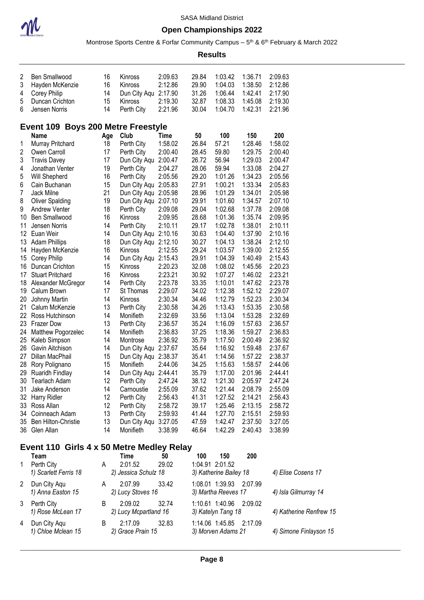

#### **Open Championships 2022**

Montrose Sports Centre & Forfar Community Campus – 5<sup>th</sup> & 6<sup>th</sup> February & March 2022

**Results**

| $\overline{2}$          | Ben Smallwood                                     | 16  | Kinross              | 2:09.63     | 29.84 | 1:03.42                | 1:36.71 | 2:09.63              |
|-------------------------|---------------------------------------------------|-----|----------------------|-------------|-------|------------------------|---------|----------------------|
| 3                       | Hayden McKenzie                                   | 16  | Kinross              | 2:12.86     | 29.90 | 1:04.03                | 1:38.50 | 2:12.86              |
| 4                       | Corey Philip                                      | 14  | Dun City Aqu 2:17.90 |             | 31.26 | 1:06.44                | 1:42.41 | 2:17.90              |
| 5                       | Duncan Crichton                                   | 15  | Kinross              | 2:19.30     | 32.87 | 1:08.33                | 1:45.08 | 2:19.30              |
| 6                       | Jensen Norris                                     | 14  | Perth City           | 2:21.96     | 30.04 | 1:04.70                | 1:42.31 | 2:21.96              |
|                         | Event 109 Boys 200 Metre Freestyle                |     |                      |             |       |                        |         |                      |
|                         | Name                                              | Age | Club                 | <b>Time</b> | 50    | 100                    | 150     | 200                  |
| 1                       | Murray Pritchard                                  | 18  | Perth City           | 1:58.02     | 26.84 | 57.21                  | 1:28.46 | 1:58.02              |
| $\overline{\mathbf{c}}$ | Owen Carroll                                      | 17  | Perth City           | 2:00.40     | 28.45 | 59.80                  | 1:29.75 | 2:00.40              |
| 3                       | <b>Travis Davey</b>                               | 17  | Dun City Aqu         | 2:00.47     | 26.72 | 56.94                  | 1:29.03 | 2:00.47              |
| 4                       | Jonathan Venter                                   | 19  | Perth City           | 2:04.27     | 28.06 | 59.94                  | 1:33.08 | 2:04.27              |
| 5                       | Will Shepherd                                     | 16  | Perth City           | 2:05.56     | 29.20 | 1:01.26                | 1:34.23 | 2:05.56              |
| 6                       | Cain Buchanan                                     | 15  | Dun City Aqu 2:05.83 |             | 27.91 | 1:00.21                | 1:33.34 | 2:05.83              |
| $\overline{7}$          | Jack Milne                                        | 21  | Dun City Aqu 2:05.98 |             | 28.96 | 1:01.29                | 1:34.01 | 2:05.98              |
| 8                       | <b>Oliver Spalding</b>                            | 19  | Dun City Aqu 2:07.10 |             | 29.91 | 1:01.60                | 1:34.57 | 2:07.10              |
| 9                       | Andrew Venter                                     | 18  | Perth City           | 2:09.08     | 29.04 | 1:02.68                | 1:37.78 | 2:09.08              |
| 10                      | <b>Ben Smallwood</b>                              | 16  | Kinross              | 2:09.95     | 28.68 | 1:01.36                | 1:35.74 | 2:09.95              |
| 11                      | Jensen Norris                                     | 14  | Perth City           | 2:10.11     | 29.17 | 1:02.78                | 1:38.01 | 2:10.11              |
| 12 <sup>°</sup>         | Euan Weir                                         | 14  | Dun City Aqu 2:10.16 |             | 30.63 | 1:04.40                | 1:37.90 | 2:10.16              |
| 13                      | <b>Adam Phillips</b>                              | 18  | Dun City Aqu 2:12.10 |             | 30.27 | 1:04.13                | 1:38.24 | 2:12.10              |
| 14                      | Hayden McKenzie                                   | 16  | Kinross              | 2:12.55     | 29.24 | 1:03.57                | 1:39.00 | 2:12.55              |
| 15                      | Corey Philip                                      | 14  | Dun City Aqu 2:15.43 |             | 29.91 | 1:04.39                | 1:40.49 | 2:15.43              |
| 16                      | Duncan Crichton                                   | 15  | Kinross              | 2:20.23     | 32.08 | 1:08.02                | 1:45.56 | 2:20.23              |
| 17                      | <b>Stuart Pritchard</b>                           | 16  | Kinross              | 2:23.21     | 30.92 | 1:07.27                | 1:46.02 | 2:23.21              |
| 18                      | Alexander McGregor                                | 14  | Perth City           | 2:23.78     | 33.35 | 1:10.01                | 1:47.62 | 2:23.78              |
| 19                      | Calum Brown                                       | 17  | St Thomas            | 2:29.07     | 34.02 | 1:12.38                | 1:52.12 | 2:29.07              |
| 20                      | Johnny Martin                                     | 14  | Kinross              | 2:30.34     | 34.46 | 1:12.79                | 1:52.23 | 2:30.34              |
| 21                      | Calum McKenzie                                    | 13  | Perth City           | 2:30.58     | 34.26 | 1:13.43                | 1:53.35 | 2:30.58              |
| 22                      | Ross Hutchinson                                   | 14  | Monifieth            | 2:32.69     | 33.56 | 1:13.04                | 1:53.28 | 2:32.69              |
| 23                      | <b>Frazer Dow</b>                                 | 13  | Perth City           | 2:36.57     | 35.24 | 1:16.09                | 1:57.63 | 2:36.57              |
| 24                      | Matthew Pogorzelec                                | 14  | Monifieth            | 2:36.83     | 37.25 | 1:18.36                | 1:59.27 | 2:36.83              |
| 25                      | Kaleb Simpson                                     | 14  | Montrose             | 2:36.92     | 35.79 | 1:17.50                | 2:00.49 | 2:36.92              |
| 26                      | Gavin Aitchison                                   | 14  | Dun City Aqu 2:37.67 |             | 35.64 | 1:16.92                | 1:59.48 | 2:37.67              |
| 27                      | Dillan MacPhail                                   | 15  | Dun City Aqu 2:38.37 |             | 35.41 | 1:14.56                | 1:57.22 | 2:38.37              |
| 28                      | Rory Polignano                                    | 15  | Monifieth            | 2:44.06     | 34.25 | 1:15.63                | 1:58.57 | 2:44.06              |
| 29                      | Ruaridh Findlay                                   | 14  | Dun City Aqu 2:44.41 |             | 35.79 | 1:17.00                | 2:01.96 | 2:44.41              |
| 30                      | Tearlach Adam                                     | 12  | Perth City           | 2:47.24     | 38.12 | 1:21.30                | 2:05.97 | 2:47.24              |
|                         | 31 Jake Anderson                                  | 14  | Carnoustie           | 2:55.09     | 37.62 | 1:21.44                | 2:08.79 | 2:55.09              |
|                         | 32 Harry Ridler                                   | 12  | Perth City           | 2:56.43     | 41.31 | 1:27.52                | 2:14.21 | 2:56.43              |
|                         | 33 Ross Allan                                     | 12  | Perth City           | 2:58.72     | 39.17 | 1:25.46                | 2:13.15 | 2:58.72              |
|                         | 34 Coinneach Adam                                 | 13  | Perth City           | 2:59.93     | 41.44 | 1:27.70                | 2:15.51 | 2:59.93              |
|                         | 35 Ben Hilton-Christie                            | 13  | Dun City Aqu 3:27.05 |             | 47.59 | 1:42.47                | 2:37.50 | 3:27.05              |
|                         | 36 Glen Allan                                     | 14  | Monifieth            | 3:38.99     | 46.64 | 1:42.29                | 2:40.43 | 3:38.99              |
|                         |                                                   |     |                      |             |       |                        |         |                      |
|                         | Event 110 Girls 4 x 50 Metre Medley Relay<br>Team |     | Time                 | 50          | 100   | 150                    | 200     |                      |
| 1                       | Perth City                                        | A   | 2:01.52              | 29.02       |       | 1:04.91 2:01.52        |         |                      |
|                         | 1) Scarlett Ferris 18                             |     | 2) Jessica Schulz 18 |             |       | 3) Katherine Bailey 18 |         | 4) Elise Cosens 17   |
|                         |                                                   |     |                      |             |       |                        |         |                      |
| 2                       | Dun City Aqu                                      | A   | 2:07.99              | 33.42       |       | 1:08.01 1:39.93        | 2:07.99 |                      |
|                         | 1) Anna Easton 15                                 |     | 2) Lucy Stoves 16    |             |       | 3) Martha Reeves 17    |         | 4) Isla Gilmurray 14 |
| 3                       | Perth City                                        | B   | 2:09.02              | 32.74       |       | 1:10.61 1:40.96        | 2:09.02 |                      |

*1) Rose McLean 17 2) Lucy Mcpartland 16 3) Katelyn Tang 18 4) Katherine Renfrew 15*

4 Dun City Aqu B 2:17.09 32.83 1:14.06 1:45.85 2:17.09<br>1) Chloe Mclean 15 2) Grace Prain 15 3) Morven Adams 21

\_\_\_\_\_\_\_\_\_\_\_\_\_\_\_\_\_\_\_\_\_\_\_\_\_\_\_\_\_\_\_\_\_\_\_\_\_\_\_\_\_\_\_\_\_\_\_\_\_\_\_\_\_\_\_\_\_\_\_\_\_\_\_\_\_\_\_\_\_\_\_\_\_\_\_\_\_\_\_\_\_\_\_\_\_\_\_\_\_\_\_\_\_\_\_\_\_\_\_\_\_\_\_\_\_\_\_

*1) Chloe Mclean 15 2) Grace Prain 15 3) Morven Adams 21 4) Simone Finlayson 15*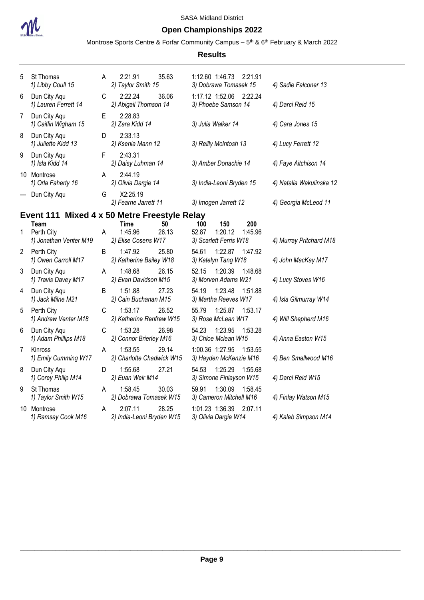

### **Open Championships 2022**

Montrose Sports Centre & Forfar Community Campus – 5<sup>th</sup> & 6<sup>th</sup> February & March 2022

| 5 | St Thomas<br>1) Libby Coull 15               | A  | 2:21.91<br>35.63<br>2) Taylor Smith 15                       | 1:12.60 1:46.73<br>2:21.91<br>3) Dobrawa Tomasek 15                        | 4) Sadie Falconer 13     |
|---|----------------------------------------------|----|--------------------------------------------------------------|----------------------------------------------------------------------------|--------------------------|
| 6 | Dun City Agu<br>1) Lauren Ferrett 14         | C  | 2:22.24<br>36.06<br>2) Abigail Thomson 14                    | 1:17.12 1:52.06<br>2:22.24<br>3) Phoebe Samson 14                          | 4) Darci Reid 15         |
| 7 | Dun City Aqu<br>1) Caitlin Wigham 15         | E. | 2:28.83<br>2) Zara Kidd 14                                   | 3) Julia Walker 14                                                         | 4) Cara Jones 15         |
| 8 | Dun City Aqu<br>1) Juliette Kidd 13          | D  | 2:33.13<br>2) Ksenia Mann 12                                 | 3) Reilly McIntosh 13                                                      | 4) Lucy Ferrett 12       |
| 9 | Dun City Aqu<br>1) Isla Kidd 14              | F  | 2:43.31<br>2) Daisy Luhman 14                                | 3) Amber Donachie 14                                                       | 4) Faye Aitchison 14     |
|   | 10 Montrose<br>1) Orla Faherty 16            | A  | 2:44.19<br>2) Olivia Dargie 14                               | 3) India-Leoni Bryden 15                                                   | 4) Natalia Wakulinska 12 |
|   | Dun City Aqu                                 | G  | X2:25.19<br>2) Fearne Jarrett 11                             | 3) Imogen Jarrett 12                                                       | 4) Georgia McLeod 11     |
|   |                                              |    | Event 111 Mixed 4 x 50 Metre Freestyle Relay                 |                                                                            |                          |
| 1 | Team<br>Perth City<br>1) Jonathan Venter M19 | A  | 50<br><b>Time</b><br>1:45.96<br>26.13<br>2) Elise Cosens W17 | 100<br>150<br>200<br>52.87<br>1:20.12<br>1:45.96<br>3) Scarlett Ferris W18 | 4) Murray Pritchard M18  |
| 2 | Perth City<br>1) Owen Carroll M17            | B  | 1:47.92<br>25.80<br>2) Katherine Bailey W18                  | 54.61<br>1:22.87<br>1:47.92<br>3) Katelyn Tang W18                         | 4) John MacKay M17       |
| 3 | Dun City Aqu<br>1) Travis Davey M17          | A  | 1:48.68<br>26.15<br>2) Evan Davidson M15                     | 52.15<br>1:20.39<br>1:48.68<br>3) Morven Adams W21                         | 4) Lucy Stoves W16       |
| 4 | Dun City Aqu<br>1) Jack Milne M21            | В  | 1:51.88<br>27.23<br>2) Cain Buchanan M15                     | 1:23.48<br>54.19<br>1:51.88<br>3) Martha Reeves W17                        | 4) Isla Gilmurray W14    |
| 5 | Perth City<br>1) Andrew Venter M18           | С  | 1:53.17<br>26.52<br>2) Katherine Renfrew W15                 | 55.79<br>1:25.87<br>1:53.17<br>3) Rose McLean W17                          | 4) Will Shepherd M16     |
| 6 | Dun City Aqu<br>1) Adam Phillips M18         | C  | 1:53.28<br>26.98<br>2) Connor Brierley M16                   | 1:23.95<br>54.23<br>1:53.28<br>3) Chloe Mclean W15                         | 4) Anna Easton W15       |
| 7 | Kinross<br>1) Emily Cumming W17              | A  | 1:53.55<br>29.14<br>2) Charlotte Chadwick W15                | 1:00.36 1:27.95<br>1:53.55<br>3) Hayden McKenzie M16                       | 4) Ben Smallwood M16     |
| 8 | Dun City Aqu<br>1) Corey Philip M14          | D  | 1:55.68<br>27.21<br>2) Euan Weir M14                         | 1:25.29<br>54.53<br>1:55.68<br>3) Simone Finlayson W15                     | 4) Darci Reid W15        |
| 9 | St Thomas<br>1) Taylor Smith W15             | A  | 1:58.45<br>30.03<br>2) Dobrawa Tomasek W15                   | 59.91<br>1:30.09<br>1:58.45<br>3) Cameron Mitchell M16                     | 4) Finlay Watson M15     |
|   | 10 Montrose<br>1) Ramsay Cook M16            | A  | 28.25<br>2:07.11<br>2) India-Leoni Bryden W15                | 1:01.23 1:36.39<br>2:07.11<br>3) Olivia Dargie W14                         | 4) Kaleb Simpson M14     |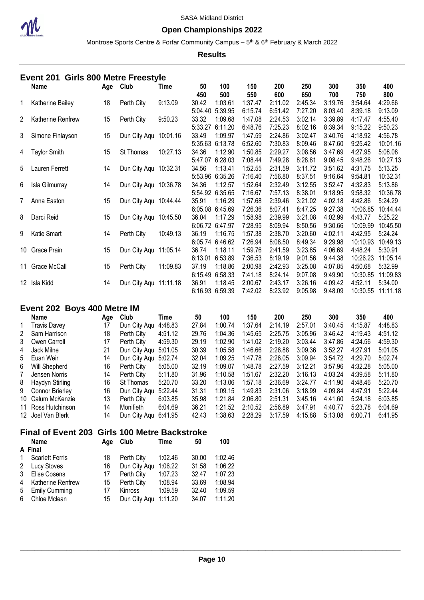

#### **Open Championships 2022**

Montrose Sports Centre & Forfar Community Campus – 5<sup>th</sup> & 6<sup>th</sup> February & March 2022

**Results**

|                | Event 201           |     | <b>Girls 800 Metre Freestyle</b> |          |                  |                                       |                               |                               |                               |                               |                                 |                                 |
|----------------|---------------------|-----|----------------------------------|----------|------------------|---------------------------------------|-------------------------------|-------------------------------|-------------------------------|-------------------------------|---------------------------------|---------------------------------|
|                | <b>Name</b>         | Age | Club                             | Time     | 50<br>450        | 100<br>500                            | 150<br>550                    | 200<br>600                    | 250<br>650                    | 300<br>700                    | 350<br>750                      | 400<br>800                      |
| 1              | Katherine Bailey    | 18  | Perth City                       | 9:13.09  | 30.42<br>5:04.40 | 1:03.61<br>5:39.95                    | 1:37.47<br>6:15.74            | 2:11.02<br>6:51.42            | 2:45.34<br>7:27.20            | 3:19.76<br>8:03.40            | 3:54.64<br>8:39.18              | 4:29.66<br>9:13.09              |
| 2              | Katherine Renfrew   | 15  | Perth City                       | 9:50.23  | 33.32<br>5:33.27 | 1:09.68<br>6:11.20                    | 1:47.08<br>6:48.76            | 2:24.53<br>7:25.23            | 3:02.14<br>8:02.16            | 3:39.89<br>8:39.34            | 4:17.47<br>9:15.22              | 4:55.40<br>9:50.23              |
| 3              | Simone Finlayson    | 15  | Dun City Aqu                     | 10:01.16 | 33.49<br>5:35.63 | 1:09.97<br>6:13.78                    | 1:47.59<br>6:52.60            | 2:24.86<br>7:30.83            | 3:02.47<br>8:09.46            | 3:40.76<br>8:47.60            | 4:18.92<br>9:25.42              | 4:56.78<br>10:01.16             |
| 4              | <b>Taylor Smith</b> | 15  | St Thomas                        | 10:27.13 | 34.36<br>5:47.07 | 1:12.90<br>6:28.03                    | 1:50.85<br>7:08.44            | 2:29.27<br>7:49.28            | 3:08.56<br>8:28.81            | 3:47.69<br>9:08.45            | 4:27.95<br>9:48.26              | 5:08.08<br>10:27.13             |
| 5              | Lauren Ferrett      | 14  | Dun City Aqu 10:32.31            |          | 34.56            | 1:13.41                               | 1:52.55                       | 2:31.59                       | 3:11.72                       | 3:51.62                       | 4:31.75                         | 5:13.25                         |
| 6              | Isla Gilmurray      | 14  | Dun City Aqu 10:36.78            |          | 5:53.96<br>34.36 | 6:35.26<br>1:12.57                    | 7:16.40<br>1:52.64            | 7:56.80<br>2:32.49            | 8:37.51<br>3:12.55            | 9:16.64<br>3:52.47            | 9:54.81<br>4:32.83              | 10:32.31<br>5:13.86             |
| $\overline{7}$ | Anna Easton         | 15  | Dun City Aqu 10:44.44            |          | 5:54.92<br>35.91 | 6:35.65<br>1:16.29                    | 7:16.67<br>1:57.68            | 7:57.13<br>2:39.46            | 8:38.01<br>3:21.02            | 9:18.95<br>4:02.18            | 9:58.32<br>4:42.86              | 10:36.78<br>5:24.29             |
| 8              | Darci Reid          | 15  | Dun City Aqu 10:45.50            |          | 6:05.08<br>36.04 | 6:45.69<br>1:17.29                    | 7:26.36<br>1:58.98            | 8:07.41<br>2:39.99            | 8:47.25<br>3:21.08            | 9:27.38<br>4:02.99            | 10:06.85<br>4:43.77             | 10:44.44<br>5:25.22             |
| 9              | Katie Smart         | 14  | Perth City                       | 10:49.13 | 6:06.72<br>36.19 | 6:47.97<br>1:16.75                    | 7:28.95<br>1:57.38            | 8:09.94<br>2:38.70            | 8:50.56<br>3:20.60            | 9:30.66<br>4:02.11            | 10:09.99<br>4:42.95             | 10:45.50<br>5:24.24             |
|                | 10 Grace Prain      | 15  | Dun City Aqu 11:05.14            |          | 6:05.74<br>36.74 | 6:46.62<br>1:18.11                    | 7:26.94<br>1:59.76            | 8:08.50<br>2:41.59            | 8:49.34<br>3:23.85            | 9:29.98<br>4:06.69            | 10:10.93<br>4:48.24             | 10:49.13<br>5:30.91             |
| 11             | Grace McCall        | 15  | Perth City                       | 11:09.83 | 6:13.01<br>37.19 | 6:53.89<br>1:18.86                    | 7:36.53<br>2:00.98            | 8:19.19<br>2:42.93            | 9:01.56<br>3:25.08            | 9:44.38<br>4:07.85            | 10:26.23<br>4:50.68             | 11:05.14<br>5:32.99             |
|                | 12 Isla Kidd        | 14  | Dun City Aqu 11:11.18            |          | 6:15.49<br>36.91 | 6:58.33<br>1:18.45<br>6:16.93 6:59.39 | 7:41.18<br>2:00.67<br>7:42.02 | 8:24.14<br>2:43.17<br>8:23.92 | 9:07.08<br>3:26.16<br>9:05.98 | 9:49.90<br>4:09.42<br>9:48.09 | 10:30.85<br>4:52.11<br>10:30.55 | 11:09.83<br>5:34.00<br>11:11.18 |
|                |                     |     |                                  |          |                  |                                       |                               |                               |                               |                               |                                 |                                 |

### **Event 202 Boys 400 Metre IM**

|           | Name                | Age | Club                 | Time    | 50    | 100     | 150     | 200     | 250     | 300     | 350     | 400     |
|-----------|---------------------|-----|----------------------|---------|-------|---------|---------|---------|---------|---------|---------|---------|
| $1 \quad$ | <b>Travis Davey</b> | 17  | Dun City Agu         | 4:48.83 | 27.84 | 1:00.74 | 1:37.64 | 2:14.19 | 2:57.01 | 3:40.45 | 4:15.87 | 4:48.83 |
|           | 2 Sam Harrison      | 18  | Perth City           | 4:51.12 | 29.76 | 1:04.36 | 1:45.65 | 2:25.75 | 3:05.96 | 3:46.42 | 4:19.43 | 4:51.12 |
|           | 3 Owen Carroll      | 17  | Perth City           | 4:59.30 | 29.19 | 1:02.90 | 1:41.02 | 2:19.20 | 3:03.44 | 3:47.86 | 4:24.56 | 4:59.30 |
| 4         | Jack Milne          | 21  | Dun City Agu 5:01.05 |         | 30.39 | 1:05.58 | 1:46.66 | 2:26.88 | 3:09.36 | 3:52.27 | 4:27.91 | 5:01.05 |
|           | 5 Euan Weir         | 14  | Dun City Agu         | 5:02.74 | 32.04 | 1:09.25 | 1:47.78 | 2:26.05 | 3:09.94 | 3:54.72 | 4:29.70 | 5:02.74 |
| 6         | Will Shepherd       | 16  | Perth City           | 5:05.00 | 32.19 | 1:09.07 | 1:48.78 | 2:27.59 | 3:12.21 | 3:57.96 | 4:32.28 | 5:05.00 |
| 7         | Jensen Norris       | 14  | Perth City           | 5:11.80 | 31.96 | 1:10.58 | 1:51.67 | 2:32.20 | 3:16.13 | 4:03.24 | 4:39.58 | 5:11.80 |
|           | 8 Haydyn Stirling   | 16  | St Thomas            | 5:20.70 | 33.20 | 1:13.06 | 1:57.18 | 2:36.69 | 3:24.77 | 4:11.90 | 4:48.46 | 5:20.70 |
|           | 9 Connor Brierley   | 16  | Dun City Agu         | 5:22.44 | 31.31 | 1:09.15 | 1:49.83 | 2:31.06 | 3:18.99 | 4:09.84 | 4:47.91 | 5:22.44 |
|           | 10 Calum McKenzie   | 13  | Perth City           | 6:03.85 | 35.98 | 1:21.84 | 2:06.80 | 2:51.31 | 3:45.16 | 4:41.60 | 5:24.18 | 6:03.85 |
|           | 11 Ross Hutchinson  | 14  | Monifieth            | 6:04.69 | 36.21 | 1:21.52 | 2:10.52 | 2:56.89 | 3:47.91 | 4:40.77 | 5:23.78 | 6:04.69 |
|           | 12 Joel Van Blerk   | 14  | Dun City Agu 6:41.95 |         | 42.43 | 1:38.63 | 2:28.29 | 3:17.59 | 4:15.88 | 5:13.08 | 6:00.71 | 6:41.95 |

#### **Final of Event 203 Girls 100 Metre Backstroke**

| <b>Name</b>                            | Aae | Club           | Time    | 50                      | 100     |
|----------------------------------------|-----|----------------|---------|-------------------------|---------|
| A Final                                |     |                |         |                         |         |
| <b>Scarlett Ferris</b><br>$\mathbf{1}$ | 18  | Perth City     | 1:02.46 | 30.00                   | 1:02.46 |
| Lucy Stoves<br>2                       | 16  | Dun City Agu   | 1:06.22 | 31.58                   | 1:06.22 |
| Elise Cosens                           | 17  | Perth City     | 1:07.23 | 32.47                   | 1:07.23 |
| Katherine Renfrew<br>4                 | 15  | Perth City     | 1:08.94 | 33.69                   | 1:08.94 |
| <b>Emily Cumming</b><br>5              | 17  | <b>Kinross</b> | 1:09.59 | 32.40                   | 1:09.59 |
| Chloe Mclean                           | 15  |                |         | 34.07                   | 1:11.20 |
|                                        |     |                |         | Dun City Aqu<br>1:11.20 |         |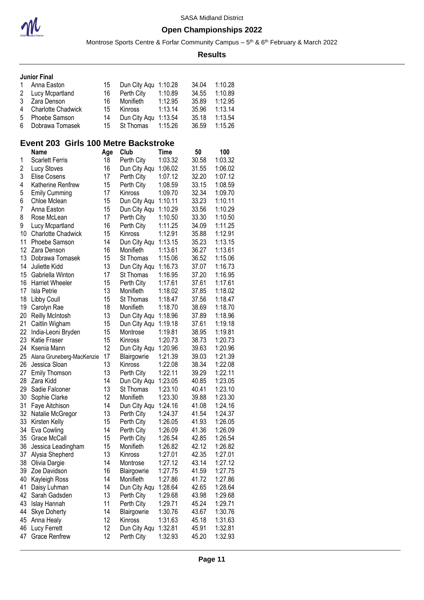

Montrose Sports Centre & Forfar Community Campus – 5<sup>th</sup> & 6<sup>th</sup> February & March 2022

**Results**

|  | <b>Junior Final</b> |  |
|--|---------------------|--|
|  |                     |  |

| 1 Anna Easton        | 15  | Dun City Aqu 1:10.28 |         | 34.04 | 1:10.28 |
|----------------------|-----|----------------------|---------|-------|---------|
| 2 Lucy Mcpartland    | 16  | Perth City           | 1:10.89 | 34.55 | 1:10.89 |
| 3 Zara Denson        | 16. | Monifieth            | 1:12.95 | 35.89 | 1:12.95 |
| 4 Charlotte Chadwick | 15  | Kinross              | 1:13.14 | 35.96 | 1:13.14 |
| 5 Phoebe Samson      | 14  | Dun City Aqu 1:13.54 |         | 35.18 | 1:13.54 |
| 6 Dobrawa Tomasek    | 15  | St Thomas            | 1:15.26 | 36.59 | 1:15.26 |

#### **Event 203 Girls 100 Metre Backstroke**

|    | <b>Name</b>               | Age | Club         | Time    | 50    | 100     |
|----|---------------------------|-----|--------------|---------|-------|---------|
| 1  | <b>Scarlett Ferris</b>    | 18  | Perth City   | 1:03.32 | 30.58 | 1:03.32 |
| 2  | Lucy Stoves               | 16  | Dun City Aqu | 1:06.02 | 31.55 | 1:06.02 |
| 3  | Elise Cosens              | 17  | Perth City   | 1:07.12 | 32.20 | 1:07.12 |
| 4  | Katherine Renfrew         | 15  | Perth City   | 1:08.59 | 33.15 | 1:08.59 |
| 5  | <b>Emily Cumming</b>      | 17  | Kinross      | 1:09.70 | 32.34 | 1:09.70 |
| 6  | Chloe Mclean              | 15  | Dun City Aqu | 1:10.11 | 33.23 | 1:10.11 |
| 7  | Anna Easton               | 15  | Dun City Aqu | 1:10.29 | 33.56 | 1:10.29 |
| 8  | Rose McLean               | 17  | Perth City   | 1:10.50 | 33.30 | 1:10.50 |
| 9  | Lucy Mcpartland           | 16  | Perth City   | 1:11.25 | 34.09 | 1:11.25 |
| 10 | <b>Charlotte Chadwick</b> | 15  | Kinross      | 1:12.91 | 35.88 | 1:12.91 |
| 11 | Phoebe Samson             | 14  | Dun City Aqu | 1:13.15 | 35.23 | 1:13.15 |
| 12 | Zara Denson               | 16  | Monifieth    | 1:13.61 | 36.27 | 1:13.61 |
| 13 | Dobrawa Tomasek           | 15  | St Thomas    | 1:15.06 | 36.52 | 1:15.06 |
| 14 | Juliette Kidd             | 13  | Dun City Aqu | 1:16.73 | 37.07 | 1:16.73 |
| 15 | Gabriella Winton          | 17  | St Thomas    | 1:16.95 | 37.20 | 1:16.95 |
| 16 | <b>Harriet Wheeler</b>    | 15  | Perth City   | 1:17.61 | 37.61 | 1:17.61 |
| 17 | Isla Petrie               | 13  | Monifieth    | 1:18.02 | 37.85 | 1:18.02 |
| 18 | Libby Coull               | 15  | St Thomas    | 1:18.47 | 37.56 | 1:18.47 |
| 19 | Carolyn Rae               | 18  | Monifieth    | 1:18.70 | 38.69 | 1:18.70 |
| 20 | <b>Reilly McIntosh</b>    | 13  | Dun City Aqu | 1:18.96 | 37.89 | 1:18.96 |
| 21 | Caitlin Wigham            | 15  | Dun City Aqu | 1:19.18 | 37.61 | 1:19.18 |
| 22 | India-Leoni Bryden        | 15  | Montrose     | 1:19.81 | 38.95 | 1:19.81 |
| 23 | Katie Fraser              | 15  | Kinross      | 1:20.73 | 38.73 | 1:20.73 |
| 24 | Ksenia Mann               | 12  | Dun City Aqu | 1:20.96 | 39.63 | 1:20.96 |
| 25 | Alana Gruneberg-MacKenzie | 17  | Blairgowrie  | 1:21.39 | 39.03 | 1:21.39 |
| 26 | Jessica Sloan             | 13  | Kinross      | 1:22.08 | 38.34 | 1:22.08 |
| 27 | <b>Emily Thomson</b>      | 13  | Perth City   | 1:22.11 | 39.29 | 1:22.11 |
| 28 | Zara Kidd                 | 14  | Dun City Aqu | 1:23.05 | 40.85 | 1:23.05 |
| 29 | Sadie Falconer            | 13  | St Thomas    | 1:23.10 | 40.41 | 1:23.10 |
| 30 | Sophie Clarke             | 12  | Monifieth    | 1:23.30 | 39.88 | 1:23.30 |
| 31 | Faye Aitchison            | 14  | Dun City Aqu | 1:24.16 | 41.08 | 1:24.16 |
| 32 | Natalie McGregor          | 13  | Perth City   | 1:24.37 | 41.54 | 1:24.37 |
| 33 | Kirsten Kelly             | 15  | Perth City   | 1:26.05 | 41.93 | 1:26.05 |
| 34 | Eva Cowling               | 14  | Perth City   | 1:26.09 | 41.36 | 1:26.09 |
| 35 | Grace McCall              | 15  | Perth City   | 1:26.54 | 42.85 | 1:26.54 |
| 36 | Jessica Leadingham        | 15  | Monifieth    | 1:26.82 | 42.12 | 1:26.82 |
| 37 | Alysia Shepherd           | 13  | Kinross      | 1:27.01 | 42.35 | 1:27.01 |
| 38 | Olivia Dargie             | 14  | Montrose     | 1:27.12 | 43.14 | 1:27.12 |
| 39 | Zoe Davidson              | 16  | Blairgowrie  | 1:27.75 | 41.59 | 1:27.75 |
| 40 | Kayleigh Ross             | 14  | Monifieth    | 1:27.86 | 41.72 | 1:27.86 |
| 41 | Daisy Luhman              | 14  | Dun City Aqu | 1:28.64 | 42.65 | 1:28.64 |
| 42 | Sarah Gadsden             | 13  | Perth City   | 1:29.68 | 43.98 | 1:29.68 |
| 43 | Islay Hannah              | 11  | Perth City   | 1:29.71 | 45.24 | 1:29.71 |
| 44 | <b>Skye Doherty</b>       | 14  | Blairgowrie  | 1:30.76 | 43.67 | 1:30.76 |
| 45 | Anna Healy                | 12  | Kinross      | 1:31.63 | 45.18 | 1:31.63 |
| 46 | Lucy Ferrett              | 12  | Dun City Aqu | 1:32.81 | 45.91 | 1:32.81 |
| 47 | <b>Grace Renfrew</b>      | 12  | Perth City   | 1:32.93 | 45.20 | 1:32.93 |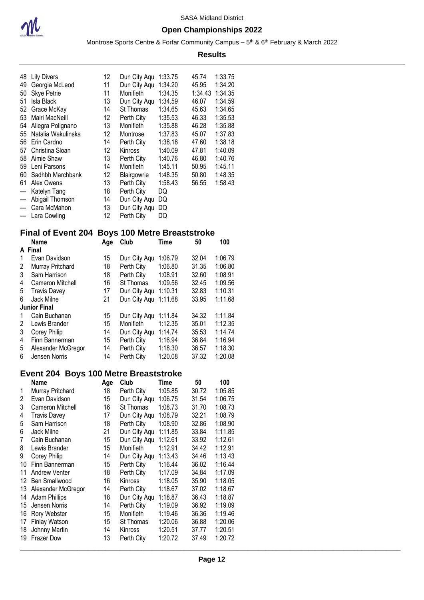

Montrose Sports Centre & Forfar Community Campus – 5<sup>th</sup> & 6<sup>th</sup> February & March 2022

|       |                                                |     |                      |             | <b>Results</b> |                 |  |
|-------|------------------------------------------------|-----|----------------------|-------------|----------------|-----------------|--|
|       | 48 Lily Divers                                 | 12  | Dun City Aqu 1:33.75 |             | 45.74          | 1:33.75         |  |
|       | 49 Georgia McLeod                              | 11  | Dun City Aqu 1:34.20 |             | 45.95          | 1:34.20         |  |
| 50    | Skye Petrie                                    | 11  | Monifieth            | 1:34.35     |                | 1:34.43 1:34.35 |  |
| 51    | Isla Black                                     | 13  | Dun City Aqu 1:34.59 |             | 46.07          | 1:34.59         |  |
|       |                                                |     |                      |             |                | 1:34.65         |  |
|       | 52 Grace McKay                                 | 14  | St Thomas            | 1:34.65     | 45.63          |                 |  |
| 53    | Mairi MacNeill                                 | 12  | Perth City           | 1:35.53     | 46.33          | 1:35.53         |  |
|       | 54 Allegra Polignano                           | 13  | Monifieth            | 1:35.88     | 46.28          | 1:35.88         |  |
| 55    | Natalia Wakulinska                             | 12  | Montrose             | 1:37.83     | 45.07          | 1:37.83         |  |
| 56    | Erin Cardno                                    | 14  | Perth City           | 1:38.18     | 47.60          | 1:38.18         |  |
| 57    | Christina Sloan                                | 12  | Kinross              | 1:40.09     | 47.81          | 1:40.09         |  |
| 58    | Aimie Shaw                                     | 13  | Perth City           | 1:40.76     | 46.80          | 1:40.76         |  |
| 59    | Leni Parsons                                   | 14  | Monifieth            | 1:45.11     | 50.95          | 1:45.11         |  |
| 60    | Sadhbh Marchbank                               | 12  | Blairgowrie          | 1:48.35     | 50.80          | 1:48.35         |  |
|       | 61 Alex Owens                                  | 13  | Perth City           | 1:58.43     | 56.55          | 1:58.43         |  |
| ---   | Katelyn Tang                                   | 18  | Perth City           | DQ          |                |                 |  |
| ---   | Abigail Thomson                                | 14  | Dun City Aqu DQ      |             |                |                 |  |
| --- 1 | Cara McMahon                                   | 13  | Dun City Aqu DQ      |             |                |                 |  |
|       | --- Lara Cowling                               | 12  | Perth City           | DQ          |                |                 |  |
|       |                                                |     |                      |             |                |                 |  |
|       | Final of Event 204 Boys 100 Metre Breaststroke |     |                      |             |                |                 |  |
|       | Name                                           |     | Age Club             | <b>Time</b> | 50             | 100             |  |
|       | A Final                                        |     |                      |             |                |                 |  |
| 1     | Evan Davidson                                  | 15  | Dun City Aqu 1:06.79 |             | 32.04          | 1:06.79         |  |
| 2     | Murray Pritchard                               | 18  | Perth City           | 1:06.80     | 31.35          | 1:06.80         |  |
| 3     | Sam Harrison                                   | 18  | Perth City           | 1:08.91     | 32.60          | 1:08.91         |  |
| 4     | Cameron Mitchell                               | 16  | St Thomas            | 1:09.56     | 32.45          | 1:09.56         |  |
| 5     | <b>Travis Davey</b>                            | 17  | Dun City Aqu 1:10.31 |             | 32.83          | 1:10.31         |  |
| 6     | Jack Milne                                     | 21  | Dun City Aqu 1:11.68 |             | 33.95          | 1:11.68         |  |
|       | <b>Junior Final</b>                            |     |                      |             |                |                 |  |
| 1     | Cain Buchanan                                  | 15  | Dun City Aqu 1:11.84 |             | 34.32          | 1:11.84         |  |
| 2     | Lewis Brander                                  | 15  | Monifieth            | 1:12.35     | 35.01          | 1:12.35         |  |
| 3     | Corey Philip                                   | 14  | Dun City Aqu 1:14.74 |             | 35.53          | 1:14.74         |  |
| 4     | Finn Bannerman                                 | 15  | Perth City           | 1:16.94     | 36.84          | 1:16.94         |  |
| 5     | Alexander McGregor                             | 14  | Perth City           | 1:18.30     | 36.57          | 1:18.30         |  |
| 6     | Jensen Norris                                  | 14  | Perth City           | 1:20.08     | 37.32          | 1:20.08         |  |
|       |                                                |     |                      |             |                |                 |  |
|       | Event 204 Boys 100 Metre Breaststroke          |     |                      |             |                |                 |  |
|       | Name                                           | Age | Club                 | Time        | 50             | 100             |  |
| 1     | Murray Pritchard                               | 18  | Perth City           | 1:05.85     | 30.72          | 1:05.85         |  |
| 2     | Evan Davidson                                  | 15  | Dun City Aqu 1:06.75 |             | 31.54          | 1:06.75         |  |
| 3     | Cameron Mitchell                               | 16  | St Thomas            | 1:08.73     | 31.70          | 1:08.73         |  |
| 4     | <b>Travis Davey</b>                            | 17  | Dun City Aqu 1:08.79 |             | 32.21          | 1:08.79         |  |
| 5     | Sam Harrison                                   | 18  | Perth City           | 1:08.90     | 32.86          | 1:08.90         |  |
| 6     | Jack Milne                                     | 21  | Dun City Aqu 1:11.85 |             | 33.84          | 1:11.85         |  |
| 7     | Cain Buchanan                                  | 15  | Dun City Aqu 1:12.61 |             | 33.92          | 1:12.61         |  |
| 8     | Lewis Brander                                  | 15  | Monifieth            | 1:12.91     | 34.42          | 1:12.91         |  |
| 9     | Corey Philip                                   | 14  | Dun City Aqu 1:13.43 |             | 34.46          | 1:13.43         |  |
| 10    | Finn Bannerman                                 | 15  | Perth City           | 1:16.44     | 36.02          | 1:16.44         |  |
| 11    | <b>Andrew Venter</b>                           | 18  | Perth City           | 1:17.09     | 34.84          | 1:17.09         |  |
|       | 12 Ben Smallwood                               | 16  | Kinross              | 1:18.05     | 35.90          | 1:18.05         |  |
|       | 13 Alexander McGregor                          | 14  | Perth City           | 1:18.67     | 37.02          | 1:18.67         |  |
|       | 14 Adam Phillips                               | 18  | Dun City Aqu 1:18.87 |             | 36.43          | 1:18.87         |  |
|       |                                                | 14  |                      |             | 36.92          | 1:19.09         |  |
| 15    | Jensen Norris                                  |     | Perth City           | 1:19.09     |                |                 |  |
| 16    | Rory Webster                                   | 15  | Monifieth            | 1:19.46     | 36.36          | 1:19.46         |  |
| 17    | <b>Finlay Watson</b>                           | 15  | St Thomas            | 1:20.06     | 36.88          | 1:20.06         |  |
| 18    | Johnny Martin                                  | 14  | Kinross              | 1:20.51     | 37.77          | 1:20.51         |  |
|       | 19 Frazer Dow                                  | 13  | Perth City           | 1:20.72     | 37.49          | 1:20.72         |  |
|       |                                                |     |                      |             |                |                 |  |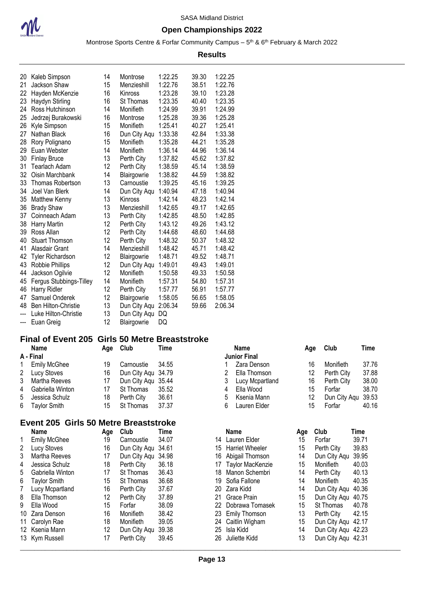

#### **Open Championships 2022**

Montrose Sports Centre & Forfar Community Campus – 5<sup>th</sup> & 6<sup>th</sup> February & March 2022

#### **Results**

| 20  | Kaleb Simpson              | 14 | Montrose         | 1:22.25 | 39.30 | 1:22.25 |
|-----|----------------------------|----|------------------|---------|-------|---------|
| 21  | Jackson Shaw               | 15 | Menzieshill      | 1:22.76 | 38.51 | 1:22.76 |
| 22  | Hayden McKenzie            | 16 | Kinross          | 1:23.28 | 39.10 | 1:23.28 |
| 23  | Haydyn Stirling            | 16 | <b>St Thomas</b> | 1:23.35 | 40.40 | 1:23.35 |
| 24  | Ross Hutchinson            | 14 | Monifieth        | 1:24.99 | 39.91 | 1:24.99 |
| 25  | Jedrzej Burakowski         | 16 | Montrose         | 1:25.28 | 39.36 | 1:25.28 |
| 26  | Kyle Simpson               | 15 | Monifieth        | 1:25.41 | 40.27 | 1:25.41 |
| 27  | Nathan Black               | 16 | Dun City Aqu     | 1:33.38 | 42.84 | 1:33.38 |
| 28  | Rory Polignano             | 15 | Monifieth        | 1:35.28 | 44.21 | 1:35.28 |
| 29  | Euan Webster               | 14 | Monifieth        | 1:36.14 | 44.96 | 1:36.14 |
| 30  | <b>Finlay Bruce</b>        | 13 | Perth City       | 1:37.82 | 45.62 | 1:37.82 |
| 31  | Tearlach Adam              | 12 | Perth City       | 1:38.59 | 45.14 | 1:38.59 |
| 32  | Oisin Marchbank            | 14 | Blairgowrie      | 1:38.82 | 44.59 | 1:38.82 |
| 33  | Thomas Robertson           | 13 | Carnoustie       | 1:39.25 | 45.16 | 1:39.25 |
| 34  | Joel Van Blerk             | 14 | Dun City Aqu     | 1:40.94 | 47.18 | 1:40.94 |
| 35  | <b>Matthew Kenny</b>       | 13 | Kinross          | 1:42.14 | 48.23 | 1:42.14 |
| 36  | <b>Brady Shaw</b>          | 13 | Menzieshill      | 1:42.65 | 49.17 | 1:42.65 |
| 37  | Coinneach Adam             | 13 | Perth City       | 1:42.85 | 48.50 | 1:42.85 |
| 38  | Harry Martin               | 12 | Perth City       | 1:43.12 | 49.26 | 1:43.12 |
| 39  | Ross Allan                 | 12 | Perth City       | 1:44.68 | 48.60 | 1:44.68 |
| 40  | <b>Stuart Thomson</b>      | 12 | Perth City       | 1:48.32 | 50.37 | 1:48.32 |
| 41  | Alasdair Grant             | 14 | Menzieshill      | 1:48.42 | 45.71 | 1:48.42 |
| 42  | <b>Tyler Richardson</b>    | 12 | Blairgowrie      | 1:48.71 | 49.52 | 1:48.71 |
| 43  | Robbie Phillips            | 12 | Dun City Aqu     | 1:49.01 | 49.43 | 1:49.01 |
| 44  | Jackson Ogilvie            | 12 | Monifieth        | 1:50.58 | 49.33 | 1:50.58 |
| 45  | Fergus Stubbings-Tilley    | 14 | Monifieth        | 1:57.31 | 54.80 | 1:57.31 |
| 46  | Harry Ridler               | 12 | Perth City       | 1:57.77 | 56.91 | 1:57.77 |
| 47  | Samuel Onderek             | 12 | Blairgowrie      | 1:58.05 | 56.65 | 1:58.05 |
| 48  | <b>Ben Hilton-Christie</b> | 13 | Dun City Aqu     | 2:06.34 | 59.66 | 2:06.34 |
| --- | Luke Hilton-Christie       | 13 | Dun City Aqu     | DQ      |       |         |
| --- | Euan Greig                 | 12 | Blairgowrie      | DQ      |       |         |

#### **Final of Event 205 Girls 50 Metre Breaststroke**

| <b>Name</b>         | Aqe                                                                                                       | Club       | Time  |                                          | Name            | Age                              | Club       | Time               |
|---------------------|-----------------------------------------------------------------------------------------------------------|------------|-------|------------------------------------------|-----------------|----------------------------------|------------|--------------------|
|                     |                                                                                                           |            |       |                                          |                 |                                  |            |                    |
| <b>Emily McGhee</b> | 19                                                                                                        | Carnoustie | 34.55 |                                          | Zara Denson     | 16                               | Monifieth  | 37.76              |
|                     | 16                                                                                                        |            |       |                                          | Ella Thomson    | 12                               | Perth City | 37.88              |
|                     | 17                                                                                                        |            |       |                                          | Lucy Mcpartland | 16                               | Perth City | 38.00              |
|                     | 17                                                                                                        | St Thomas  | 35.52 | 4                                        |                 | 15                               | Forfar     | 38.70              |
|                     | 18                                                                                                        | Perth City | 36.61 | .5                                       | Ksenia Mann     |                                  |            |                    |
|                     | 15                                                                                                        | St Thomas  | 37.37 | 6.                                       | Lauren Elder    |                                  | Forfar     | 40.16              |
|                     | A - Final<br>2 Lucy Stoves<br>3 Martha Reeves<br>4 Gabriella Winton<br>5 Jessica Schulz<br>6 Taylor Smith |            |       | Dun City Agu 34.79<br>Dun City Agu 35.44 |                 | <b>Junior Final</b><br>Ella Wood |            | Dun City Aqu 39.53 |

### **Event 205 Girls 50 Metre Breaststroke**

| <b>Name</b>         | Age                                                                  | Club       | Time  |                                                                   | <b>Name</b>            | Age                                                                                                                                                     | Club       | Time                                                                                                   |
|---------------------|----------------------------------------------------------------------|------------|-------|-------------------------------------------------------------------|------------------------|---------------------------------------------------------------------------------------------------------------------------------------------------------|------------|--------------------------------------------------------------------------------------------------------|
| <b>Emily McGhee</b> | 19                                                                   | Carnoustie | 34.07 |                                                                   |                        | 15                                                                                                                                                      | Forfar     | 39.7                                                                                                   |
| Lucy Stoves         | 16                                                                   |            |       |                                                                   | <b>Harriet Wheeler</b> | 15                                                                                                                                                      | Perth City | 39.8                                                                                                   |
| Martha Reeves       | 17                                                                   |            |       |                                                                   | Abigail Thomson        | 14                                                                                                                                                      |            | 39.9                                                                                                   |
| Jessica Schulz      | 18                                                                   | Perth City | 36.18 |                                                                   |                        | 15                                                                                                                                                      | Monifieth  | 40.0                                                                                                   |
| Gabriella Winton    | 17                                                                   | St Thomas  | 36.43 | 18                                                                | Manon Schembri         | 14                                                                                                                                                      | Perth City | 40.1                                                                                                   |
| Taylor Smith        | 15                                                                   | St Thomas  | 36.68 |                                                                   | Sofia Fallone          | 14                                                                                                                                                      | Monifieth  | 40.3                                                                                                   |
| Lucy Mcpartland     | 16                                                                   | Perth City | 37.67 |                                                                   |                        | 14                                                                                                                                                      |            | 40.3                                                                                                   |
| Ella Thomson        | 12                                                                   | Perth City | 37.89 |                                                                   |                        | 15                                                                                                                                                      |            | 40.7                                                                                                   |
| Ella Wood           | 15                                                                   | Forfar     | 38.09 |                                                                   | Dobrawa Tomasek        | 15                                                                                                                                                      | St Thomas  | 40.7                                                                                                   |
|                     | 16                                                                   | Monifieth  | 38.42 |                                                                   |                        | 13                                                                                                                                                      | Perth City | 42.1                                                                                                   |
|                     | 18                                                                   | Monifieth  | 39.05 |                                                                   |                        | 15                                                                                                                                                      |            | 42.1                                                                                                   |
|                     | 12                                                                   |            |       |                                                                   | Isla Kidd              | 14                                                                                                                                                      |            |                                                                                                        |
|                     | 17                                                                   | Perth City | 39.45 |                                                                   | Juliette Kidd          | 13                                                                                                                                                      |            |                                                                                                        |
|                     | 10 Zara Denson<br>11 Carolyn Rae<br>12 Ksenia Mann<br>13 Kym Russell |            |       | Dun City Aqu 34.61<br>Dun City Agu 34.98<br>39.38<br>Dun City Aqu |                        | 14 Lauren Elder<br>15<br>16<br>17 Taylor MacKenzie<br>19<br>20 Zara Kidd<br>21 Grace Prain<br>22<br>23 Emily Thomson<br>24 Caitlin Wigham<br>25.<br>26. |            | Dun City Aqu<br>Dun City Aqu<br>Dun City Aqu<br>Dun City Agu<br>Dun City Agu 42.2<br>Dun City Agu 42.3 |

|    | Name                   | Age | Club             | Time  |
|----|------------------------|-----|------------------|-------|
| 14 | Lauren Elder           | 15  | Forfar           | 39.71 |
| 15 | <b>Harriet Wheeler</b> | 15  | Perth City       | 39.83 |
| 16 | Abigail Thomson        | 14  | Dun City Aqu     | 39.95 |
| 17 | Taylor MacKenzie       | 15  | Monifieth        | 40.03 |
| 18 | Manon Schembri         | 14  | Perth City       | 40.13 |
| 19 | Sofia Fallone          | 14  | <b>Monifieth</b> | 40.35 |
| 20 | Zara Kidd              | 14  | Dun City Aqu     | 40.36 |
| 21 | Grace Prain            | 15  | Dun City Aqu     | 40.75 |
| 22 | Dobrawa Tomasek        | 15  | St Thomas        | 40.78 |
| 23 | <b>Emily Thomson</b>   | 13  | Perth City       | 42.15 |
| 24 | Caitlin Wigham         | 15  | Dun City Aqu     | 42.17 |
| 25 | Isla Kidd              | 14  | Dun City Aqu     | 42.23 |
| 26 | Juliette Kidd          | 13  | Dun City Agu     | 42.31 |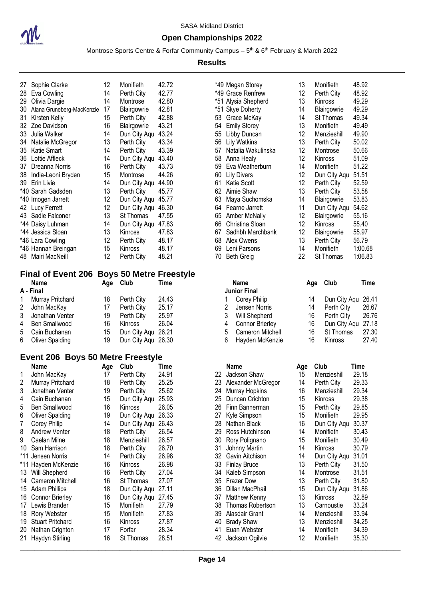

#### **Open Championships 2022**

Montrose Sports Centre & Forfar Community Campus – 5<sup>th</sup> & 6<sup>th</sup> February & March 2022

#### **Results**

| 27 | Sophie Clarke             | 12                | Monifieth    | 42.72 |
|----|---------------------------|-------------------|--------------|-------|
| 28 | Eva Cowling               | 14                | Perth City   | 42.77 |
| 29 | Olivia Dargie             | 14                | Montrose     | 42.80 |
| 30 | Alana Gruneberg-MacKenzie | 17                | Blairgowrie  | 42.81 |
| 31 | Kirsten Kelly             | 15                | Perth City   | 42.88 |
| 32 | Zoe Davidson              | 16                | Blairgowrie  | 43.21 |
| 33 | Julia Walker              | 14                | Dun City Aqu | 43.24 |
| 34 | Natalie McGregor          | 13                | Perth City   | 43.34 |
| 35 | Katie Smart               | 14                | Perth City   | 43.39 |
| 36 | Lottie Affleck            | 14                | Dun City Aqu | 43.40 |
| 37 | Dreanna Norris            | 16                | Perth City   | 43.73 |
| 38 | India-Leoni Bryden        | 15                | Montrose     | 44.26 |
| 39 | Erin Livie                | 14                | Dun City Aqu | 44.90 |
|    | *40 Sarah Gadsden         | 13                | Perth City   | 45.77 |
|    | *40 Imogen Jarrett        | $12 \overline{ }$ | Dun City Aqu | 45.77 |
| 42 | Lucy Ferrett              | 12                | Dun City Aqu | 46.30 |
| 43 | Sadie Falconer            | 13                | St Thomas    | 47.55 |
|    | *44 Daisy Luhman          | 14                | Dun City Aqu | 47.83 |
|    | *44 Jessica Sloan         | 13                | Kinross      | 47.83 |
|    | *46 Lara Cowling          | 12                | Perth City   | 48.17 |
|    | *46 Hannah Breingan       | 15                | Kinross      | 48.17 |
| 48 | Mairi MacNeill            | 12                | Perth City   | 48.21 |

## **Final of Event 206 Boys 50 Metre Freestyle**

|           | <b>Name</b>       |    | Age Club           | Time  |    | Name                |    | Age Club          | Time |
|-----------|-------------------|----|--------------------|-------|----|---------------------|----|-------------------|------|
|           | A - Final         |    |                    |       |    | <b>Junior Final</b> |    |                   |      |
| $1 \quad$ | Murray Pritchard  | 18 | Perth City         | 24.43 |    | 1 Corey Philip      | 14 | Dun City Aqu 26.4 |      |
|           | 2 John MacKay     | 17 | Perth City         | 25.17 |    | Jensen Norris       | 14 | Perth City        | 26.6 |
|           | 3 Jonathan Venter | 19 | Perth City         | 25.97 |    | Will Shepherd       | 16 | Perth City        | 26.7 |
|           | 4 Ben Smallwood   | 16 | Kinross            | 26.04 |    | 4 Connor Brierley   | 16 | Dun City Agu 27.1 |      |
|           | 5 Cain Buchanan   | 15 | Dun City Agu 26.21 |       |    | 5 Cameron Mitchell  | 16 | St Thomas         | 27.3 |
|           | 6 Oliver Spalding | 19 | Dun City Aqu 26.30 |       | 6. | Hayden McKenzie     | 16 | Kinross           | 27.4 |

### **Event 206 Boys 50 Metre Freestyle**

|     | J<br><b>Name</b>        | Age | Club         | Time  |
|-----|-------------------------|-----|--------------|-------|
| 1   | John MacKay             | 17  | Perth City   | 24.91 |
| 2   | Murray Pritchard        | 18  | Perth City   | 25.25 |
| 3   | Jonathan Venter         | 19  | Perth City   | 25.62 |
| 4   | Cain Buchanan           | 15  | Dun City Aqu | 25.93 |
| 5   | Ben Smallwood           | 16  | Kinross      | 26.05 |
| 6   | <b>Oliver Spalding</b>  | 19  | Dun City Aqu | 26.33 |
| 7   | Corey Philip            | 14  | Dun City Aqu | 26.43 |
| 8   | <b>Andrew Venter</b>    | 18  | Perth City   | 26.54 |
| 9   | Caelan Milne            | 18  | Menzieshill  | 26.57 |
| 10  | Sam Harrison            | 18  | Perth City   | 26.70 |
|     | *11 Jensen Norris       | 14  | Perth City   | 26.98 |
| *11 | Hayden McKenzie         | 16  | Kinross      | 26.98 |
| 13  | Will Shepherd           | 16  | Perth City   | 27.04 |
| 14  | Cameron Mitchell        | 16  | St Thomas    | 27.07 |
| 15  | <b>Adam Phillips</b>    | 18  | Dun City Aqu | 27.11 |
| 16  | Connor Brierley         | 16  | Dun City Aqu | 27.45 |
| 17  | Lewis Brander           | 15  | Monifieth    | 27.79 |
| 18  | Rory Webster            | 15  | Monifieth    | 27.83 |
| 19  | <b>Stuart Pritchard</b> | 16  | Kinross      | 27.87 |
| 20  | Nathan Crighton         | 17  | Forfar       | 28.34 |
| 21  | Haydyn Stirling         | 16  | St Thomas    | 28.51 |

|    | *49 Megan Storey    | 13 | Monifieth    | 48.92   |
|----|---------------------|----|--------------|---------|
|    | *49 Grace Renfrew   | 12 | Perth City   | 48.92   |
|    | *51 Alysia Shepherd | 13 | Kinross      | 49.29   |
|    | *51 Skye Doherty    | 14 | Blairgowrie  | 49.29   |
| 53 | Grace McKay         | 14 | St Thomas    | 49.34   |
| 54 | <b>Emily Storey</b> | 13 | Monifieth    | 49.49   |
| 55 | Libby Duncan        | 12 | Menzieshill  | 49.90   |
| 56 | <b>Lily Watkins</b> | 13 | Perth City   | 50.02   |
| 57 | Natalia Wakulinska  | 12 | Montrose     | 50.66   |
| 58 | Anna Healy          | 12 | Kinross      | 51.09   |
| 59 | Eva Weatherburn     | 14 | Monifieth    | 51.22   |
| 60 | <b>Lily Divers</b>  | 12 | Dun City Aqu | 51.51   |
| 61 | <b>Katie Scott</b>  | 12 | Perth City   | 52.59   |
| 62 | Aimie Shaw          | 13 | Perth City   | 53.58   |
| 63 | Maya Suchomska      | 14 | Blairgowrie  | 53.83   |
| 64 | Fearne Jarrett      | 11 | Dun City Aqu | 54.62   |
| 65 | Amber McNally       | 12 | Blairgowrie  | 55.16   |
| 66 | Christina Sloan     | 12 | Kinross      | 55.40   |
| 67 | Sadhbh Marchbank    | 12 | Blairgowrie  | 55.97   |
| 68 | Alex Owens          | 13 | Perth City   | 56.79   |
| 69 | Leni Parsons        | 14 | Monifieth    | 1:00.68 |
| 70 | <b>Beth Greig</b>   | 22 | St Thomas    | 1:06.83 |

|   | <b>Name</b><br><b>Junior Final</b> | Aae | Club         | Time  |
|---|------------------------------------|-----|--------------|-------|
|   | <b>Corey Philip</b>                | 14  | Dun City Aqu | 26.41 |
| 2 | Jensen Norris                      | 14  | Perth City   | 26.67 |
| 3 | Will Shepherd                      | 16  | Perth City   | 26.76 |
| 4 | <b>Connor Brierley</b>             | 16  | Dun City Agu | 27.18 |
| 5 | Cameron Mitchell                   | 16  | St Thomas    | 27.30 |
| 6 | Hayden McKenzie                    | 16  | Kinross      | 27.40 |

|    | <b>EVEIR ZUD DUYS JU MENET FEESLYIE</b> |     |                    |       |    |                     |     |              |       |
|----|-----------------------------------------|-----|--------------------|-------|----|---------------------|-----|--------------|-------|
|    | <b>Name</b>                             | Age | Club               | Time  |    | Name                | Age | Club         | Time  |
|    | John MacKay                             | 17  | Perth City         | 24.91 | 22 | Jackson Shaw        | 15  | Menzieshill  | 29.18 |
| 2  | Murray Pritchard                        | 18  | Perth City         | 25.25 | 23 | Alexander McGregor  | 14  | Perth City   | 29.33 |
| 3  | Jonathan Venter                         | 19  | Perth City         | 25.62 | 24 | Murray Hopkins      | 16  | Menzieshill  | 29.34 |
| 4  | Cain Buchanan                           | 15  | Dun City Aqu       | 25.93 | 25 | Duncan Crichton     | 15  | Kinross      | 29.38 |
| 5  | Ben Smallwood                           | 16  | <b>Kinross</b>     | 26.05 | 26 | Finn Bannerman      | 15  | Perth City   | 29.85 |
| 6  | <b>Oliver Spalding</b>                  | 19  | Dun City Aqu       | 26.33 | 27 | Kyle Simpson        | 15  | Monifieth    | 29.95 |
|    | Corey Philip                            | 14  | Dun City Aqu 26.43 |       | 28 | Nathan Black        | 16  | Dun City Aqu | 30.37 |
| 8  | Andrew Venter                           | 18  | Perth City         | 26.54 | 29 | Ross Hutchinson     | 14  | Monifieth    | 30.43 |
| 9  | Caelan Milne                            | 18  | Menzieshill        | 26.57 | 30 | Rory Polignano      | 15  | Monifieth    | 30.49 |
| 10 | Sam Harrison                            | 18  | Perth City         | 26.70 | 31 | Johnny Martin       | 14  | Kinross      | 30.79 |
|    | *11 Jensen Norris                       | 14  | Perth City         | 26.98 | 32 | Gavin Aitchison     | 14  | Dun City Aqu | 31.01 |
|    | *11 Hayden McKenzie                     | 16  | Kinross            | 26.98 | 33 | <b>Finlay Bruce</b> | 13  | Perth City   | 31.50 |
|    | 13 Will Shepherd                        | 16  | Perth City         | 27.04 | 34 | Kaleb Simpson       | 14  | Montrose     | 31.51 |
|    | 14 Cameron Mitchell                     | 16  | St Thomas          | 27.07 | 35 | <b>Frazer Dow</b>   | 13  | Perth City   | 31.80 |
| 15 | <b>Adam Phillips</b>                    | 18  | Dun City Aqu 27.11 |       | 36 | Dillan MacPhail     | 15  | Dun City Aqu | 31.86 |
| 16 | <b>Connor Brierley</b>                  | 16  | Dun City Aqu 27.45 |       | 37 | Matthew Kenny       | 13  | Kinross      | 32.89 |
| 17 | Lewis Brander                           | 15  | Monifieth          | 27.79 | 38 | Thomas Robertson    | 13  | Carnoustie   | 33.24 |
| 18 | Rory Webster                            | 15  | Monifieth          | 27.83 | 39 | Alasdair Grant      | 14  | Menzieshill  | 33.94 |
| 19 | <b>Stuart Pritchard</b>                 | 16  | Kinross            | 27.87 | 40 | <b>Brady Shaw</b>   | 13  | Menzieshill  | 34.25 |
|    | 20 Nathan Crighton                      | 17  | Forfar             | 28.34 | 41 | Euan Webster        | 14  | Monifieth    | 34.39 |
|    | 21 Haydyn Stirling                      | 16  | St Thomas          | 28.51 | 42 | Jackson Ogilvie     | 12  | Monifieth    | 35.30 |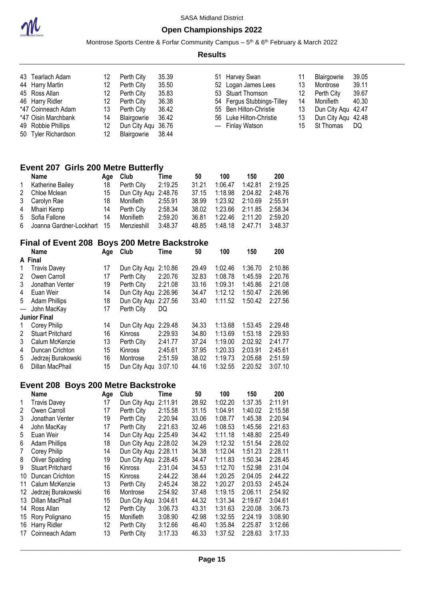

Montrose Sports Centre & Forfar Community Campus – 5<sup>th</sup> & 6<sup>th</sup> February & March 2022

#### **Results**

| 43 Tearlach Adam    | 12              | Perth City   | 35.39 |
|---------------------|-----------------|--------------|-------|
| 44 Harry Martin     | 12              | Perth City   | 35.50 |
| 45 Ross Allan       | 12              | Perth City   | 35.83 |
| 46 Harry Ridler     | 12              | Perth City   | 36.38 |
| *47 Coinneach Adam  | 13              | Perth City   | 36.42 |
| *47 Oisin Marchbank | 14              | Blairgowrie  | 36.42 |
| 49 Robbie Phillips  | 12 <sup>°</sup> | Dun City Agu | 36.76 |
| 50 Tyler Richardson | 12              | Blairgowrie  | 38.44 |

|                | 51 Harvey Swan             | 11 | Blairgowrie        | 39.05 |
|----------------|----------------------------|----|--------------------|-------|
|                | 52 Logan James Lees        | 13 | Montrose           | 39.11 |
|                | 53 Stuart Thomson          | 12 | Perth City         | 39.67 |
|                | 54 Fergus Stubbings-Tilley | 14 | Monifieth          | 40.30 |
|                | 55 Ben Hilton-Christie     | 13 | Dun City Agu       | 42.47 |
|                | 56 Luke Hilton-Christie    | 13 | Dun City Agu 42.48 |       |
| $\overline{a}$ | <b>Finlay Watson</b>       | 15 | St Thomas          | DO    |

### **Event 207 Girls 200 Metre Butterfly**

|              | Name                         | Aqe | Club                 | Time    | 50    | 100             | 150             | 200     |
|--------------|------------------------------|-----|----------------------|---------|-------|-----------------|-----------------|---------|
| $\mathbf{1}$ | Katherine Bailey             | 18  | Perth City           | 2:19.25 | 31.21 | 1:06.47         | 1:42.81         | 2:19.25 |
|              | 2 Chloe Mclean               | 15  | Dun City Agu 2:48.76 |         | 37.15 |                 | 1:18.98 2:04.82 | 2:48.76 |
|              | 3 Carolyn Rae                | 18  | Monifieth            | 2:55.91 | 38.99 | 1:23.92 2:10.69 |                 | 2:55.91 |
|              | 4 Mhairi Kemp                | 14  | Perth City           | 2:58.34 | 38.02 |                 | 1:23.66 2:11.85 | 2:58.34 |
|              | 5 Sofia Fallone              | 14  | Monifieth            | 2:59.20 | 36.81 |                 | 1:22.46 2:11.20 | 2:59.20 |
|              | 6 Joanna Gardner-Lockhart 15 |     | Menzieshill          | 3:48.37 | 48.85 |                 | 1:48.18 2:47.71 | 3:48.37 |

### **Final of Event 208 Boys 200 Metre Backstroke**

|                          | <b>Name</b>             | Age | Club         | Time    | 50    | 100     | 150     | 200     |
|--------------------------|-------------------------|-----|--------------|---------|-------|---------|---------|---------|
|                          | A Final                 |     |              |         |       |         |         |         |
| 1                        | <b>Travis Davey</b>     | 17  | Dun City Agu | 2:10.86 | 29.49 | 1:02.46 | 1:36.70 | 2:10.86 |
| 2                        | Owen Carroll            | 17  | Perth City   | 2:20.76 | 32.83 | 1:08.78 | 1:45.59 | 2:20.76 |
| 3                        | Jonathan Venter         | 19  | Perth City   | 2:21.08 | 33.16 | 1:09.31 | 1:45.86 | 2:21.08 |
| 4                        | Euan Weir               | 14  | Dun City Agu | 2:26.96 | 34.47 | 1:12.12 | 1:50.47 | 2:26.96 |
| 5                        | <b>Adam Phillips</b>    | 18  | Dun City Agu | 2:27.56 | 33.40 | 1:11.52 | 1:50.42 | 2:27.56 |
| $\overline{\phantom{a}}$ | John MacKay             | 17  | Perth City   | DQ      |       |         |         |         |
|                          | <b>Junior Final</b>     |     |              |         |       |         |         |         |
| 1                        | Corey Philip            | 14  | Dun City Aqu | 2:29.48 | 34.33 | 1:13.68 | 1:53.45 | 2:29.48 |
| 2                        | <b>Stuart Pritchard</b> | 16  | Kinross      | 2:29.93 | 34.80 | 1:13.69 | 1:53.18 | 2:29.93 |
| 3                        | Calum McKenzie          | 13  | Perth City   | 2:41.77 | 37.24 | 1:19.00 | 2:02.92 | 2:41.77 |
| 4                        | Duncan Crichton         | 15  | Kinross      | 2:45.61 | 37.95 | 1:20.33 | 2:03.91 | 2:45.61 |
| 5                        | Jedrzej Burakowski      | 16  | Montrose     | 2:51.59 | 38.02 | 1:19.73 | 2:05.68 | 2:51.59 |
| 6                        | Dillan MacPhail         | 15  | Dun City Agu | 3:07.10 | 44.16 | 1:32.55 | 2:20.52 | 3:07.10 |

#### **Event 208 Boys 200 Metre Backstroke**

|    | Name                    | Age | Club                 | Time    | 50    | 100     | 150     | 200     |
|----|-------------------------|-----|----------------------|---------|-------|---------|---------|---------|
| 1  | <b>Travis Davey</b>     | 17  | Dun City Aqu         | 2:11.91 | 28.92 | 1:02.20 | 1:37.35 | 2:11.91 |
| 2  | Owen Carroll            | 17  | Perth City           | 2:15.58 | 31.15 | 1:04.91 | 1:40.02 | 2:15.58 |
| 3  | Jonathan Venter         | 19  | Perth City           | 2:20.94 | 33.06 | 1:08.77 | 1:45.38 | 2:20.94 |
| 4  | John MacKay             | 17  | Perth City           | 2:21.63 | 32.46 | 1:08.53 | 1:45.56 | 2:21.63 |
| 5  | Euan Weir               | 14  | Dun City Aqu         | 2:25.49 | 34.42 | 1:11.18 | 1:48.80 | 2:25.49 |
| 6  | <b>Adam Phillips</b>    | 18  | Dun City Aqu 2:28.02 |         | 34.29 | 1:12.32 | 1:51.54 | 2:28.02 |
| 7  | Corey Philip            | 14  | Dun City Agu         | 2:28.11 | 34.38 | 1:12.04 | 1:51.23 | 2:28.11 |
| 8  | Oliver Spalding         | 19  | Dun City Aqu         | 2:28.45 | 34.47 | 1:11.83 | 1:50.34 | 2:28.45 |
| 9  | <b>Stuart Pritchard</b> | 16  | <b>Kinross</b>       | 2:31.04 | 34.53 | 1:12.70 | 1:52.98 | 2:31.04 |
| 10 | Duncan Crichton         | 15  | Kinross              | 2:44.22 | 38.44 | 1:20.25 | 2:04.05 | 2:44.22 |
| 11 | Calum McKenzie          | 13  | Perth City           | 2:45.24 | 38.22 | 1:20.27 | 2:03.53 | 2:45.24 |
| 12 | Jedrzej Burakowski      | 16  | Montrose             | 2:54.92 | 37.48 | 1:19.15 | 2:06.11 | 2:54.92 |
| 13 | Dillan MacPhail         | 15  | Dun City Agu         | 3:04.61 | 44.32 | 1:31.34 | 2:19.67 | 3:04.61 |
| 14 | Ross Allan              | 12  | Perth City           | 3:06.73 | 43.31 | 1:31.63 | 2:20.08 | 3:06.73 |
| 15 | Rory Polignano          | 15  | Monifieth            | 3:08.90 | 42.98 | 1:32.55 | 2:24.19 | 3:08.90 |
| 16 | Harry Ridler            | 12  | Perth City           | 3:12.66 | 46.40 | 1:35.84 | 2:25.87 | 3:12.66 |
| 17 | Coinneach Adam          | 13  | Perth City           | 3:17.33 | 46.33 | 1:37.52 | 2:28.63 | 3:17.33 |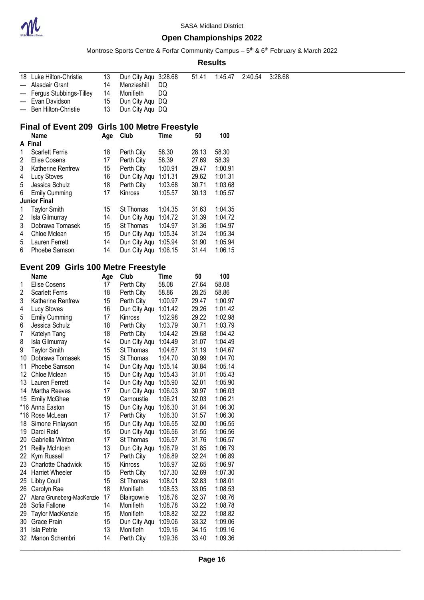

Montrose Sports Centre & Forfar Community Campus – 5<sup>th</sup> & 6<sup>th</sup> February & March 2022

| 18  | Luke Hilton-Christie                         | 13       | Dun City Aqu 3:28.68 |         | 51.41 | 1:45.47 | 2:40.54 | 3:28.68 |
|-----|----------------------------------------------|----------|----------------------|---------|-------|---------|---------|---------|
| --- | Alasdair Grant                               | 14       | Menzieshill          | DQ      |       |         |         |         |
| --- | Fergus Stubbings-Tilley                      | 14       | Monifieth            | DQ      |       |         |         |         |
|     | Evan Davidson                                | 15       | Dun City Aqu DQ      |         |       |         |         |         |
| --- | Ben Hilton-Christie                          | 13       | Dun City Aqu DQ      |         |       |         |         |         |
|     |                                              |          |                      |         |       |         |         |         |
|     | Final of Event 209 Girls 100 Metre Freestyle |          |                      |         |       |         |         |         |
|     | Name                                         | Age Club |                      | Time    | 50    | 100     |         |         |
|     | A Final                                      |          |                      |         |       |         |         |         |
| 1   | <b>Scarlett Ferris</b>                       | 18       | Perth City           | 58.30   | 28.13 | 58.30   |         |         |
| 2   | <b>Elise Cosens</b>                          | 17       | Perth City           | 58.39   | 27.69 | 58.39   |         |         |
|     |                                              |          | Perth City           | 1:00.91 | 29.47 | 1:00.91 |         |         |
| 3   | Katherine Renfrew                            | 15       |                      |         |       |         |         |         |
| 4   | Lucy Stoves                                  | 16       | Dun City Aqu 1:01.31 |         | 29.62 | 1:01.31 |         |         |
| 5   | Jessica Schulz                               | 18       | Perth City           | 1:03.68 | 30.71 | 1:03.68 |         |         |
| 6   | <b>Emily Cumming</b>                         | 17       | Kinross              | 1:05.57 | 30.13 | 1:05.57 |         |         |
|     | <b>Junior Final</b>                          |          |                      |         |       |         |         |         |
| 1   | <b>Taylor Smith</b>                          | 15       | St Thomas            | 1:04.35 | 31.63 | 1:04.35 |         |         |
| 2   | Isla Gilmurray                               | 14       | Dun City Aqu 1:04.72 |         | 31.39 | 1:04.72 |         |         |
| 3   | Dobrawa Tomasek                              | 15       | St Thomas            | 1:04.97 | 31.36 | 1:04.97 |         |         |
| 4   | Chloe Mclean                                 | 15       | Dun City Aqu 1:05.34 |         | 31.24 | 1:05.34 |         |         |
| 5   | Lauren Ferrett                               | 14       | Dun City Aqu 1:05.94 |         | 31.90 | 1:05.94 |         |         |
| 6   | Phoebe Samson                                | 14       | Dun City Aqu 1:06.15 |         | 31.44 | 1:06.15 |         |         |
|     |                                              |          |                      |         |       |         |         |         |
|     | Event 209 Girls 100 Metre Freestyle          |          |                      |         |       |         |         |         |
|     | <b>Name</b>                                  | Age Club |                      | Time    | 50    | 100     |         |         |
| 1   | <b>Elise Cosens</b>                          | 17       | Perth City           | 58.08   | 27.64 | 58.08   |         |         |
| 2   | <b>Scarlett Ferris</b>                       | 18       | Perth City           | 58.86   | 28.25 | 58.86   |         |         |
| 3   | Katherine Renfrew                            | 15       | Perth City           | 1:00.97 | 29.47 | 1:00.97 |         |         |
| 4   | Lucy Stoves                                  | 16       | Dun City Aqu 1:01.42 |         | 29.26 | 1:01.42 |         |         |
| 5   | <b>Emily Cumming</b>                         | 17       | Kinross              | 1:02.98 | 29.22 | 1:02.98 |         |         |
| 6   | Jessica Schulz                               | 18       | Perth City           | 1:03.79 | 30.71 | 1:03.79 |         |         |
| 7   |                                              | 18       | Perth City           | 1:04.42 | 29.68 | 1:04.42 |         |         |
|     | Katelyn Tang                                 |          |                      |         |       |         |         |         |
| 8   | Isla Gilmurray                               | 14       | Dun City Aqu 1:04.49 |         | 31.07 | 1:04.49 |         |         |
| 9   | <b>Taylor Smith</b>                          | 15       | St Thomas            | 1:04.67 | 31.19 | 1:04.67 |         |         |
| 10  | Dobrawa Tomasek                              | 15       | St Thomas            | 1:04.70 | 30.99 | 1:04.70 |         |         |
| 11  | Phoebe Samson                                | 14       | Dun City Aqu 1:05.14 |         | 30.84 | 1:05.14 |         |         |
| 12  | Chloe Mclean                                 | 15       | Dun City Aqu 1:05.43 |         | 31.01 | 1:05.43 |         |         |
|     | 13 Lauren Ferrett                            | 14       | Dun City Aqu 1:05.90 |         | 32.01 | 1:05.90 |         |         |
|     | 14 Martha Reeves                             | 17       | Dun City Aqu 1:06.03 |         | 30.97 | 1:06.03 |         |         |
|     | 15 Emily McGhee                              | 19       | Carnoustie           | 1:06.21 | 32.03 | 1:06.21 |         |         |
|     | *16 Anna Easton                              | 15       | Dun City Aqu 1:06.30 |         | 31.84 | 1:06.30 |         |         |
|     | *16 Rose McLean                              | 17       | Perth City           | 1:06.30 | 31.57 | 1:06.30 |         |         |
| 18  | Simone Finlayson                             | 15       | Dun City Aqu 1:06.55 |         | 32.00 | 1:06.55 |         |         |
| 19  | Darci Reid                                   | 15       | Dun City Aqu 1:06.56 |         | 31.55 | 1:06.56 |         |         |
| 20  | Gabriella Winton                             | 17       | St Thomas            | 1:06.57 | 31.76 | 1:06.57 |         |         |
| 21  | <b>Reilly McIntosh</b>                       | 13       | Dun City Aqu         | 1:06.79 | 31.85 | 1:06.79 |         |         |
| 22  | Kym Russell                                  | 17       | Perth City           | 1:06.89 | 32.24 | 1:06.89 |         |         |
| 23  | <b>Charlotte Chadwick</b>                    | 15       | Kinross              | 1:06.97 | 32.65 | 1:06.97 |         |         |
|     | 24 Harriet Wheeler                           | 15       | Perth City           | 1:07.30 | 32.69 | 1:07.30 |         |         |
|     | 25 Libby Coull                               | 15       | St Thomas            | 1:08.01 | 32.83 | 1:08.01 |         |         |
|     | 26 Carolyn Rae                               | 18       | Monifieth            | 1:08.53 | 33.05 | 1:08.53 |         |         |
|     | 27 Alana Gruneberg-MacKenzie                 | 17       | Blairgowrie          | 1:08.76 | 32.37 | 1:08.76 |         |         |
|     | 28 Sofia Fallone                             | 14       | Monifieth            | 1:08.78 | 33.22 | 1:08.78 |         |         |
|     | 29 Taylor MacKenzie                          | 15       | Monifieth            | 1:08.82 | 32.22 | 1:08.82 |         |         |
|     | 30 Grace Prain                               | 15       | Dun City Aqu         | 1:09.06 | 33.32 | 1:09.06 |         |         |
| 31  | Isla Petrie                                  | 13       | Monifieth            | 1:09.16 | 34.15 | 1:09.16 |         |         |
|     | 32 Manon Schembri                            | 14       | Perth City           | 1:09.36 | 33.40 | 1:09.36 |         |         |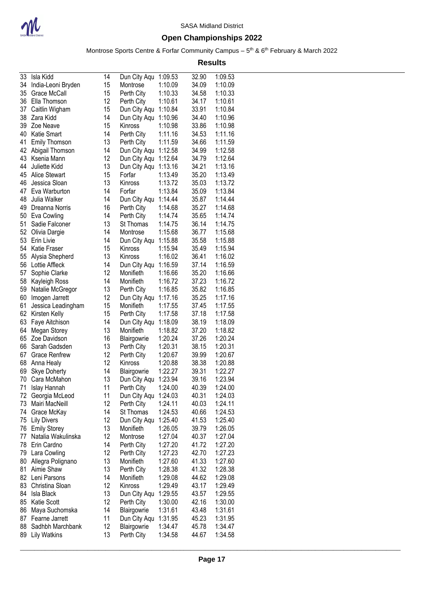

Montrose Sports Centre & Forfar Community Campus – 5<sup>th</sup> & 6<sup>th</sup> February & March 2022

| 33 | Isla Kidd            | 14 | Dun City Aqu | 1:09.53 | 32.90 | 1:09.53 |
|----|----------------------|----|--------------|---------|-------|---------|
| 34 | India-Leoni Bryden   | 15 | Montrose     | 1:10.09 | 34.09 | 1:10.09 |
| 35 | Grace McCall         | 15 | Perth City   | 1:10.33 | 34.58 | 1:10.33 |
| 36 | Ella Thomson         | 12 | Perth City   | 1:10.61 | 34.17 | 1:10.61 |
| 37 | Caitlin Wigham       | 15 | Dun City Aqu | 1:10.84 | 33.91 | 1:10.84 |
| 38 | Zara Kidd            | 14 | Dun City Aqu | 1:10.96 | 34.40 | 1:10.96 |
| 39 | Zoe Neave            | 15 | Kinross      | 1:10.98 | 33.86 | 1:10.98 |
| 40 | Katie Smart          | 14 | Perth City   | 1:11.16 | 34.53 | 1:11.16 |
| 41 | <b>Emily Thomson</b> | 13 | Perth City   | 1:11.59 | 34.66 | 1:11.59 |
| 42 | Abigail Thomson      | 14 | Dun City Aqu | 1:12.58 | 34.99 | 1:12.58 |
| 43 | Ksenia Mann          | 12 | Dun City Aqu | 1:12.64 | 34.79 | 1:12.64 |
| 44 | Juliette Kidd        | 13 | Dun City Aqu | 1:13.16 | 34.21 | 1:13.16 |
| 45 | <b>Alice Stewart</b> | 15 | Forfar       | 1:13.49 | 35.20 | 1:13.49 |
| 46 | Jessica Sloan        | 13 | Kinross      | 1:13.72 | 35.03 | 1:13.72 |
| 47 | Eva Warburton        | 14 | Forfar       | 1:13.84 | 35.09 | 1:13.84 |
| 48 | Julia Walker         | 14 | Dun City Aqu | 1:14.44 | 35.87 | 1:14.44 |
| 49 | Dreanna Norris       | 16 | Perth City   | 1:14.68 | 35.27 | 1:14.68 |
| 50 | Eva Cowling          | 14 | Perth City   | 1:14.74 | 35.65 | 1:14.74 |
| 51 | Sadie Falconer       | 13 | St Thomas    | 1:14.75 | 36.14 | 1:14.75 |
| 52 | Olivia Dargie        | 14 | Montrose     | 1:15.68 | 36.77 | 1:15.68 |
| 53 | Erin Livie           | 14 | Dun City Aqu | 1:15.88 | 35.58 | 1:15.88 |
| 54 | Katie Fraser         | 15 | Kinross      | 1:15.94 | 35.49 | 1:15.94 |
| 55 | Alysia Shepherd      | 13 | Kinross      | 1:16.02 | 36.41 | 1:16.02 |
| 56 | Lottie Affleck       | 14 | Dun City Aqu | 1:16.59 | 37.14 | 1:16.59 |
| 57 | Sophie Clarke        | 12 | Monifieth    | 1:16.66 | 35.20 | 1:16.66 |
| 58 | Kayleigh Ross        | 14 | Monifieth    | 1:16.72 | 37.23 | 1:16.72 |
| 59 | Natalie McGregor     | 13 | Perth City   | 1:16.85 | 35.82 | 1:16.85 |
| 60 | Imogen Jarrett       | 12 | Dun City Aqu | 1:17.16 | 35.25 | 1:17.16 |
| 61 | Jessica Leadingham   | 15 | Monifieth    | 1:17.55 | 37.45 | 1:17.55 |
| 62 | Kirsten Kelly        | 15 | Perth City   | 1:17.58 | 37.18 | 1:17.58 |
| 63 | Faye Aitchison       | 14 | Dun City Aqu | 1:18.09 | 38.19 | 1:18.09 |
| 64 | Megan Storey         | 13 | Monifieth    | 1:18.82 | 37.20 | 1:18.82 |
| 65 | Zoe Davidson         | 16 | Blairgowrie  | 1:20.24 | 37.26 | 1:20.24 |
| 66 | Sarah Gadsden        | 13 | Perth City   | 1:20.31 | 38.15 | 1:20.31 |
| 67 | <b>Grace Renfrew</b> | 12 | Perth City   | 1:20.67 | 39.99 | 1:20.67 |
| 68 | Anna Healy           | 12 | Kinross      | 1:20.88 | 38.38 | 1:20.88 |
| 69 | <b>Skye Doherty</b>  | 14 | Blairgowrie  | 1:22.27 | 39.31 | 1:22.27 |
| 70 | Cara McMahon         | 13 | Dun City Aqu | 1:23.94 | 39.16 | 1:23.94 |
| 71 | Islay Hannah         | 11 | Perth City   | 1:24.00 | 40.39 | 1:24.00 |
| 72 | Georgia McLeod       | 11 | Dun City Aqu | 1:24.03 | 40.31 | 1:24.03 |
| 73 | Mairi MacNeill       | 12 | Perth City   | 1:24.11 | 40.03 | 1:24.11 |
| 74 | Grace McKay          | 14 | St Thomas    | 1:24.53 | 40.66 | 1:24.53 |
| 75 | <b>Lily Divers</b>   | 12 | Dun City Aqu | 1:25.40 | 41.53 | 1:25.40 |
| 76 | <b>Emily Storey</b>  | 13 | Monifieth    | 1:26.05 | 39.79 | 1:26.05 |
| 77 | Natalia Wakulinska   | 12 | Montrose     | 1:27.04 | 40.37 | 1:27.04 |
| 78 | Erin Cardno          | 14 | Perth City   | 1:27.20 | 41.72 | 1:27.20 |
| 79 | Lara Cowling         | 12 | Perth City   | 1:27.23 | 42.70 | 1:27.23 |
| 80 | Allegra Polignano    | 13 | Monifieth    | 1:27.60 | 41.33 | 1:27.60 |
| 81 | Aimie Shaw           | 13 | Perth City   | 1:28.38 | 41.32 | 1:28.38 |
| 82 | Leni Parsons         | 14 | Monifieth    | 1:29.08 | 44.62 | 1:29.08 |
| 83 | Christina Sloan      | 12 | Kinross      | 1:29.49 | 43.17 | 1:29.49 |
| 84 | <b>Isla Black</b>    | 13 | Dun City Aqu | 1:29.55 | 43.57 | 1:29.55 |
| 85 | Katie Scott          | 12 | Perth City   | 1:30.00 | 42.16 | 1:30.00 |
| 86 | Maya Suchomska       | 14 | Blairgowrie  | 1:31.61 | 43.48 | 1:31.61 |
| 87 | Fearne Jarrett       | 11 | Dun City Aqu | 1:31.95 | 45.23 | 1:31.95 |
| 88 | Sadhbh Marchbank     | 12 | Blairgowrie  | 1:34.47 | 45.78 | 1:34.47 |
| 89 | <b>Lily Watkins</b>  | 13 | Perth City   | 1:34.58 | 44.67 | 1:34.58 |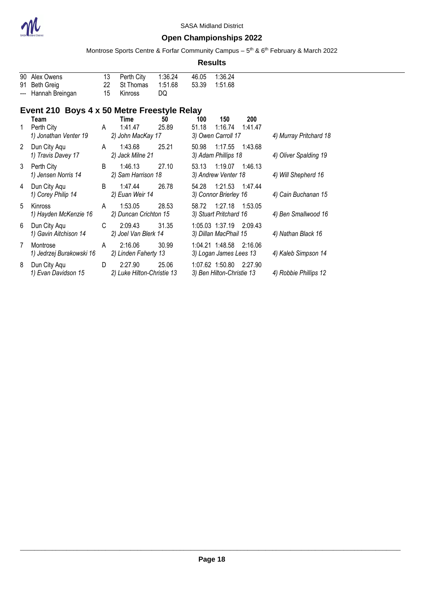

### **Open Championships 2022**

Montrose Sports Centre & Forfar Community Campus – 5<sup>th</sup> & 6<sup>th</sup> February & March 2022

|     |                                                   |                |                                       |                          |                | <b>Results</b>                               |                |                        |
|-----|---------------------------------------------------|----------------|---------------------------------------|--------------------------|----------------|----------------------------------------------|----------------|------------------------|
| --- | 90 Alex Owens<br>91 Beth Greig<br>Hannah Breingan | 13<br>22<br>15 | Perth City<br>St Thomas<br>Kinross    | 1:36.24<br>1:51.68<br>DQ | 46.05<br>53.39 | 1:36.24<br>1:51.68                           |                |                        |
|     | Event 210 Boys 4 x 50 Metre Freestyle Relay       |                |                                       |                          |                |                                              |                |                        |
| 1   | Team<br>Perth City<br>1) Jonathan Venter 19       | A              | Time<br>1:41.47<br>2) John MacKay 17  | 50<br>25.89              | 100<br>51.18   | 150<br>1:16.74<br>3) Owen Carroll 17         | 200<br>1:41.47 | 4) Murray Pritchard 18 |
| 2   | Dun City Aqu<br>1) Travis Davey 17                | A              | 1:43.68<br>2) Jack Milne 21           | 25.21                    | 50.98          | 1:17.55<br>3) Adam Phillips 18               | 1:43.68        | 4) Oliver Spalding 19  |
| 3   | Perth City<br>1) Jensen Norris 14                 | B              | 1:46.13<br>2) Sam Harrison 18         | 27.10                    | 53.13          | 1:19.07<br>3) Andrew Venter 18               | 1:46.13        | 4) Will Shepherd 16    |
| 4   | Dun City Aqu<br>1) Corey Philip 14                | B              | 1:47.44<br>2) Euan Weir 14            | 26.78                    | 54.28          | 1:21.53<br>3) Connor Brierley 16             | 1:47.44        | 4) Cain Buchanan 15    |
| 5   | Kinross<br>1) Hayden McKenzie 16                  | A              | 1:53.05<br>2) Duncan Crichton 15      | 28.53                    |                | 58.72 1:27.18<br>3) Stuart Pritchard 16      | 1:53.05        | 4) Ben Smallwood 16    |
| 6   | Dun City Aqu<br>1) Gavin Aitchison 14             | C              | 2:09.43<br>2) Joel Van Blerk 14       | 31.35                    |                | 1:05.03 1:37.19<br>3) Dillan MacPhail 15     | 2:09.43        | 4) Nathan Black 16     |
| 7   | Montrose<br>1) Jedrzej Burakowski 16              | A              | 2:16.06<br>2) Linden Faherty 13       | 30.99                    |                | 1:04.21 1:48.58<br>3) Logan James Lees 13    | 2:16.06        | 4) Kaleb Simpson 14    |
| 8   | Dun City Agu<br>1) Evan Davidson 15               | D.             | 2:27.90<br>2) Luke Hilton-Christie 13 | 25.06                    |                | 1:07.62 1:50.80<br>3) Ben Hilton-Christie 13 | 2:27.90        | 4) Robbie Phillips 12  |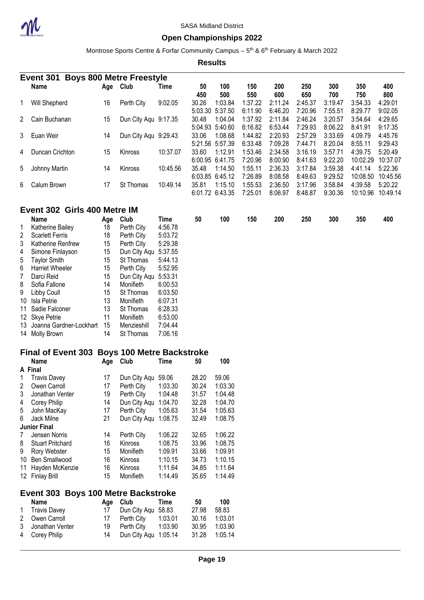

#### **Open Championships 2022**

Montrose Sports Centre & Forfar Community Campus – 5<sup>th</sup> & 6<sup>th</sup> February & March 2022

**Results**

|   | Event 301       |     | <b>Boys 800 Metre Freestyle</b> |          |                  |                                       |                               |                               |                               |                               |                                |                                |
|---|-----------------|-----|---------------------------------|----------|------------------|---------------------------------------|-------------------------------|-------------------------------|-------------------------------|-------------------------------|--------------------------------|--------------------------------|
|   | <b>Name</b>     | Age | Club                            | Time     | 50<br>450        | 100<br>500                            | 150<br>550                    | 200<br>600                    | 250<br>650                    | 300<br>700                    | 350<br>750                     | 400<br>800                     |
|   | Will Shepherd   | 16  | Perth City                      | 9:02.05  | 30.26<br>5:03.30 | 1:03.84<br>5:37.50                    | 1:37.22<br>6:11.90            | 2:11.24<br>6:46.20            | 2:45.37<br>7:20.96            | 3:19.47<br>7:55.51            | 3:54.33<br>8:29.77             | 4:29.01<br>9:02.05             |
| 2 | Cain Buchanan   | 15  | Dun City Agu 9:17.35            |          | 30.48<br>5:04.93 | 1:04.04                               | 1:37.92                       | 2:11.84                       | 2:46.24                       | 3:20.57                       | 3:54.64                        | 4:29.65                        |
| 3 | Euan Weir       | 14  | Dun City Aqu 9:29.43            |          | 33.06            | 5:40.60<br>1:08.68                    | 6:16.82<br>1:44.82            | 6:53.44<br>2:20.93            | 7:29.93<br>2:57.29            | 8:06.22<br>3:33.69            | 8:41.91<br>4:09.79             | 9:17.35<br>4:45.76             |
| 4 | Duncan Crichton | 15  | Kinross                         | 10:37.07 | 33.60<br>6:00.95 | 5:21.56 5:57.39<br>1:12.91<br>6:41.75 | 6:33.48<br>1:53.46<br>7:20.96 | 7:09.28<br>2:34.58<br>8:00.90 | 7:44.71<br>3:16.19<br>8:41.63 | 8:20.04<br>3:57.71<br>9:22.20 | 8:55.11<br>4:39.75<br>10:02.29 | 9:29.43<br>5:20.49<br>10:37.07 |
| 5 | Johnny Martin   | 14  | Kinross                         | 10:45.56 | 35.48            | 1:14.50<br>6:03.85 6:45.12            | 1:55.11<br>7:26.89            | 2:36.33<br>8:08.58            | 3:17.84<br>8:49.63            | 3:59.38<br>9:29.52            | 4:41.14<br>10:08.50            | 5:22.36<br>10:45.56            |
| 6 | Calum Brown     | 17  | St Thomas                       | 10:49.14 | 35.81<br>6:01.72 | 1:15.10<br>6:43.35                    | 1:55.53<br>7:25.01            | 2:36.50<br>8:06.97            | 3:17.96<br>8:48.87            | 3:58.84<br>9:30.36            | 4:39.58<br>10:10.96            | 5:20.22<br>10:49.14            |

### **Event 302 Girls 400 Metre IM**

|                | Name                       | Age | Club             | Time    | 50 | 100 | 150 | 200 | 250 | 300 | 350 | 400 |
|----------------|----------------------------|-----|------------------|---------|----|-----|-----|-----|-----|-----|-----|-----|
| 1              | Katherine Bailey           | 18  | Perth City       | 4:56.78 |    |     |     |     |     |     |     |     |
| $2^{\circ}$    | <b>Scarlett Ferris</b>     | 18  | Perth City       | 5:03.72 |    |     |     |     |     |     |     |     |
| 3              | <b>Katherine Renfrew</b>   | 15  | Perth City       | 5:29.38 |    |     |     |     |     |     |     |     |
| 4              | Simone Finlayson           | 15  | Dun City Agu     | 5:37.55 |    |     |     |     |     |     |     |     |
| 5 <sub>5</sub> | Taylor Smith               | 15  | St Thomas        | 5:44.13 |    |     |     |     |     |     |     |     |
| 6              | <b>Harriet Wheeler</b>     | 15  | Perth City       | 5:52.95 |    |     |     |     |     |     |     |     |
| $7^{\circ}$    | Darci Reid                 | 15  | Dun City Aqu     | 5:53.31 |    |     |     |     |     |     |     |     |
| 8              | Sofia Fallone              | 14  | Monifieth        | 6:00.53 |    |     |     |     |     |     |     |     |
| 9              | Libby Coull                | 15  | <b>St Thomas</b> | 6:03.50 |    |     |     |     |     |     |     |     |
|                | 10 Isla Petrie             | 13  | Monifieth        | 6:07.31 |    |     |     |     |     |     |     |     |
|                | 11 Sadie Falconer          | 13  | <b>St Thomas</b> | 6:28.33 |    |     |     |     |     |     |     |     |
|                | 12 Skye Petrie             | 11  | Monifieth        | 6:53.00 |    |     |     |     |     |     |     |     |
|                | 13 Joanna Gardner-Lockhart | 15  | Menzieshill      | 7:04.44 |    |     |     |     |     |     |     |     |
|                | 14 Molly Brown             | 14  | <b>St Thomas</b> | 7:06.16 |    |     |     |     |     |     |     |     |

### **Final of Event 303 Boys 100 Metre Backstroke**

|    | Name                    | Age | Club           | Time    | 50    | 100     |
|----|-------------------------|-----|----------------|---------|-------|---------|
| A  | Final                   |     |                |         |       |         |
|    | <b>Travis Davey</b>     | 17  | Dun City Aqu   | 59.06   | 28.20 | 59.06   |
| 2  | Owen Carroll            | 17  | Perth City     | 1:03.30 | 30.24 | 1:03.30 |
| 3  | Jonathan Venter         | 19  | Perth City     | 1:04.48 | 31.57 | 1:04.48 |
| 4  | Corey Philip            | 14  | Dun City Aqu   | 1:04.70 | 32.28 | 1:04.70 |
| 5  | John MacKay             | 17  | Perth City     | 1:05.63 | 31.54 | 1:05.63 |
| 6  | Jack Milne              | 21  | Dun City Agu   | 1:08.75 | 32.49 | 1:08.75 |
|    | <b>Junior Final</b>     |     |                |         |       |         |
| 7  | Jensen Norris           | 14  | Perth City     | 1:06.22 | 32.65 | 1:06.22 |
| 8  | <b>Stuart Pritchard</b> | 16  | <b>Kinross</b> | 1:08.75 | 33.96 | 1:08.75 |
| 9  | Rory Webster            | 15  | Monifieth      | 1:09.91 | 33.66 | 1:09.91 |
| 10 | Ben Smallwood           | 16  | Kinross        | 1:10.15 | 34.73 | 1:10.15 |
| 11 | Hayden McKenzie         | 16  | <b>Kinross</b> | 1:11.64 | 34.85 | 1:11.64 |
| 12 | <b>Finlay Brill</b>     | 15  | Monifieth      | 1:14.49 | 35.65 | 1:14.49 |
|    |                         |     |                |         |       |         |

### **Event 303 Boys 100 Metre Backstroke**

| Name              |    | Age Club               | Time | 50    | 100           |
|-------------------|----|------------------------|------|-------|---------------|
| 1 Travis Davey    | 17 | Dun City Aqu 58.83     |      | 27.98 | 58.83         |
| 2 Owen Carroll    |    | 17 Perth City 1:03.01  |      | 30.16 | 1:03.01       |
| 3 Jonathan Venter |    | 19 Perth City  1:03.90 |      | 30.95 | 1:03.90       |
| 4 Corey Philip    | 14 | Dun City Aqu 1:05.14   |      |       | 31.28 1:05.14 |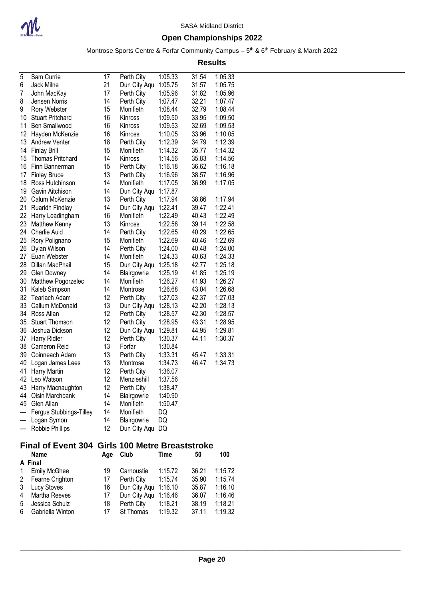

Montrose Sports Centre & Forfar Community Campus – 5<sup>th</sup> & 6<sup>th</sup> February & March 2022

| 5              | Sam Currie                           | 17       | Perth City                          | 1:05.33            | 31.54          | 1:05.33            |
|----------------|--------------------------------------|----------|-------------------------------------|--------------------|----------------|--------------------|
| 6              | Jack Milne                           | 21       | Dun City Aqu                        | 1:05.75            | 31.57          | 1:05.75            |
| 7              | John MacKay                          | 17       | Perth City                          | 1:05.96            | 31.82          | 1:05.96            |
| 8              | Jensen Norris                        | 14       | Perth City                          | 1:07.47            | 32.21          | 1:07.47            |
| 9              | Rory Webster                         | 15       | Monifieth                           | 1:08.44            | 32.79          | 1:08.44            |
| 10             | <b>Stuart Pritchard</b>              | 16       | Kinross                             | 1:09.50            | 33.95          | 1:09.50            |
| 11             | Ben Smallwood                        | 16       | Kinross                             | 1:09.53            | 32.69          | 1:09.53            |
| 12             | Hayden McKenzie                      | 16       | Kinross                             | 1:10.05            | 33.96          | 1:10.05            |
| 13             | <b>Andrew Venter</b>                 | 18       | Perth City                          | 1:12.39            | 34.79          | 1:12.39            |
| 14             | <b>Finlay Brill</b>                  | 15       | Monifieth                           | 1:14.32            | 35.77          | 1:14.32            |
| 15             | <b>Thomas Pritchard</b>              | 14       | Kinross                             | 1:14.56            | 35.83          | 1:14.56            |
| 16             | Finn Bannerman                       | 15       | Perth City                          | 1:16.18            | 36.62          | 1:16.18            |
| 17             | <b>Finlay Bruce</b>                  | 13       | Perth City                          | 1:16.96            | 38.57          | 1:16.96            |
| 18             | Ross Hutchinson                      | 14       | Monifieth                           | 1:17.05            | 36.99          | 1:17.05            |
| 19             | Gavin Aitchison                      | 14       | Dun City Aqu                        | 1:17.87            |                |                    |
| 20             | Calum McKenzie                       | 13       | Perth City                          | 1:17.94            | 38.86          | 1:17.94            |
| 21<br>22       | Ruaridh Findlay                      | 14       | Dun City Aqu                        | 1:22.41            | 39.47          | 1:22.41<br>1:22.49 |
| 23             | Harry Leadingham                     | 16<br>13 | Monifieth                           | 1:22.49            | 40.43<br>39.14 |                    |
| 24             | <b>Matthew Kenny</b><br>Charlie Auld | 14       | Kinross<br>Perth City               | 1:22.58<br>1:22.65 | 40.29          | 1:22.58<br>1:22.65 |
| 25             | Rory Polignano                       | 15       | Monifieth                           | 1:22.69            | 40.46          | 1:22.69            |
| 26             | Dylan Wilson                         | 14       | Perth City                          | 1:24.00            | 40.48          | 1:24.00            |
| 27             | Euan Webster                         | 14       | Monifieth                           | 1:24.33            | 40.63          | 1:24.33            |
| 28             | Dillan MacPhail                      | 15       | Dun City Aqu                        | 1:25.18            | 42.77          | 1:25.18            |
| 29             | <b>Glen Downey</b>                   | 14       | Blairgowrie                         | 1:25.19            | 41.85          | 1:25.19            |
| 30             | Matthew Pogorzelec                   | 14       | Monifieth                           | 1:26.27            | 41.93          | 1:26.27            |
| 31             | Kaleb Simpson                        | 14       | Montrose                            | 1:26.68            | 43.04          | 1:26.68            |
| 32             | <b>Tearlach Adam</b>                 | 12       | Perth City                          | 1:27.03            | 42.37          | 1:27.03            |
| 33             | Callum McDonald                      | 13       | Dun City Aqu                        | 1:28.13            | 42.20          | 1:28.13            |
| 34             | Ross Allan                           | 12       | Perth City                          | 1:28.57            | 42.30          | 1:28.57            |
| 35             | <b>Stuart Thomson</b>                | 12       | Perth City                          | 1:28.95            | 43.31          | 1:28.95            |
| 36             | Joshua Dickson                       | 12       | Dun City Aqu                        | 1:29.81            | 44.95          | 1:29.81            |
| 37             | Harry Ridler                         | 12       | Perth City                          | 1:30.37            | 44.11          | 1:30.37            |
| 38             | <b>Cameron Reid</b>                  | 13       | Forfar                              | 1:30.84            |                |                    |
| 39             | Coinneach Adam                       | 13       | Perth City                          | 1:33.31            | 45.47          | 1:33.31            |
| 40             | Logan James Lees                     | 13       | Montrose                            | 1:34.73            | 46.47          | 1:34.73            |
| 41             | Harry Martin                         | 12       | Perth City                          | 1:36.07            |                |                    |
| 42             | Leo Watson                           | 12       | Menzieshill                         | 1:37.56            |                |                    |
|                | 43 Harry Macnaughton                 | 12       | Perth City                          | 1:38.47            |                |                    |
| 44             | Oisin Marchbank                      | 14       | Blairgowrie                         | 1:40.90            |                |                    |
| 45             | Glen Allan                           | 14       | Monifieth                           | 1:50.47            |                |                    |
| ---            | Fergus Stubbings-Tilley              | 14       | Monifieth                           | DQ                 |                |                    |
| ---            | Logan Symon                          | 14       | Blairgowrie                         | DQ                 |                |                    |
| ---            | Robbie Phillips                      | 12       | Dun City Aqu                        | DQ                 |                |                    |
|                | <b>Final of Event 304</b>            |          | <b>Girls 100 Metre Breaststroke</b> |                    |                |                    |
|                | Name                                 | Age      | Club                                | Time               | 50             | 100                |
|                | A Final                              |          |                                     |                    |                |                    |
| 1              | <b>Emily McGhee</b>                  | 19       | Carnoustie                          | 1:15.72            | 36.21          | 1:15.72            |
| 2              | Fearne Crighton                      | 17       | Perth City                          | 1:15.74            | 35.90          | 1:15.74            |
| 3              | Lucy Stoves                          | 16       | Dun City Aqu                        | 1:16.10            | 35.87          | 1:16.10            |
| $\overline{A}$ | Martha Daouan                        | 17       | $n \cap \{k, j, k, m\}$             | $4.4C$ $AC$        | 20 U.S         | $4.4C$ $AC$        |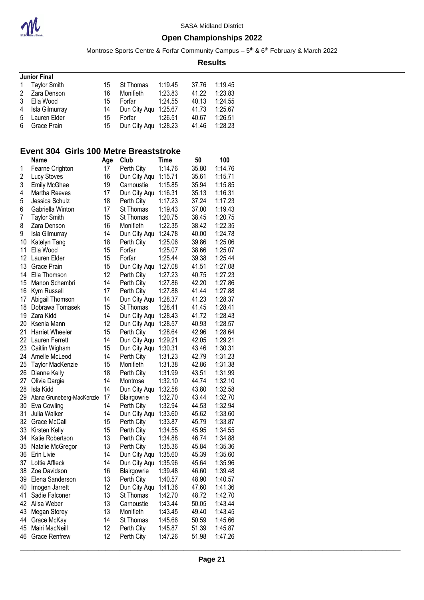

Montrose Sports Centre & Forfar Community Campus – 5<sup>th</sup> & 6<sup>th</sup> February & March 2022

**Results**

| 1:19.45<br>37.76 |                                          |
|------------------|------------------------------------------|
| 1:23.83<br>41.22 |                                          |
| 40.13            |                                          |
| 41.73            |                                          |
| 40.67            |                                          |
| 41.46            |                                          |
|                  | 1:24.55<br>1:25.67<br>1:26.51<br>1:28.23 |

### **Event 304 Girls 100 Metre Breaststroke**

|    | <b>Name</b>               | Age | Club         | Time    | 50    | 100     |
|----|---------------------------|-----|--------------|---------|-------|---------|
| 1  | Fearne Crighton           | 17  | Perth City   | 1:14.76 | 35.80 | 1:14.76 |
| 2  | Lucy Stoves               | 16  | Dun City Aqu | 1:15.71 | 35.61 | 1:15.71 |
| 3  | <b>Emily McGhee</b>       | 19  | Carnoustie   | 1:15.85 | 35.94 | 1:15.85 |
| 4  | Martha Reeves             | 17  | Dun City Aqu | 1:16.31 | 35.13 | 1:16.31 |
| 5  | Jessica Schulz            | 18  | Perth City   | 1:17.23 | 37.24 | 1:17.23 |
| 6  | Gabriella Winton          | 17  | St Thomas    | 1:19.43 | 37.00 | 1:19.43 |
| 7  | <b>Taylor Smith</b>       | 15  | St Thomas    | 1:20.75 | 38.45 | 1:20.75 |
| 8  | Zara Denson               | 16  | Monifieth    | 1:22.35 | 38.42 | 1:22.35 |
| 9  | Isla Gilmurray            | 14  | Dun City Aqu | 1:24.78 | 40.00 | 1:24.78 |
| 10 | Katelyn Tang              | 18  | Perth City   | 1:25.06 | 39.86 | 1:25.06 |
| 11 | Ella Wood                 | 15  | Forfar       | 1:25.07 | 38.66 | 1:25.07 |
| 12 | Lauren Elder              | 15  | Forfar       | 1:25.44 | 39.38 | 1:25.44 |
| 13 | Grace Prain               | 15  | Dun City Aqu | 1:27.08 | 41.51 | 1:27.08 |
| 14 | Ella Thomson              | 12  | Perth City   | 1:27.23 | 40.75 | 1:27.23 |
| 15 | Manon Schembri            | 14  | Perth City   | 1:27.86 | 42.20 | 1:27.86 |
| 16 | Kym Russell               | 17  | Perth City   | 1:27.88 | 41.44 | 1:27.88 |
| 17 | Abigail Thomson           | 14  | Dun City Aqu | 1:28.37 | 41.23 | 1:28.37 |
| 18 | Dobrawa Tomasek           | 15  | St Thomas    | 1:28.41 | 41.45 | 1:28.41 |
| 19 | Zara Kidd                 | 14  | Dun City Aqu | 1:28.43 | 41.72 | 1:28.43 |
| 20 | Ksenia Mann               | 12  | Dun City Aqu | 1:28.57 | 40.93 | 1:28.57 |
| 21 | <b>Harriet Wheeler</b>    | 15  | Perth City   | 1:28.64 | 42.96 | 1:28.64 |
| 22 | Lauren Ferrett            | 14  | Dun City Aqu | 1:29.21 | 42.05 | 1:29.21 |
| 23 | Caitlin Wigham            | 15  | Dun City Aqu | 1:30.31 | 43.46 | 1:30.31 |
| 24 | Amelle McLeod             | 14  | Perth City   | 1:31.23 | 42.79 | 1:31.23 |
| 25 | Taylor MacKenzie          | 15  | Monifieth    | 1:31.38 | 42.86 | 1:31.38 |
| 26 | Dianne Kelly              | 18  | Perth City   | 1:31.99 | 43.51 | 1:31.99 |
| 27 | Olivia Dargie             | 14  | Montrose     | 1:32.10 | 44.74 | 1:32.10 |
| 28 | Isla Kidd                 | 14  | Dun City Aqu | 1:32.58 | 43.80 | 1:32.58 |
| 29 | Alana Gruneberg-MacKenzie | 17  | Blairgowrie  | 1:32.70 | 43.44 | 1:32.70 |
| 30 | Eva Cowling               | 14  | Perth City   | 1:32.94 | 44.53 | 1:32.94 |
| 31 | Julia Walker              | 14  | Dun City Aqu | 1:33.60 | 45.62 | 1:33.60 |
| 32 | Grace McCall              | 15  | Perth City   | 1:33.87 | 45.79 | 1:33.87 |
| 33 | Kirsten Kelly             | 15  | Perth City   | 1:34.55 | 45.95 | 1:34.55 |
| 34 | Katie Robertson           | 13  | Perth City   | 1:34.88 | 46.74 | 1:34.88 |
| 35 | Natalie McGregor          | 13  | Perth City   | 1:35.36 | 45.84 | 1:35.36 |
| 36 | Erin Livie                | 14  | Dun City Aqu | 1:35.60 | 45.39 | 1:35.60 |
| 37 | Lottie Affleck            | 14  | Dun City Aqu | 1:35.96 | 45.64 | 1:35.96 |
| 38 | Zoe Davidson              | 16  | Blairgowrie  | 1:39.48 | 46.60 | 1:39.48 |
| 39 | Elena Sanderson           | 13  | Perth City   | 1:40.57 | 48.90 | 1:40.57 |
| 40 | Imogen Jarrett            | 12  | Dun City Aqu | 1:41.36 | 47.60 | 1:41.36 |
| 41 | Sadie Falconer            | 13  | St Thomas    | 1:42.70 | 48.72 | 1:42.70 |
| 42 | Ailsa Weber               | 13  | Carnoustie   | 1:43.44 | 50.05 | 1:43.44 |
| 43 | Megan Storey              | 13  | Monifieth    | 1:43.45 | 49.40 | 1:43.45 |
| 44 | Grace McKay               | 14  | St Thomas    | 1:45.66 | 50.59 | 1:45.66 |
| 45 | Mairi MacNeill            | 12  | Perth City   | 1:45.87 | 51.39 | 1:45.87 |
| 46 | <b>Grace Renfrew</b>      | 12  | Perth City   | 1:47.26 | 51.98 | 1:47.26 |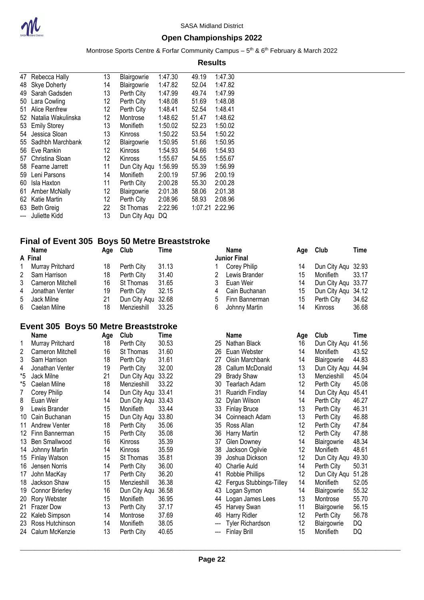

### **Open Championships 2022**

Montrose Sports Centre & Forfar Community Campus – 5<sup>th</sup> & 6<sup>th</sup> February & March 2022

#### **Results**

| 47  | Rebecca Hally       | 13                | Blairgowrie  | 1:47.30 | 49.19   | 1:47.30 |
|-----|---------------------|-------------------|--------------|---------|---------|---------|
| 48  | <b>Skye Doherty</b> | 14                | Blairgowrie  | 1:47.82 | 52.04   | 1:47.82 |
| 49  | Sarah Gadsden       | 13                | Perth City   | 1:47.99 | 49.74   | 1:47.99 |
| 50  | Lara Cowling        | 12                | Perth City   | 1:48.08 | 51.69   | 1:48.08 |
| 51  | Alice Renfrew       | 12                | Perth City   | 1:48.41 | 52.54   | 1:48.41 |
| 52  | Natalia Wakulinska  | 12                | Montrose     | 1:48.62 | 51.47   | 1:48.62 |
| 53  | <b>Emily Storey</b> | 13                | Monifieth    | 1:50.02 | 52.23   | 1:50.02 |
| 54  | Jessica Sloan       | 13                | Kinross      | 1:50.22 | 53.54   | 1:50.22 |
| 55  | Sadhbh Marchbank    | 12                | Blairgowrie  | 1:50.95 | 51.66   | 1:50.95 |
| 56  | Eve Rankin          | $12 \overline{ }$ | Kinross      | 1:54.93 | 54.66   | 1:54.93 |
| 57  | Christina Sloan     | 12                | Kinross      | 1:55.67 | 54.55   | 1:55.67 |
| 58  | Fearne Jarrett      | 11                | Dun City Aqu | 1:56.99 | 55.39   | 1:56.99 |
| 59  | Leni Parsons        | 14                | Monifieth    | 2:00.19 | 57.96   | 2:00.19 |
| 60  | Isla Haxton         | 11                | Perth City   | 2:00.28 | 55.30   | 2:00.28 |
| 61  | Amber McNally       | 12                | Blairgowrie  | 2:01.38 | 58.06   | 2:01.38 |
| 62  | Katie Martin        | 12                | Perth City   | 2:08.96 | 58.93   | 2:08.96 |
| 63  | <b>Beth Greig</b>   | 22                | St Thomas    | 2:22.96 | 1:07.21 | 2:22.96 |
| --- | Juliette Kidd       | 13                | Dun City Aqu | DQ      |         |         |

#### **Final of Event 305 Boys 50 Metre Breaststroke**

|   | <b>Name</b>       | Aqe | Club               | Time  |   | <b>Name</b>         | Aqe | Club               | <b>Time</b> |
|---|-------------------|-----|--------------------|-------|---|---------------------|-----|--------------------|-------------|
|   | A Final           |     |                    |       |   | <b>Junior Final</b> |     |                    |             |
|   | Murray Pritchard  | 18  | Perth City         | 31.13 |   | Corey Philip        | 14  | Dun City Aqu 32.93 |             |
|   | 2 Sam Harrison    | 18  | Perth City         | 31.40 |   | 2 Lewis Brander     | 15  | Monifieth          | 33.17       |
| 3 | Cameron Mitchell  | 16  | St Thomas          | 31.65 |   | Euan Weir           | 14  | Dun City Aqu 33.77 |             |
|   | 4 Jonathan Venter | 19  | Perth City         | 32.15 | 4 | Cain Buchanan       | 15  | Dun City Agu 34.12 |             |
|   | 5 Jack Milne      | 21  | Dun City Agu 32.68 |       | 5 | Finn Bannerman      | 15  | Perth City         | 34.62       |
| 6 | Caelan Milne      | 18  | Menzieshill        | 33.25 |   | Johnny Martin       | 14  | Kinross            | 36.68       |

### **Event 305 Boys 50 Metre Breaststroke**

|    | ,,,                    |                  |              |             |
|----|------------------------|------------------|--------------|-------------|
|    | <b>Name</b>            | Age              | Club         | <b>Time</b> |
| 1  | Murray Pritchard       | 18               | Perth City   | 30.53       |
| 2  | Cameron Mitchell       | 16               | St Thomas    | 31.60       |
| 3  | Sam Harrison           | 18               | Perth City   | 31.61       |
| 4  | Jonathan Venter        | 19               | Perth City   | 32.00       |
| *5 | Jack Milne             | 21               | Dun City Aqu | 33.22       |
| *5 | Caelan Milne           | 18               | Menzieshill  | 33.22       |
| 7  | Corey Philip           | 14               | Dun City Aqu | 33.41       |
| 8  | Euan Weir              | 14               | Dun City Aqu | 33.43       |
| 9  | Lewis Brander          | 15               | Monifieth    | 33.44       |
| 10 | Cain Buchanan          | 15               | Dun City Aqu | 33.80       |
| 11 | <b>Andrew Venter</b>   | 18               | Perth City   | 35.06       |
| 12 | Finn Bannerman         | 15               | Perth City   | 35.08       |
| 13 | <b>Ben Smallwood</b>   | 16               | Kinross      | 35.39       |
| 14 | Johnny Martin          | 14               | Kinross      | 35.59       |
| 15 | <b>Finlay Watson</b>   | 15               | St Thomas    | 35.81       |
| 16 | Jensen Norris          | 14               | Perth City   | 36.00       |
| 17 | John MacKay            | 17               | Perth City   | 36.20       |
| 18 | Jackson Shaw           | 15               | Menzieshill  | 36.38       |
| 19 | <b>Connor Brierley</b> | 16               | Dun City Aqu | 36.58       |
| 20 | Rory Webster           | 15 <sup>15</sup> | Monifieth    | 36.95       |
| 21 | <b>Frazer Dow</b>      | 13               | Perth City   | 37.17       |
| 22 | Kaleb Simpson          | 14               | Montrose     | 37.69       |
| 23 | Ross Hutchinson        | 14               | Monifieth    | 38.05       |
| 24 | Calum McKenzie         | 13               | Perth City   | 40.65       |
|    |                        |                  |              |             |

| ent 305 Boys 50 Metre Breaststroke<br>Name | Age | Club         | Time  |     | Name                    | Age | Club         | Time  |
|--------------------------------------------|-----|--------------|-------|-----|-------------------------|-----|--------------|-------|
| Murray Pritchard                           | 18  | Perth City   | 30.53 | 25  | Nathan Black            | 16  | Dun City Aqu | 41.56 |
| Cameron Mitchell                           | 16  | St Thomas    | 31.60 | 26  | Euan Webster            | 14  | Monifieth    | 43.52 |
| Sam Harrison                               | 18  | Perth City   | 31.61 | 27  | Oisin Marchbank         | 14  | Blairgowrie  | 44.83 |
| Jonathan Venter                            | 19  | Perth City   | 32.00 | 28  | Callum McDonald         | 13  | Dun City Aqu | 44.94 |
| Jack Milne                                 | 21  | Dun City Aqu | 33.22 | 29  | <b>Brady Shaw</b>       | 13  | Menzieshill  | 45.04 |
| Caelan Milne                               | 18  | Menzieshill  | 33.22 | 30  | Tearlach Adam           | 12  | Perth City   | 45.08 |
| Corey Philip                               | 14  | Dun City Agu | 33.41 | 31  | <b>Ruaridh Findlay</b>  | 14  | Dun City Aqu | 45.41 |
| Euan Weir                                  | 14  | Dun City Aqu | 33.43 | 32  | Dylan Wilson            | 14  | Perth City   | 46.27 |
| Lewis Brander                              | 15  | Monifieth    | 33.44 | 33  | <b>Finlay Bruce</b>     | 13  | Perth City   | 46.31 |
| Cain Buchanan                              | 15  | Dun City Aqu | 33.80 | 34  | Coinneach Adam          | 13  | Perth City   | 46.88 |
| Andrew Venter                              | 18  | Perth City   | 35.06 | 35  | Ross Allan              | 12  | Perth City   | 47.84 |
| Finn Bannerman                             | 15  | Perth City   | 35.08 | 36  | Harry Martin            | 12  | Perth City   | 47.88 |
| Ben Smallwood                              | 16  | Kinross      | 35.39 | 37  | Glen Downey             | 14  | Blairgowrie  | 48.34 |
| Johnny Martin                              | 14  | Kinross      | 35.59 | 38  | Jackson Ogilvie         | 12  | Monifieth    | 48.61 |
| Finlay Watson                              | 15  | St Thomas    | 35.81 | 39  | Joshua Dickson          | 12  | Dun City Aqu | 49.30 |
| Jensen Norris                              | 14  | Perth City   | 36.00 | 40  | <b>Charlie Auld</b>     | 14  | Perth City   | 50.31 |
| John MacKay                                | 17  | Perth City   | 36.20 | 41  | Robbie Phillips         | 12  | Dun City Aqu | 51.28 |
| Jackson Shaw                               | 15  | Menzieshill  | 36.38 | 42  | Fergus Stubbings-Tilley | 14  | Monifieth    | 52.05 |
| Connor Brierley                            | 16  | Dun City Aqu | 36.58 | 43  | Logan Symon             | 14  | Blairgowrie  | 55.32 |
| Rory Webster                               | 15  | Monifieth    | 36.95 | 44  | Logan James Lees        | 13  | Montrose     | 55.70 |
| Frazer Dow                                 | 13  | Perth City   | 37.17 | 45  | Harvey Swan             | 11  | Blairgowrie  | 56.15 |
| Kaleb Simpson                              | 14  | Montrose     | 37.69 | 46  | Harry Ridler            | 12  | Perth City   | 56.78 |
| Ross Hutchinson                            | 14  | Monifieth    | 38.05 | --- | Tyler Richardson        | 12  | Blairgowrie  | DQ    |
| Calum McKenzie                             | 13  | Perth City   | 40.65 | --- | <b>Finlay Brill</b>     | 15  | Monifieth    | DQ    |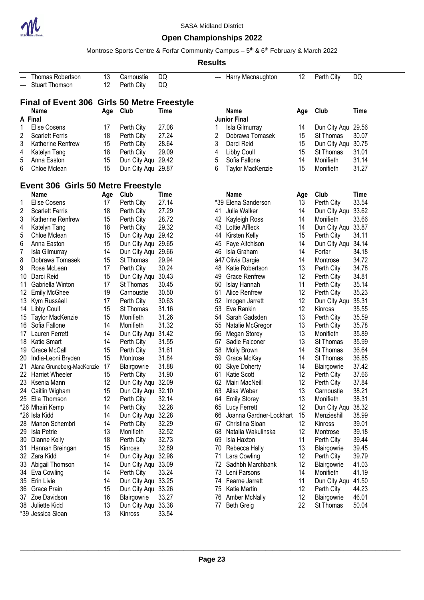

### **Open Championships 2022**

Montrose Sports Centre & Forfar Community Campus – 5<sup>th</sup> & 6<sup>th</sup> February & March 2022

|                | Thomas Robertson                            | 13  | Carnoustie         | DQ          | ---      | Harry Macnaughton       | 12  | Perth City         | DQ    |
|----------------|---------------------------------------------|-----|--------------------|-------------|----------|-------------------------|-----|--------------------|-------|
| ---            | <b>Stuart Thomson</b>                       | 12  | Perth City         | DQ          |          |                         |     |                    |       |
|                |                                             |     |                    |             |          |                         |     |                    |       |
|                | Final of Event 306 Girls 50 Metre Freestyle |     |                    |             |          |                         |     |                    |       |
|                | <b>Name</b>                                 | Age | Club               | Time        |          | <b>Name</b>             | Age | Club               | Time  |
|                | A Final                                     |     |                    |             |          | <b>Junior Final</b>     |     |                    |       |
| 1              | <b>Elise Cosens</b>                         | 17  | Perth City         | 27.08       | 1        | Isla Gilmurray          | 14  | Dun City Aqu       | 29.56 |
| 2              | <b>Scarlett Ferris</b>                      | 18  | Perth City         | 27.24       | 2        | Dobrawa Tomasek         | 15  | St Thomas          | 30.07 |
| 3              | Katherine Renfrew                           | 15  | Perth City         | 28.64       | 3        | Darci Reid              | 15  | Dun City Aqu       | 30.75 |
|                |                                             |     |                    | 29.09       |          | <b>Libby Coull</b>      | 15  |                    | 31.01 |
| 4              | Katelyn Tang                                | 18  | Perth City         |             | 4        |                         |     | St Thomas          |       |
| 5              | Anna Easton                                 | 15  | Dun City Aqu 29.42 |             | 5        | Sofia Fallone           | 14  | Monifieth          | 31.14 |
| 6              | Chloe Mclean                                | 15  | Dun City Aqu 29.87 |             | 6        | <b>Taylor MacKenzie</b> | 15  | Monifieth          | 31.27 |
|                |                                             |     |                    |             |          |                         |     |                    |       |
|                | Event 306 Girls 50 Metre Freestyle          |     |                    |             |          |                         |     |                    |       |
|                | <b>Name</b>                                 | Age | Club               | <b>Time</b> |          | <b>Name</b>             | Age | Club               | Time  |
| 1              | <b>Elise Cosens</b>                         | 17  | Perth City         | 27.14       |          | *39 Elena Sanderson     | 13  | Perth City         | 33.54 |
| $\overline{c}$ | <b>Scarlett Ferris</b>                      | 18  | Perth City         | 27.29       | 41       | Julia Walker            | 14  | Dun City Aqu       | 33.62 |
| 3              | Katherine Renfrew                           | 15  | Perth City         | 28.72       | 42       | Kayleigh Ross           | 14  | Monifieth          | 33.66 |
| 4              | Katelyn Tang                                | 18  | Perth City         | 29.32       | 43       | Lottie Affleck          | 14  | Dun City Aqu 33.87 |       |
| 5              | Chloe Mclean                                | 15  | Dun City Aqu       | 29.42       | 44       | Kirsten Kelly           | 15  | Perth City         | 34.11 |
| 6              | Anna Easton                                 | 15  | Dun City Aqu 29.65 |             | 45       | Faye Aitchison          | 14  | Dun City Aqu       | 34.14 |
| 7              | Isla Gilmurray                              | 14  | Dun City Aqu 29.66 |             | 46       | Isla Graham             | 14  | Forfar             | 34.18 |
| 8              | Dobrawa Tomasek                             | 15  | St Thomas          | 29.94       |          | á47 Olivia Dargie       | 14  | Montrose           | 34.72 |
| 9              | Rose McLean                                 | 17  | Perth City         | 30.24       | 48       | Katie Robertson         | 13  | Perth City         | 34.78 |
| 10             | Darci Reid                                  | 15  | Dun City Aqu       | 30.43       | 49       | <b>Grace Renfrew</b>    | 12  | Perth City         | 34.81 |
| 11             | Gabriella Winton                            | 17  | St Thomas          | 30.45       | 50       | Islay Hannah            | 11  | Perth City         | 35.14 |
| 12             | <b>Emily McGhee</b>                         | 19  | Carnoustie         | 30.50       | 51       | Alice Renfrew           | 12  | Perth City         | 35.23 |
|                |                                             | 17  |                    |             |          |                         | 12  |                    |       |
| 13             | Kym Russáell                                |     | Perth City         | 30.63       | 52       | Imogen Jarrett          |     | Dun City Aqu       | 35.31 |
| 14             | Libby Coull                                 | 15  | St Thomas          | 31.16       | 53       | Eve Rankin              | 12  | Kinross            | 35.55 |
| 15             | <b>Taylor MacKenzie</b>                     | 15  | Monifieth          | 31.26       | 54       | Sarah Gadsden           | 13  | Perth City         | 35.59 |
| 16             | Sofia Fallone                               | 14  | Monifieth          | 31.32       | 55       | Natalie McGregor        | 13  | Perth City         | 35.78 |
| 17             | Lauren Ferrett                              | 14  | Dun City Aqu       | 31.42       | 56       | <b>Megan Storey</b>     | 13  | Monifieth          | 35.89 |
| 18             | Katie Smart                                 | 14  | Perth City         | 31.55       | 57       | Sadie Falconer          | 13  | St Thomas          | 35.99 |
| 19             | Grace McCall                                | 15  | Perth City         | 31.61       | 58       | Molly Brown             | 14  | St Thomas          | 36.64 |
| 20             | India-Leoni Bryden                          | 15  | Montrose           | 31.84       | 59       | Grace McKay             | 14  | St Thomas          | 36.85 |
| 21             | Alana Gruneberg-MacKenzie                   | 17  | Blairgowrie        | 31.88       | 60       | <b>Skye Doherty</b>     | 14  | Blairgowrie        | 37.42 |
| 22             | <b>Harriet Wheeler</b>                      | 15  | Perth City         | 31.90       | 61       | Katie Scott             | 12  | Perth City         | 37.66 |
|                | 23 Ksenia Mann                              | 12  | Dun City Agu 32.09 |             | 62       | Mairi MacNeill          | 12  | Perth City         | 37.84 |
|                | 24 Caitlin Wigham                           | 15  | Dun City Aqu       | 32.10       | 63       | Allsa Weber             | 13  | Carnoustie         | 38.21 |
|                | 25 Ella Thomson                             | 12  | Perth City         | 32.14       | 64       | <b>Emily Storey</b>     | 13  | Monifieth          | 38.31 |
|                | *26 Mhairi Kemp                             | 14  | Perth City         | 32.28       | 65       | Lucy Ferrett            | 12  | Dun City Aqu       | 38.32 |
|                | *26 Isla Kidd                               | 14  | Dun City Aqu       | 32.28       | 66       | Joanna Gardner-Lockhart | 15  | Menzieshill        | 38.99 |
| 28             | Manon Schembri                              | 14  | Perth City         | 32.29       | 67       | Christina Sloan         | 12  | Kinross            | 39.01 |
| 29             | Isla Petrie                                 | 13  | Monifieth          | 32.52       | 68       | Natalia Wakulinska      | 12  | Montrose           | 39.18 |
| 30             | Dianne Kelly                                | 18  | Perth City         | 32.73       | 69       | Isla Haxton             | 11  | Perth City         | 39.44 |
| 31             | Hannah Breingan                             | 15  | Kinross            | 32.89       | 70       | Rebecca Hally           | 13  | Blairgowrie        | 39.45 |
|                |                                             | 14  |                    |             |          |                         | 12  |                    | 39.79 |
|                | 32 Zara Kidd                                | 14  | Dun City Aqu       | 32.98       | 71<br>72 | Lara Cowling            | 12  | Perth City         |       |
|                | 33 Abigail Thomson                          |     | Dun City Aqu 33.09 |             |          | Sadhbh Marchbank        |     | Blairgowrie        | 41.03 |
| 34             | Eva Cowling                                 | 14  | Perth City         | 33.24       | 73       | Leni Parsons            | 14  | Monifieth          | 41.19 |
| 35             | Erin Livie                                  | 14  | Dun City Aqu 33.25 |             | 74       | Fearne Jarrett          | 11  | Dun City Aqu       | 41.50 |
| 36             | Grace Prain                                 | 15  | Dun City Aqu 33.26 |             | 75       | <b>Katie Martin</b>     | 12  | Perth City         | 44.23 |
| 37             | Zoe Davidson                                | 16  | Blairgowrie        | 33.27       | 76       | <b>Amber McNally</b>    | 12  | Blairgowrie        | 46.01 |
|                | 38 Juliette Kidd                            | 13  | Dun City Aqu 33.38 |             | 77       | <b>Beth Greig</b>       | 22  | St Thomas          | 50.04 |
|                | *39 Jessica Sloan                           | 13  | Kinross            | 33.54       |          |                         |     |                    |       |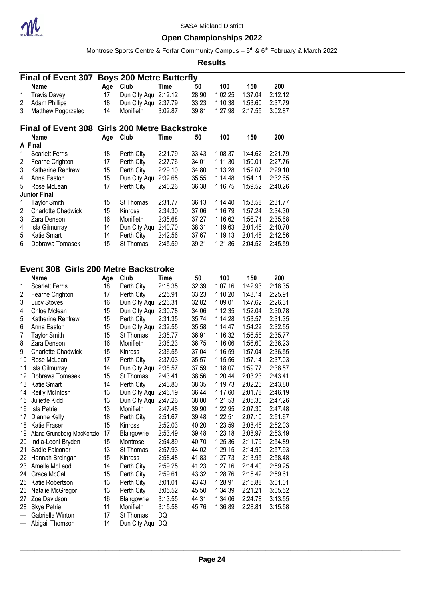

Montrose Sports Centre & Forfar Community Campus – 5<sup>th</sup> & 6<sup>th</sup> February & March 2022

#### **Results**

|   | <b>Final of Event 307</b>                     | <b>Boys 200 Metre Butterfly</b> |                      |         |       |         |         |         |
|---|-----------------------------------------------|---------------------------------|----------------------|---------|-------|---------|---------|---------|
|   | Name                                          | Age                             | Club                 | Time    | 50    | 100     | 150     | 200     |
| 1 | <b>Travis Davey</b>                           | 17                              | Dun City Aqu 2:12.12 |         | 28.90 | 1:02.25 | 1:37.04 | 2:12.12 |
| 2 | <b>Adam Phillips</b>                          | 18                              | Dun City Aqu 2:37.79 |         | 33.23 | 1:10.38 | 1:53.60 | 2:37.79 |
| 3 | Matthew Pogorzelec                            | 14                              | Monifieth            | 3:02.87 | 39.81 | 1:27.98 | 2:17.55 | 3:02.87 |
|   | Final of Event 308 Girls 200 Metre Backstroke |                                 |                      |         |       |         |         |         |
|   | <b>Name</b>                                   | Age                             | Club                 | Time    | 50    | 100     | 150     | 200     |
|   | A Final                                       |                                 |                      |         |       |         |         |         |
| 1 | <b>Scarlett Ferris</b>                        | 18                              | Perth City           | 2:21.79 | 33.43 | 1:08.37 | 1:44.62 | 2:21.79 |
| 2 | Fearne Crighton                               | 17                              | Perth City           | 2:27.76 | 34.01 | 1:11.30 | 1:50.01 | 2:27.76 |
| 3 | Katherine Renfrew                             | 15                              | Perth City           | 2:29.10 | 34.80 | 1:13.28 | 1:52.07 | 2:29.10 |
| 4 | Anna Easton                                   | 15                              | Dun City Aqu         | 2:32.65 | 35.55 | 1:14.48 | 1:54.11 | 2:32.65 |
| 5 | Rose McLean                                   | 17                              | Perth City           | 2:40.26 | 36.38 | 1:16.75 | 1:59.52 | 2:40.26 |
|   | <b>Junior Final</b>                           |                                 |                      |         |       |         |         |         |
|   | Taylor Smith                                  | 15                              | St Thomas            | 2:31.77 | 36.13 | 1:14.40 | 1:53.58 | 2:31.77 |
| 2 | <b>Charlotte Chadwick</b>                     | 15                              | Kinross              | 2:34.30 | 37.06 | 1:16.79 | 1:57.24 | 2:34.30 |
| 3 | Zara Denson                                   | 16                              | Monifieth            | 2:35.68 | 37.27 | 1:16.62 | 1:56.74 | 2:35.68 |
| 4 | Isla Gilmurray                                | 14                              | Dun City Aqu         | 2:40.70 | 38.31 | 1:19.63 | 2:01.46 | 2:40.70 |
| 5 | Katie Smart                                   | 14                              | Perth City           | 2:42.56 | 37.67 | 1:19.13 | 2:01.48 | 2:42.56 |
| 6 | Dobrawa Tomasek                               | 15                              | St Thomas            | 2:45.59 | 39.21 | 1:21.86 | 2:04.52 | 2:45.59 |

#### **Event 308 Girls 200 Metre Backstroke**

|                | Name                      | Age | Club         | Time    | 50    | 100     | 150     | 200     |
|----------------|---------------------------|-----|--------------|---------|-------|---------|---------|---------|
| 1              | <b>Scarlett Ferris</b>    | 18  | Perth City   | 2:18.35 | 32.39 | 1:07.16 | 1:42.93 | 2:18.35 |
| 2              | Fearne Crighton           | 17  | Perth City   | 2:25.91 | 33.23 | 1:10.20 | 1:48.14 | 2:25.91 |
| 3              | Lucy Stoves               | 16  | Dun City Aqu | 2:26.31 | 32.82 | 1:09.01 | 1:47.62 | 2:26.31 |
| 4              | Chloe Mclean              | 15  | Dun City Aqu | 2:30.78 | 34.06 | 1:12.35 | 1:52.04 | 2:30.78 |
| 5              | Katherine Renfrew         | 15  | Perth City   | 2:31.35 | 35.74 | 1:14.28 | 1:53.57 | 2:31.35 |
| 6              | Anna Easton               | 15  | Dun City Aqu | 2:32.55 | 35.58 | 1:14.47 | 1:54.22 | 2:32.55 |
| $\overline{7}$ | <b>Taylor Smith</b>       | 15  | St Thomas    | 2:35.77 | 36.91 | 1:16.32 | 1:56.56 | 2:35.77 |
| 8              | Zara Denson               | 16  | Monifieth    | 2:36.23 | 36.75 | 1:16.06 | 1:56.60 | 2:36.23 |
| 9              | <b>Charlotte Chadwick</b> | 15  | Kinross      | 2:36.55 | 37.04 | 1:16.59 | 1:57.04 | 2:36.55 |
| 10             | Rose McLean               | 17  | Perth City   | 2:37.03 | 35.57 | 1:15.56 | 1:57.14 | 2:37.03 |
| 11             | Isla Gilmurray            | 14  | Dun City Aqu | 2:38.57 | 37.59 | 1:18.07 | 1:59.77 | 2:38.57 |
| 12             | Dobrawa Tomasek           | 15  | St Thomas    | 2:43.41 | 38.56 | 1:20.44 | 2:03.23 | 2:43.41 |
| 13             | Katie Smart               | 14  | Perth City   | 2:43.80 | 38.35 | 1:19.73 | 2:02.26 | 2:43.80 |
| 14             | <b>Reilly McIntosh</b>    | 13  | Dun City Aqu | 2:46.19 | 36.44 | 1:17.60 | 2:01.78 | 2:46.19 |
| 15             | Juliette Kidd             | 13  | Dun City Aqu | 2:47.26 | 38.80 | 1:21.53 | 2:05.30 | 2:47.26 |
| 16             | Isla Petrie               | 13  | Monifieth    | 2:47.48 | 39.90 | 1:22.95 | 2:07.30 | 2:47.48 |
| 17             | Dianne Kelly              | 18  | Perth City   | 2:51.67 | 39.48 | 1:22.51 | 2:07.10 | 2:51.67 |
| 18             | Katie Fraser              | 15  | Kinross      | 2:52.03 | 40.20 | 1:23.59 | 2:08.46 | 2:52.03 |
| 19             | Alana Gruneberg-MacKenzie | 17  | Blairgowrie  | 2:53.49 | 39.48 | 1:23.18 | 2:08.97 | 2:53.49 |
| 20             | India-Leoni Bryden        | 15  | Montrose     | 2:54.89 | 40.70 | 1:25.36 | 2:11.79 | 2:54.89 |
| 21             | Sadie Falconer            | 13  | St Thomas    | 2:57.93 | 44.02 | 1:29.15 | 2:14.90 | 2:57.93 |
| 22             | Hannah Breingan           | 15  | Kinross      | 2:58.48 | 41.83 | 1:27.73 | 2:13.95 | 2:58.48 |
| 23             | Amelle McLeod             | 14  | Perth City   | 2:59.25 | 41.23 | 1:27.16 | 2:14.40 | 2:59.25 |
| 24             | Grace McCall              | 15  | Perth City   | 2:59.61 | 43.32 | 1:28.76 | 2:15.42 | 2:59.61 |
| 25             | Katie Robertson           | 13  | Perth City   | 3:01.01 | 43.43 | 1:28.91 | 2:15.88 | 3:01.01 |
| 26             | Natalie McGregor          | 13  | Perth City   | 3:05.52 | 45.50 | 1:34.39 | 2:21.21 | 3:05.52 |
| 27             | Zoe Davidson              | 16  | Blairgowrie  | 3:13.55 | 44.31 | 1:34.06 | 2:24.78 | 3:13.55 |
| 28             | <b>Skye Petrie</b>        | 11  | Monifieth    | 3:15.58 | 45.76 | 1:36.89 | 2:28.81 | 3:15.58 |
| ---            | Gabriella Winton          | 17  | St Thomas    | DQ      |       |         |         |         |
| ---            | Abigail Thomson           | 14  | Dun City Aqu | DQ      |       |         |         |         |
|                |                           |     |              |         |       |         |         |         |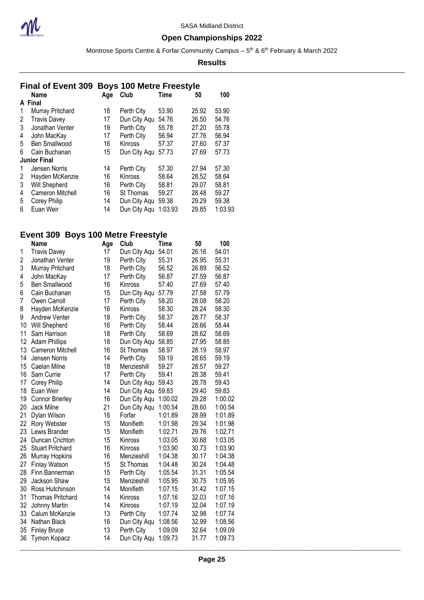

Montrose Sports Centre & Forfar Community Campus – 5<sup>th</sup> & 6<sup>th</sup> February & March 2022

#### **Results**

### **Final of Event 309 Boys 100 Metre Freestyle**

|   | <b>Name</b>         | Age | Club           | Time    | 50    | 100     |
|---|---------------------|-----|----------------|---------|-------|---------|
|   | A Final             |     |                |         |       |         |
| 1 | Murray Pritchard    | 18  | Perth City     | 53.90   | 25.92 | 53.90   |
| 2 | <b>Travis Davey</b> | 17  | Dun City Aqu   | 54.76   | 26.50 | 54.76   |
| 3 | Jonathan Venter     | 19  | Perth City     | 55.78   | 27.20 | 55.78   |
| 4 | John MacKay         | 17  | Perth City     | 56.94   | 27.76 | 56.94   |
| 5 | Ben Smallwood       | 16  | <b>Kinross</b> | 57.37   | 27.60 | 57.37   |
| 6 | Cain Buchanan       | 15  | Dun City Aqu   | 57.73   | 27.69 | 57.73   |
|   | <b>Junior Final</b> |     |                |         |       |         |
| 1 | Jensen Norris       | 14  | Perth City     | 57.30   | 27.94 | 57.30   |
| 2 | Hayden McKenzie     | 16  | <b>Kinross</b> | 58.64   | 28.52 | 58.64   |
| 3 | Will Shepherd       | 16  | Perth City     | 58.81   | 29.07 | 58.81   |
| 4 | Cameron Mitchell    | 16  | St Thomas      | 59.27   | 28.48 | 59.27   |
| 5 | Corey Philip        | 14  | Dun City Aqu   | 59.38   | 29.29 | 59.38   |
| 6 | Euan Weir           | 14  | Dun City Aqu   | 1:03.93 | 29.85 | 1:03.93 |

### **Event 309 Boys 100 Metre Freestyle**

|    | <b>Name</b>             | Age | Club         | Time    | 50    | 100     |
|----|-------------------------|-----|--------------|---------|-------|---------|
| 1  | <b>Travis Davey</b>     | 17  | Dun City Aqu | 54.01   | 26.16 | 54.01   |
| 2  | Jonathan Venter         | 19  | Perth City   | 55.31   | 26.95 | 55.31   |
| 3  | Murray Pritchard        | 18  | Perth City   | 56.52   | 26.89 | 56.52   |
| 4  | John MacKay             | 17  | Perth City   | 56.87   | 27.59 | 56.87   |
| 5  | Ben Smallwood           | 16  | Kinross      | 57.40   | 27.69 | 57.40   |
| 6  | Cain Buchanan           | 15  | Dun City Aqu | 57.79   | 27.58 | 57.79   |
| 7  | Owen Carroll            | 17  | Perth City   | 58.20   | 28.08 | 58.20   |
| 8  | Hayden McKenzie         | 16  | Kinross      | 58.30   | 28.24 | 58.30   |
| 9  | <b>Andrew Venter</b>    | 18  | Perth City   | 58.37   | 28.77 | 58.37   |
| 10 | Will Shepherd           | 16  | Perth City   | 58.44   | 28.66 | 58.44   |
| 11 | Sam Harrison            | 18  | Perth City   | 58.69   | 28.62 | 58.69   |
| 12 | <b>Adam Phillips</b>    | 18  | Dun City Aqu | 58.85   | 27.95 | 58.85   |
| 13 | Cameron Mitchell        | 16  | St Thomas    | 58.97   | 28.19 | 58.97   |
| 14 | Jensen Norris           | 14  | Perth City   | 59.19   | 28.65 | 59.19   |
| 15 | Caelan Milne            | 18  | Menzieshill  | 59.27   | 28.57 | 59.27   |
| 16 | Sam Currie              | 17  | Perth City   | 59.41   | 28.38 | 59.41   |
| 17 | Corey Philip            | 14  | Dun City Aqu | 59.43   | 28.78 | 59.43   |
| 18 | Euan Weir               | 14  | Dun City Aqu | 59.83   | 29.40 | 59.83   |
| 19 | <b>Connor Brierley</b>  | 16  | Dun City Aqu | 1:00.02 | 29.28 | 1:00.02 |
| 20 | Jack Milne              | 21  | Dun City Aqu | 1:00.54 | 28.60 | 1:00.54 |
| 21 | Dylan Wilson            | 16  | Forfar       | 1:01.89 | 28.99 | 1:01.89 |
| 22 | Rory Webster            | 15  | Monifieth    | 1:01.98 | 29.34 | 1:01.98 |
| 23 | Lewis Brander           | 15  | Monifieth    | 1:02.71 | 29.76 | 1:02.71 |
| 24 | Duncan Crichton         | 15  | Kinross      | 1:03.05 | 30.68 | 1:03.05 |
| 25 | <b>Stuart Pritchard</b> | 16  | Kinross      | 1:03.90 | 30.73 | 1:03.90 |
| 26 | <b>Murray Hopkins</b>   | 16  | Menzieshill  | 1:04.38 | 30.17 | 1:04.38 |
| 27 | <b>Finlay Watson</b>    | 15  | St Thomas    | 1:04.48 | 30.24 | 1:04.48 |
| 28 | Finn Bannerman          | 15  | Perth City   | 1:05.54 | 31.31 | 1:05.54 |
| 29 | Jackson Shaw            | 15  | Menzieshill  | 1:05.95 | 30.75 | 1:05.95 |
| 30 | Ross Hutchinson         | 14  | Monifieth    | 1:07.15 | 31.42 | 1:07.15 |
| 31 | <b>Thomas Pritchard</b> | 14  | Kinross      | 1:07.16 | 32.03 | 1:07.16 |
| 32 | Johnny Martin           | 14  | Kinross      | 1:07.19 | 32.04 | 1:07.19 |
| 33 | Calum McKenzie          | 13  | Perth City   | 1:07.74 | 32.98 | 1:07.74 |
| 34 | Nathan Black            | 16  | Dun City Aqu | 1:08.56 | 32.99 | 1:08.56 |
| 35 | <b>Finlay Bruce</b>     | 13  | Perth City   | 1:09.09 | 32.64 | 1:09.09 |
| 36 | Tymon Kopacz            | 14  | Dun City Aqu | 1:09.73 | 31.77 | 1:09.73 |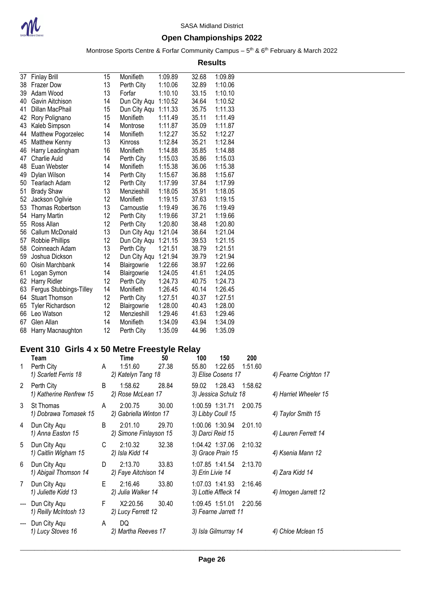

### **Open Championships 2022**

Montrose Sports Centre & Forfar Community Campus – 5<sup>th</sup> & 6<sup>th</sup> February & March 2022

**Results**

| 37 | <b>Finlay Brill</b>     | 15 | Monifieth    | 1:09.89 | 32.68 | 1:09.89 |
|----|-------------------------|----|--------------|---------|-------|---------|
| 38 | <b>Frazer Dow</b>       | 13 | Perth City   | 1:10.06 | 32.89 | 1:10.06 |
| 39 | Adam Wood               | 13 | Forfar       | 1:10.10 | 33.15 | 1:10.10 |
| 40 | Gavin Aitchison         | 14 | Dun City Aqu | 1:10.52 | 34.64 | 1:10.52 |
| 41 | Dillan MacPhail         | 15 | Dun City Aqu | 1:11.33 | 35.75 | 1:11.33 |
| 42 | Rory Polignano          | 15 | Monifieth    | 1:11.49 | 35.11 | 1:11.49 |
| 43 | Kaleb Simpson           | 14 | Montrose     | 1:11.87 | 35.09 | 1:11.87 |
| 44 | Matthew Pogorzelec      | 14 | Monifieth    | 1:12.27 | 35.52 | 1:12.27 |
| 45 | <b>Matthew Kenny</b>    | 13 | Kinross      | 1:12.84 | 35.21 | 1:12.84 |
| 46 | Harry Leadingham        | 16 | Monifieth    | 1:14.88 | 35.85 | 1:14.88 |
| 47 | Charlie Auld            | 14 | Perth City   | 1:15.03 | 35.86 | 1:15.03 |
| 48 | Euan Webster            | 14 | Monifieth    | 1:15.38 | 36.06 | 1:15.38 |
| 49 | Dylan Wilson            | 14 | Perth City   | 1:15.67 | 36.88 | 1:15.67 |
| 50 | Tearlach Adam           | 12 | Perth City   | 1:17.99 | 37.84 | 1:17.99 |
| 51 | <b>Brady Shaw</b>       | 13 | Menzieshill  | 1:18.05 | 35.91 | 1:18.05 |
| 52 | Jackson Ogilvie         | 12 | Monifieth    | 1:19.15 | 37.63 | 1:19.15 |
| 53 | <b>Thomas Robertson</b> | 13 | Carnoustie   | 1:19.49 | 36.76 | 1:19.49 |
| 54 | Harry Martin            | 12 | Perth City   | 1:19.66 | 37.21 | 1:19.66 |
| 55 | Ross Allan              | 12 | Perth City   | 1:20.80 | 38.48 | 1:20.80 |
| 56 | Callum McDonald         | 13 | Dun City Aqu | 1:21.04 | 38.64 | 1:21.04 |
| 57 | Robbie Phillips         | 12 | Dun City Aqu | 1:21.15 | 39.53 | 1:21.15 |
| 58 | Coinneach Adam          | 13 | Perth City   | 1:21.51 | 38.79 | 1:21.51 |
| 59 | Joshua Dickson          | 12 | Dun City Aqu | 1:21.94 | 39.79 | 1:21.94 |
| 60 | Oisin Marchbank         | 14 | Blairgowrie  | 1:22.66 | 38.97 | 1:22.66 |
| 61 | Logan Symon             | 14 | Blairgowrie  | 1:24.05 | 41.61 | 1:24.05 |
| 62 | Harry Ridler            | 12 | Perth City   | 1:24.73 | 40.75 | 1:24.73 |
| 63 | Fergus Stubbings-Tilley | 14 | Monifieth    | 1:26.45 | 40.14 | 1:26.45 |
| 64 | <b>Stuart Thomson</b>   | 12 | Perth City   | 1:27.51 | 40.37 | 1:27.51 |
| 65 | <b>Tyler Richardson</b> | 12 | Blairgowrie  | 1:28.00 | 40.43 | 1:28.00 |
| 66 | Leo Watson              | 12 | Menzieshill  | 1:29.46 | 41.63 | 1:29.46 |
| 67 | Glen Allan              | 14 | Monifieth    | 1:34.09 | 43.94 | 1:34.09 |
| 68 | Harry Macnaughton       | 12 | Perth City   | 1:35.09 | 44.96 | 1:35.09 |

## **Event 310 Girls 4 x 50 Metre Freestyle Relay**

| 1                        | Team<br>Perth City                    | A | Time<br>1:51.60                   | 50<br>27.38 | 100<br>55.80     | 150<br>1:22.65                                  | 200<br>1:51.60 |                       |
|--------------------------|---------------------------------------|---|-----------------------------------|-------------|------------------|-------------------------------------------------|----------------|-----------------------|
| $\mathbf{2}^{\prime}$    | 1) Scarlett Ferris 18<br>Perth City   | B | 2) Katelyn Tang 18<br>1:58.62     | 28.84       | 59.02            | 3) Elise Cosens 17<br>1:28.43                   | 1:58.62        | 4) Fearne Crighton 17 |
|                          | 1) Katherine Renfrew 15               |   | 2) Rose McLean 17                 |             |                  | 3) Jessica Schulz 18                            |                | 4) Harriet Wheeler 15 |
| 3                        | St Thomas<br>1) Dobrawa Tomasek 15    | A | 2:00.75<br>2) Gabriella Winton 17 | 30.00       |                  | 1:00.59 1:31.71<br>3) Libby Coull 15            | 2:00.75        | 4) Taylor Smith 15    |
| 4                        | Dun City Aqu<br>1) Anna Easton 15     | B | 2:01.10<br>2) Simone Finlayson 15 | 29.70       |                  | 1:00.06 1:30.94<br>3) Darci Reid 15             | 2:01.10        | 4) Lauren Ferrett 14  |
| 5                        | Dun City Aqu<br>1) Caitlin Wigham 15  | C | 2:10.32<br>2) Isla Kidd 14        | 32.38       |                  | 1:04.42 1:37.06<br>3) Grace Prain 15            | 2:10.32        | 4) Ksenia Mann 12     |
| 6                        | Dun City Aqu<br>1) Abigail Thomson 14 | D | 2:13.70<br>2) Faye Aitchison 14   | 33.83       | 3) Erin Livie 14 | 1:07.85 1:41.54                                 | 2:13.70        | 4) Zara Kidd 14       |
| $\overline{7}$           | Dun City Aqu<br>1) Juliette Kidd 13   | E | 2:16.46<br>2) Julia Walker 14     | 33.80       |                  | 1:07.03 1:41.93 2:16.46<br>3) Lottie Affleck 14 |                | 4) Imogen Jarrett 12  |
| $\hspace{0.05cm} \ldots$ | Dun City Agu<br>1) Reilly McIntosh 13 | F | X2:20.56<br>2) Lucy Ferrett 12    | 30.40       |                  | 1:09.45 1:51.01 2:20.56<br>3) Fearne Jarrett 11 |                |                       |
| $--$                     | Dun City Aqu<br>1) Lucy Stoves 16     | A | DQ<br>2) Martha Reeves 17         |             |                  | 3) Isla Gilmurray 14                            |                | 4) Chloe Mclean 15    |
|                          |                                       |   |                                   |             |                  |                                                 |                |                       |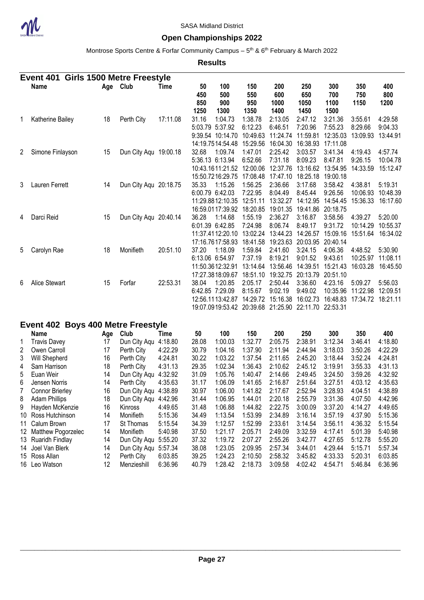

### **Open Championships 2022**

Montrose Sports Centre & Forfar Community Campus – 5<sup>th</sup> & 6<sup>th</sup> February & March 2022

|                | Event 401 Girls 1500 Metre Freestyle    |          |                                              |                    |                          |                                                                                                                                      |                                            |                                                              |                                                              |                                            |                                                   |                                          |
|----------------|-----------------------------------------|----------|----------------------------------------------|--------------------|--------------------------|--------------------------------------------------------------------------------------------------------------------------------------|--------------------------------------------|--------------------------------------------------------------|--------------------------------------------------------------|--------------------------------------------|---------------------------------------------------|------------------------------------------|
|                | Name                                    |          | Age Club                                     | Time               | 50<br>450<br>850<br>1250 | 100<br>500<br>900<br>1300                                                                                                            | 150<br>550<br>950<br>1350                  | 200<br>600<br>1000<br>1400                                   | 250<br>650<br>1050<br>1450                                   | 300<br>700<br>1100<br>1500                 | 350<br>750<br>1150                                | 400<br>800<br>1200                       |
| 1              | Katherine Bailey                        | 18       | Perth City                                   | 17:11.08           | 31.16                    | 1:04.73<br>5:03.79 5:37.92<br>9:39.54 10:14.70<br>14:19.7514:54.48                                                                   | 1:38.78<br>6:12.23<br>10:49.63<br>15:29.56 | 2:13.05<br>6:46.51<br>11:24.74<br>16:04.30                   | 2:47.12<br>7:20.96<br>11:59.81<br>16:38.93                   | 3:21.36<br>7:55.23<br>12:35.03<br>17:11.08 | 3:55.61<br>8:29.66<br>13:09.93                    | 4:29.58<br>9:04.33<br>13:44.91           |
| 2              | Simone Finlayson                        | 15       | Dun City Aqu 19:00.18                        |                    | 32.68                    | 1:09.74<br>5:36.13 6:13.94<br>10:43.1611:21.52 12:00.06<br>15:50.7216:29.75                                                          | 1:47.01<br>6:52.66<br>17:08.48             | 2:25.42<br>7:31.18<br>12:37.76<br>17:47.10                   | 3:03.57<br>8:09.23<br>13:16.62 13:54.95<br>18:25.18          | 3:41.34<br>8:47.81<br>19:00.18             | 4:19.43<br>9:26.15<br>14:33.59                    | 4:57.74<br>10:04.78<br>15:12.47          |
| 3              | Lauren Ferrett                          | 14       | Dun City Aqu 20:18.75                        |                    | 35.33                    | 1:15.26<br>6:00.79 6:42.03<br>11:29.8812:10.35 12:51.11<br>16:59.0117:39.92 18:20.85                                                 | 1:56.25<br>7:22.95                         | 2:36.66<br>8:04.49                                           | 3:17.68<br>8:45.44<br>13:32.27 14:12.95<br>19:01.35 19:41.86 | 3:58.42<br>9:26.56<br>14:54.45<br>20:18.75 | 4:38.81<br>15:36.33                               | 5:19.31<br>10:06.93 10:48.39<br>16:17.60 |
| 4              | Darci Reid                              | 15       | Dun City Aqu 20:40.14                        |                    | 36.28                    | 1:14.68<br>6:01.39 6:42.85<br>11:37.4112:20.10 13:02.24<br>17:16.7617:58.93                                                          | 1:55.19<br>7:24.98<br>18:41.58             | 2:36.27<br>8:06.74                                           | 3:16.87<br>8:49.17<br>13:44.23 14:26.57<br>19:23.63 20:03.95 | 3:58.56<br>9:31.72<br>15:09.16<br>20:40.14 | 4:39.27<br>10:14.29<br>15:51.64                   | 5:20.00<br>10:55.37<br>16:34.02          |
| 5              | Carolyn Rae                             | 18       | Monifieth                                    | 20:51.10           | 37.20                    | 1:18.09<br>6:13.06 6:54.97<br>11:50.3612:32.91<br>17:27.3818:09.67 18:51.10                                                          | 1:59.84<br>7:37.19<br>13:14.64             | 2:41.60<br>8:19.21<br>13:56.46 14:39.51<br>19:32.75 20:13.79 | 3:24.15<br>9:01.52                                           | 4:06.36<br>9:43.61<br>15:21.43<br>20:51.10 | 4:48.52<br>16:03.28                               | 5:30.90<br>10:25.97 11:08.11<br>16:45.50 |
| 6              | <b>Alice Stewart</b>                    | 15       | Forfar                                       | 22:53.31           | 38.04                    | 1:20.85<br>6:42.85 7:29.09<br>12:56.1113:42.87  14:29.72  15:16.38  16:02.73<br>19:07.0919:53.42 20:39.68 21:25.90 22:11.70 22:53.31 | 2:05.17<br>8:15.67                         | 2:50.44<br>9:02.19                                           | 3:36.60<br>9:49.02                                           | 4:23.16<br>10:35.96<br>16:48.83            | 5:09.27<br>11:22.98 12:09.51<br>17:34.72 18:21.11 | 5:56.03                                  |
|                | Event 402 Boys 400 Metre Freestyle      |          |                                              |                    |                          |                                                                                                                                      |                                            |                                                              |                                                              |                                            |                                                   |                                          |
|                | Name                                    | Age      | Club                                         | Time               | 50                       | 100                                                                                                                                  | 150                                        | 200                                                          | 250                                                          | 300                                        | 350                                               | 400                                      |
| 1              | <b>Travis Davey</b>                     | 17       | Dun City Aqu 4:18.80                         |                    | 28.08                    | 1:00.03                                                                                                                              | 1:32.77                                    | 2:05.75                                                      | 2:38.91                                                      | 3:12.34                                    | 3:46.41                                           | 4:18.80                                  |
| $\overline{c}$ | Owen Carroll                            | 17       | Perth City                                   | 4:22.29            | 30.79                    | 1:04.16                                                                                                                              | 1:37.90                                    | 2:11.94                                                      | 2:44.94                                                      | 3:18.03                                    | 3:50.26                                           | 4:22.29                                  |
| 3<br>4         | Will Shepherd<br>Sam Harrison           | 16<br>18 | Perth City<br>Perth City                     | 4:24.81<br>4:31.13 | 30.22<br>29.35           | 1:03.22<br>1:02.34                                                                                                                   | 1:37.54<br>1:36.43                         | 2:11.65<br>2:10.62                                           | 2:45.20<br>2:45.12                                           | 3:18.44<br>3:19.91                         | 3:52.24<br>3:55.33                                | 4:24.81<br>4:31.13                       |
| 5              | Euan Weir                               | 14       | Dun City Aqu 4:32.92                         |                    | 31.09                    | 1:05.76                                                                                                                              | 1:40.47                                    | 2:14.66                                                      | 2:49.45                                                      | 3:24.50                                    | 3:59.26                                           | 4:32.92                                  |
| 6              | Jensen Norris                           | 14       | Perth City                                   | 4:35.63            | 31.17                    | 1:06.09                                                                                                                              | 1:41.65                                    | 2:16.87                                                      | 2:51.64                                                      | 3:27.51                                    | 4:03.12                                           | 4:35.63                                  |
| 7              | Connor Brierley                         | 16       | Dun City Aqu 4:38.89                         |                    | 30.97                    | 1:06.00                                                                                                                              | 1:41.82                                    | 2:17.67                                                      | 2:52.94                                                      | 3:28.93                                    | 4:04.51                                           | 4:38.89                                  |
| 8              | <b>Adam Phillips</b>                    | 18       | Dun City Aqu 4:42.96                         |                    | 31.44                    | 1:06.95                                                                                                                              | 1:44.01                                    | 2:20.18                                                      | 2:55.79                                                      | 3:31.36                                    | 4:07.50                                           | 4:42.96                                  |
| 9              | Hayden McKenzie                         | 16       | Kinross                                      | 4:49.65            | 31.48                    | 1:06.88                                                                                                                              | 1:44.82                                    | 2:22.75                                                      | 3:00.09                                                      | 3:37.20                                    | 4:14.27                                           | 4:49.65                                  |
| 10             | Ross Hutchinson                         | 14       | Monifieth                                    | 5:15.36            | 34.49                    | 1:13.54                                                                                                                              | 1:53.99                                    | 2:34.89                                                      | 3:16.14                                                      | 3:57.19                                    | 4:37.90                                           | 5:15.36                                  |
| 11             | Calum Brown                             | 17       | St Thomas                                    | 5:15.54            | 34.39                    | 1:12.57                                                                                                                              | 1:52.99                                    | 2:33.61                                                      | 3:14.54                                                      | 3:56.11                                    | 4:36.32                                           | 5:15.54                                  |
| 12             | Matthew Pogorzelec                      | 14       | Monifieth                                    | 5:40.98            | 37.50                    | 1:21.17                                                                                                                              | 2:05.71                                    | 2:49.09                                                      | 3:32.59                                                      | 4:17.41<br>4:27.65                         | 5:01.39                                           | 5:40.98                                  |
|                | 13 Ruaridh Findlay<br>14 Joel Van Blerk | 14<br>14 | Dun City Aqu 5:55.20<br>Dun City Agu 5:57.34 |                    | 37.32<br>38.08           | 1:19.72<br>1:23.05                                                                                                                   | 2:07.27<br>2:09.95                         | 2:55.26<br>2:57.34                                           | 3:42.77<br>3:44.01                                           | 4:29.44                                    | 5:12.78<br>5:15.71                                | 5:55.20<br>5:57.34                       |
|                | 15 Ross Allan                           | 12       | Perth City                                   | 6:03.85            | 39.25                    | 1:24.23                                                                                                                              | 2:10.50                                    | 2:58.32                                                      | 3:45.82                                                      | 4:33.33                                    | 5:20.31                                           | 6:03.85                                  |
|                | 16 Leo Watson                           | 12       | Menzieshill                                  | 6:36.96            | 40.79                    | 1:28.42                                                                                                                              | 2:18.73                                    | 3:09.58                                                      | 4:02.42                                                      | 4:54.71                                    | 5:46.84                                           | 6:36.96                                  |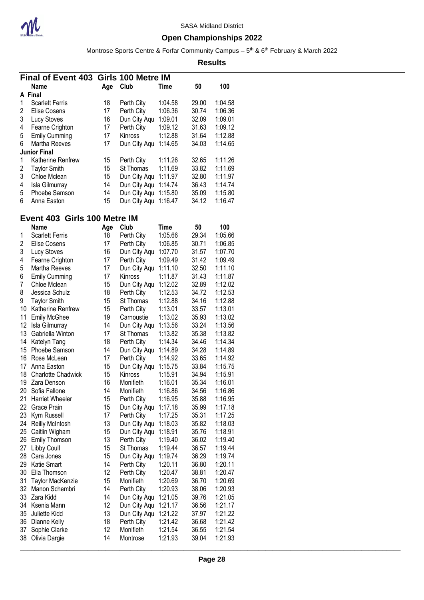

### **Open Championships 2022**

Montrose Sports Centre & Forfar Community Campus – 5<sup>th</sup> & 6<sup>th</sup> February & March 2022

**Results**

|   | Final of Event 403 Girls 100 Metre IM |     |                |         |       |         |
|---|---------------------------------------|-----|----------------|---------|-------|---------|
|   | Name                                  | Age | Club           | Time    | 50    | 100     |
| A | <b>Final</b>                          |     |                |         |       |         |
|   | <b>Scarlett Ferris</b>                | 18  | Perth City     | 1:04.58 | 29.00 | 1:04.58 |
| 2 | Elise Cosens                          | 17  | Perth City     | 1:06.36 | 30.74 | 1:06.36 |
| 3 | Lucy Stoves                           | 16  | Dun City Aqu   | 1:09.01 | 32.09 | 1:09.01 |
| 4 | Fearne Crighton                       | 17  | Perth City     | 1:09.12 | 31.63 | 1:09.12 |
| 5 | <b>Emily Cumming</b>                  | 17  | <b>Kinross</b> | 1:12.88 | 31.64 | 1:12.88 |
| 6 | Martha Reeves                         | 17  | Dun City Aqu   | 1:14.65 | 34.03 | 1:14.65 |
|   | <b>Junior Final</b>                   |     |                |         |       |         |
|   | Katherine Renfrew                     | 15  | Perth City     | 1:11.26 | 32.65 | 1:11.26 |
| 2 | <b>Taylor Smith</b>                   | 15  | St Thomas      | 1:11.69 | 33.82 | 1:11.69 |
| 3 | Chloe Mclean                          | 15  | Dun City Aqu   | 1:11.97 | 32.80 | 1:11.97 |
| 4 | Isla Gilmurray                        | 14  | Dun City Aqu   | 1:14.74 | 36.43 | 1:14.74 |
| 5 | Phoebe Samson                         | 14  | Dun City Aqu   | 1:15.80 | 35.09 | 1:15.80 |
| 6 | Anna Easton                           | 15  | Dun City Agu   | 1:16.47 | 34.12 | 1:16.47 |

### **Event 403 Girls 100 Metre IM**

|                | Name                      | Age | Club                 | <b>Time</b> | 50    | 100     |
|----------------|---------------------------|-----|----------------------|-------------|-------|---------|
| 1              | <b>Scarlett Ferris</b>    | 18  | Perth City           | 1:05.66     | 29.34 | 1:05.66 |
| $\overline{2}$ | <b>Elise Cosens</b>       | 17  | Perth City           | 1:06.85     | 30.71 | 1:06.85 |
| 3              | Lucy Stoves               | 16  | Dun City Aqu         | 1:07.70     | 31.57 | 1:07.70 |
| 4              | Fearne Crighton           | 17  | Perth City           | 1:09.49     | 31.42 | 1:09.49 |
| 5              | Martha Reeves             | 17  | Dun City Aqu 1:11.10 |             | 32.50 | 1:11.10 |
| 6              | <b>Emily Cumming</b>      | 17  | Kinross              | 1:11.87     | 31.43 | 1:11.87 |
| $\overline{7}$ | Chloe Mclean              | 15  | Dun City Aqu 1:12.02 |             | 32.89 | 1:12.02 |
| 8              | Jessica Schulz            | 18  | Perth City           | 1:12.53     | 34.72 | 1:12.53 |
| 9              | <b>Taylor Smith</b>       | 15  | St Thomas            | 1:12.88     | 34.16 | 1:12.88 |
| 10             | Katherine Renfrew         | 15  | Perth City           | 1:13.01     | 33.57 | 1:13.01 |
| 11             | <b>Emily McGhee</b>       | 19  | Carnoustie           | 1:13.02     | 35.93 | 1:13.02 |
| 12             | Isla Gilmurray            | 14  | Dun City Aqu 1:13.56 |             | 33.24 | 1:13.56 |
| 13             | Gabriella Winton          | 17  | St Thomas            | 1:13.82     | 35.38 | 1:13.82 |
| 14             | Katelyn Tang              | 18  | Perth City           | 1:14.34     | 34.46 | 1:14.34 |
|                | 15 Phoebe Samson          | 14  | Dun City Aqu 1:14.89 |             | 34.28 | 1:14.89 |
| 16             | Rose McLean               | 17  | Perth City           | 1:14.92     | 33.65 | 1:14.92 |
|                | 17 Anna Easton            | 15  | Dun City Aqu 1:15.75 |             | 33.84 | 1:15.75 |
| 18             | <b>Charlotte Chadwick</b> | 15  | Kinross              | 1:15.91     | 34.94 | 1:15.91 |
|                | 19 Zara Denson            | 16  | Monifieth            | 1:16.01     | 35.34 | 1:16.01 |
| 20             | Sofia Fallone             | 14  | Monifieth            | 1:16.86     | 34.56 | 1:16.86 |
| 21             | <b>Harriet Wheeler</b>    | 15  | Perth City           | 1:16.95     | 35.88 | 1:16.95 |
| 22             | <b>Grace Prain</b>        | 15  | Dun City Aqu 1:17.18 |             | 35.99 | 1:17.18 |
|                | 23 Kym Russell            | 17  | Perth City           | 1:17.25     | 35.31 | 1:17.25 |
|                | 24 Reilly McIntosh        | 13  | Dun City Aqu 1:18.03 |             | 35.82 | 1:18.03 |
|                | 25 Caitlin Wigham         | 15  | Dun City Aqu 1:18.91 |             | 35.76 | 1:18.91 |
| 26             | Emily Thomson             | 13  | Perth City           | 1:19.40     | 36.02 | 1:19.40 |
| 27             | Libby Coull               | 15  | St Thomas            | 1:19.44     | 36.57 | 1:19.44 |
| 28             | Cara Jones                | 15  | Dun City Aqu 1:19.74 |             | 36.29 | 1:19.74 |
| 29             | Katie Smart               | 14  | Perth City           | 1:20.11     | 36.80 | 1:20.11 |
| 30             | Ella Thomson              | 12  | Perth City           | 1:20.47     | 38.81 | 1:20.47 |
| 31             | Taylor MacKenzie          | 15  | Monifieth            | 1:20.69     | 36.70 | 1:20.69 |
|                | 32 Manon Schembri         | 14  | Perth City           | 1:20.93     | 38.06 | 1:20.93 |
| 33             | Zara Kidd                 | 14  | Dun City Aqu 1:21.05 |             | 39.76 | 1:21.05 |
| 34             | Ksenia Mann               | 12  | Dun City Aqu 1:21.17 |             | 36.56 | 1:21.17 |
| 35             | Juliette Kidd             | 13  | Dun City Aqu 1:21.22 |             | 37.97 | 1:21.22 |
| 36             | Dianne Kelly              | 18  | Perth City           | 1:21.42     | 36.68 | 1:21.42 |
| 37             | Sophie Clarke             | 12  | Monifieth            | 1:21.54     | 36.55 | 1:21.54 |
| 38             | Olivia Dargie             | 14  | Montrose             | 1:21.93     | 39.04 | 1:21.93 |
|                |                           |     |                      |             |       |         |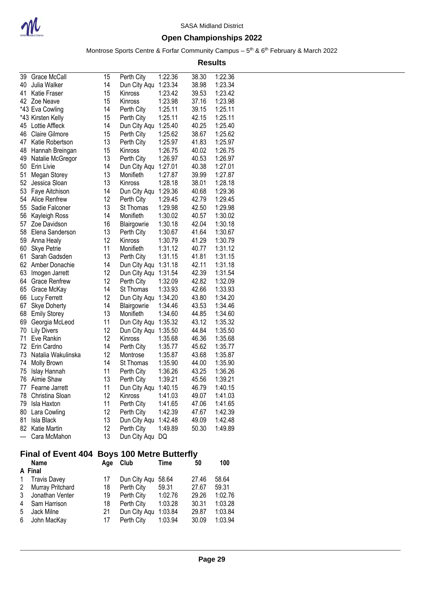

Montrose Sports Centre & Forfar Community Campus – 5<sup>th</sup> & 6<sup>th</sup> February & March 2022

**Results**

| 39  | Grace McCall          | 15 | Perth City   | 1:22.36 | 38.30 | 1:22.36 |
|-----|-----------------------|----|--------------|---------|-------|---------|
| 40  | Julia Walker          | 14 | Dun City Aqu | 1:23.34 | 38.98 | 1:23.34 |
| 41  | <b>Katie Fraser</b>   | 15 | Kinross      | 1:23.42 | 39.53 | 1:23.42 |
| 42  | Zoe Neave             | 15 | Kinross      | 1:23.98 | 37.16 | 1:23.98 |
|     | *43 Eva Cowling       | 14 | Perth City   | 1:25.11 | 39.15 | 1:25.11 |
|     | *43 Kirsten Kelly     | 15 | Perth City   | 1:25.11 | 42.15 | 1:25.11 |
| 45  | Lottie Affleck        | 14 | Dun City Aqu | 1:25.40 | 40.25 | 1:25.40 |
| 46  | <b>Claire Gilmore</b> | 15 | Perth City   | 1:25.62 | 38.67 | 1:25.62 |
| 47  | Katie Robertson       | 13 | Perth City   | 1:25.97 | 41.83 | 1:25.97 |
| 48  | Hannah Breingan       | 15 | Kinross      | 1:26.75 | 40.02 | 1:26.75 |
| 49  | Natalie McGregor      | 13 | Perth City   | 1:26.97 | 40.53 | 1:26.97 |
| 50  | Erin Livie            | 14 | Dun City Aqu | 1:27.01 | 40.38 | 1:27.01 |
| 51  | Megan Storey          | 13 | Monifieth    | 1:27.87 | 39.99 | 1:27.87 |
| 52  | Jessica Sloan         | 13 | Kinross      | 1:28.18 | 38.01 | 1:28.18 |
| 53  | Faye Aitchison        | 14 | Dun City Aqu | 1:29.36 | 40.68 | 1:29.36 |
| 54  | Alice Renfrew         | 12 | Perth City   | 1:29.45 | 42.79 | 1:29.45 |
| 55  | Sadie Falconer        | 13 | St Thomas    | 1:29.98 | 42.50 | 1:29.98 |
| 56  | Kayleigh Ross         | 14 | Monifieth    | 1:30.02 | 40.57 | 1:30.02 |
| 57  | Zoe Davidson          | 16 | Blairgowrie  | 1:30.18 | 42.04 | 1:30.18 |
| 58  | Elena Sanderson       | 13 | Perth City   | 1:30.67 | 41.64 | 1:30.67 |
| 59  | Anna Healy            | 12 | Kinross      | 1:30.79 | 41.29 | 1:30.79 |
| 60  | <b>Skye Petrie</b>    | 11 | Monifieth    | 1:31.12 | 40.77 | 1:31.12 |
| 61  | Sarah Gadsden         | 13 | Perth City   | 1:31.15 | 41.81 | 1:31.15 |
| 62  | Amber Donachie        | 14 | Dun City Aqu | 1:31.18 | 42.11 | 1:31.18 |
| 63  | Imogen Jarrett        | 12 | Dun City Aqu | 1:31.54 | 42.39 | 1:31.54 |
| 64  | <b>Grace Renfrew</b>  | 12 | Perth City   | 1:32.09 | 42.82 | 1:32.09 |
| 65  | Grace McKay           | 14 | St Thomas    | 1:33.93 | 42.66 | 1:33.93 |
| 66  | Lucy Ferrett          | 12 | Dun City Aqu | 1:34.20 | 43.80 | 1:34.20 |
| 67  | <b>Skye Doherty</b>   | 14 | Blairgowrie  | 1:34.46 | 43.53 | 1:34.46 |
| 68  | <b>Emily Storey</b>   | 13 | Monifieth    | 1:34.60 | 44.85 | 1:34.60 |
| 69  | Georgia McLeod        | 11 | Dun City Aqu | 1:35.32 | 43.12 | 1:35.32 |
| 70  | <b>Lily Divers</b>    | 12 | Dun City Aqu | 1:35.50 | 44.84 | 1:35.50 |
| 71  | Eve Rankin            | 12 | Kinross      | 1:35.68 | 46.36 | 1:35.68 |
| 72  | Erin Cardno           | 14 | Perth City   | 1:35.77 | 45.62 | 1:35.77 |
| 73  | Natalia Wakulinska    | 12 | Montrose     | 1:35.87 | 43.68 | 1:35.87 |
| 74  | Molly Brown           | 14 | St Thomas    | 1:35.90 | 44.00 | 1:35.90 |
| 75  | Islay Hannah          | 11 | Perth City   | 1:36.26 | 43.25 | 1:36.26 |
| 76  | Aimie Shaw            | 13 | Perth City   | 1:39.21 | 45.56 | 1:39.21 |
| 77  | Fearne Jarrett        | 11 | Dun City Aqu | 1:40.15 | 46.79 | 1:40.15 |
| 78  | Christina Sloan       | 12 | Kinross      | 1:41.03 | 49.07 | 1:41.03 |
| 79  | Isla Haxton           | 11 | Perth City   | 1:41.65 | 47.06 | 1:41.65 |
| 80  | Lara Cowling          | 12 | Perth City   | 1:42.39 | 47.67 | 1:42.39 |
| 81  | Isla Black            | 13 | Dun City Aqu | 1:42.48 | 49.09 | 1:42.48 |
| 82  | <b>Katie Martin</b>   | 12 | Perth City   | 1:49.89 | 50.30 | 1:49.89 |
| --- | Cara McMahon          | 13 | Dun City Aqu | DQ      |       |         |

## **Final of Event 404 Boys 100 Metre Butterfly**

|   | <b>Name</b>         | Age | Club               | Time    | 50    | 100     |
|---|---------------------|-----|--------------------|---------|-------|---------|
|   | A Final             |     |                    |         |       |         |
| 1 | <b>Travis Davey</b> | 17  | Dun City Agu 58.64 |         | 27.46 | 58.64   |
|   | 2 Murray Pritchard  | 18  | Perth City         | 59.31   | 27.67 | 59.31   |
|   | 3 Jonathan Venter   | 19  | Perth City         | 1:02.76 | 29.26 | 1:02.76 |
|   | 4 Sam Harrison      | 18  | Perth City         | 1:03.28 | 30.31 | 1:03.28 |
| 5 | Jack Milne          | 21  | Dun City Aqu       | 1:03.84 | 29.87 | 1:03.84 |
|   | 6 John MacKay       | 17  | Perth City         | 1:03.94 | 30.09 | 1:03.94 |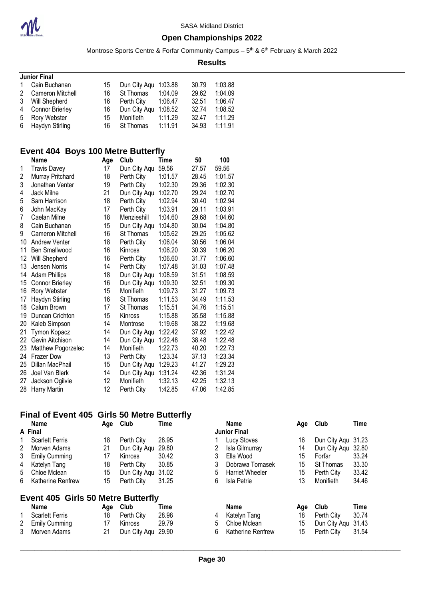

#### **Open Championships 2022**

Montrose Sports Centre & Forfar Community Campus – 5<sup>th</sup> & 6<sup>th</sup> February & March 2022

**Results**

| <b>Junior Final</b> |    |            |         |                                                         |         |
|---------------------|----|------------|---------|---------------------------------------------------------|---------|
| Cain Buchanan       | 15 |            |         | 30.79                                                   | 1:03.88 |
| 2 Cameron Mitchell  | 16 | St Thomas  | 1:04.09 | 29.62                                                   | 1:04.09 |
| Will Shepherd       | 16 | Perth City | 1:06.47 | 32.51                                                   | 1:06.47 |
| Connor Brierley     | 16 |            |         | 32.74                                                   | 1:08.52 |
| Rory Webster        | 15 | Monifieth  | 1:11.29 | 32.47                                                   | 1:11.29 |
| 6 Haydyn Stirling   | 16 | St Thomas  |         | 34.93                                                   | 1:11.91 |
|                     |    |            |         | Dun City Agu 1:03.88<br>Dun City Agu 1:08.52<br>1:11.91 |         |

#### **Event 404 Boys 100 Metre Butterfly**

|    | Name                   | Age | Club         | Time    | 50    | 100     |
|----|------------------------|-----|--------------|---------|-------|---------|
| 1  | <b>Travis Davey</b>    | 17  | Dun City Aqu | 59.56   | 27.57 | 59.56   |
| 2  | Murray Pritchard       | 18  | Perth City   | 1:01.57 | 28.45 | 1:01.57 |
| 3  | Jonathan Venter        | 19  | Perth City   | 1:02.30 | 29.36 | 1:02.30 |
| 4  | Jack Milne             | 21  | Dun City Aqu | 1:02.70 | 29.24 | 1:02.70 |
| 5  | Sam Harrison           | 18  | Perth City   | 1:02.94 | 30.40 | 1:02.94 |
| 6  | John MacKay            | 17  | Perth City   | 1:03.91 | 29.11 | 1:03.91 |
| 7  | Caelan Milne           | 18  | Menzieshill  | 1:04.60 | 29.68 | 1:04.60 |
| 8  | Cain Buchanan          | 15  | Dun City Aqu | 1:04.80 | 30.04 | 1:04.80 |
| 9  | Cameron Mitchell       | 16  | St Thomas    | 1:05.62 | 29.25 | 1:05.62 |
| 10 | <b>Andrew Venter</b>   | 18  | Perth City   | 1:06.04 | 30.56 | 1:06.04 |
| 11 | Ben Smallwood          | 16  | Kinross      | 1:06.20 | 30.39 | 1:06.20 |
| 12 | Will Shepherd          | 16  | Perth City   | 1:06.60 | 31.77 | 1:06.60 |
| 13 | Jensen Norris          | 14  | Perth City   | 1:07.48 | 31.03 | 1:07.48 |
| 14 | <b>Adam Phillips</b>   | 18  | Dun City Aqu | 1:08.59 | 31.51 | 1:08.59 |
| 15 | <b>Connor Brierley</b> | 16  | Dun City Aqu | 1:09.30 | 32.51 | 1:09.30 |
| 16 | Rory Webster           | 15  | Monifieth    | 1:09.73 | 31.27 | 1:09.73 |
| 17 | Haydyn Stirling        | 16  | St Thomas    | 1:11.53 | 34.49 | 1:11.53 |
| 18 | Calum Brown            | 17  | St Thomas    | 1:15.51 | 34.76 | 1:15.51 |
| 19 | Duncan Crichton        | 15  | Kinross      | 1:15.88 | 35.58 | 1:15.88 |
| 20 | Kaleb Simpson          | 14  | Montrose     | 1:19.68 | 38.22 | 1:19.68 |
| 21 | Tymon Kopacz           | 14  | Dun City Aqu | 1:22.42 | 37.92 | 1:22.42 |
| 22 | Gavin Aitchison        | 14  | Dun City Aqu | 1:22.48 | 38.48 | 1:22.48 |
| 23 | Matthew Pogorzelec     | 14  | Monifieth    | 1:22.73 | 40.20 | 1:22.73 |
| 24 | <b>Frazer Dow</b>      | 13  | Perth City   | 1:23.34 | 37.13 | 1:23.34 |
| 25 | Dillan MacPhail        | 15  | Dun City Aqu | 1:29.23 | 41.27 | 1:29.23 |
| 26 | Joel Van Blerk         | 14  | Dun City Aqu | 1:31.24 | 42.36 | 1:31.24 |
| 27 | Jackson Ogilvie        | 12  | Monifieth    | 1:32.13 | 42.25 | 1:32.13 |
| 28 | Harry Martin           | 12  | Perth City   | 1:42.85 | 47.06 | 1:42.85 |

### **Final of Event 405 Girls 50 Metre Butterfly**

|   | <b>Name</b>            | Club<br>Aqe |                    | Time  |   | <b>Name</b>            |
|---|------------------------|-------------|--------------------|-------|---|------------------------|
|   | A Final                |             |                    |       |   | <b>Junior Final</b>    |
| 1 | <b>Scarlett Ferris</b> | 18          | Perth City         | 28.95 |   | <b>Lucy Stoves</b>     |
| 2 | Morven Adams           | 21          | Dun City Aqu 29.80 |       | 2 | Isla Gilmurray         |
| 3 | <b>Emily Cumming</b>   | 17          | <b>Kinross</b>     | 30.42 |   | Ella Wood              |
| 4 | Katelyn Tang           | 18          | Perth City         | 30.85 | 3 | Dobrawa Tomase         |
| 5 | Chloe Mclean           | 15          | Dun City Aqu 31.02 |       | 5 | <b>Harriet Wheeler</b> |
| 6 | Katherine Renfrew      | 15          | Perth City         | 31.25 | 6 | Isla Petrie            |
|   |                        |             |                    |       |   |                        |
|   |                        |             |                    |       |   |                        |

## **Event 405 Girls 50 Metre Butterfly**

| <b>Name</b>       |     | Age Club           | 1 ime |
|-------------------|-----|--------------------|-------|
| 1 Scarlett Ferris | 18. | Perth City         | 28.98 |
| 2 Emily Cumming   | 17  | <b>Kinross</b>     | 29.79 |
| 3 Morven Adams    | 21  | Dun City Aqu 29.90 |       |

| Morven Adams                     | 21  | Dun City Agu 29.80 |       |    | Isla Gilmurray           | 14  | Dun City Agu 32.80 |       |
|----------------------------------|-----|--------------------|-------|----|--------------------------|-----|--------------------|-------|
| <b>Emily Cumming</b>             | 17  | Kinross            | 30.42 |    | Ella Wood                | 15  | Forfar             | 33.24 |
| Katelyn Tang                     | 18  | Perth City         | 30.85 |    | Dobrawa Tomasek          | 15  | St Thomas          | 33.30 |
| Chloe Mclean                     | 15  | Dun City Agu 31.02 |       | 5  | <b>Harriet Wheeler</b>   | 15  | Perth City         | 33.42 |
| Katherine Renfrew                | 15  | Perth City         | 31.25 | 6  | Isla Petrie              | 13  | Monifieth          | 34.46 |
| ent 405 Girls 50 Metre Butterfly |     |                    |       |    |                          |     |                    |       |
| Name                             | Aae | Club               | Time  |    | <b>Name</b>              | Age | <b>Club</b>        | Time  |
| <b>Scarlett Ferris</b>           |     |                    |       |    |                          |     |                    |       |
|                                  | 18  | Perth City         | 28.98 | 4  | Katelyn Tang             | 18  | Perth City         | 30.74 |
| <b>Emily Cumming</b>             | 17  | Kinross            | 29.79 | 5. | Chloe Mclean             | 15  | Dun City Aqu 31.43 |       |
| Morven Adams                     | 21  | Dun City Aqu 29.90 |       | 6. | <b>Katherine Renfrew</b> | 15  | Perth City         | 31.54 |
|                                  |     |                    |       |    |                          |     |                    |       |

**Name Age Club Time Name Age Club Time**

16 Dun City Aqu 31.23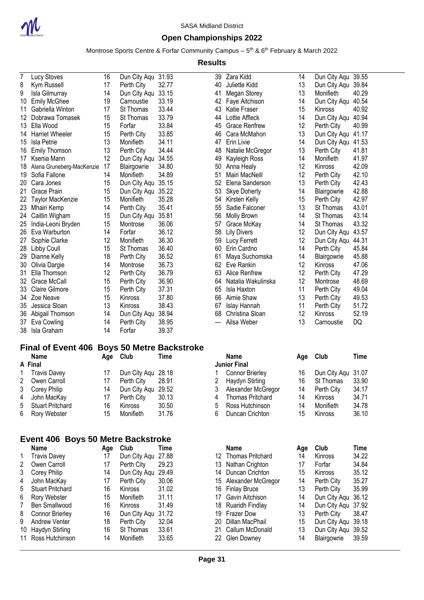

#### **Open Championships 2022**

Montrose Sports Centre & Forfar Community Campus – 5<sup>th</sup> & 6<sup>th</sup> February & March 2022

**Results**

| $\overline{7}$ | Lucy Stoves               | 16 | Dun City Aqu | 31.93 |
|----------------|---------------------------|----|--------------|-------|
| 8              | Kym Russell               | 17 | Perth City   | 32.77 |
| 9              | Isla Gilmurray            | 14 | Dun City Aqu | 33.15 |
| 10             | <b>Emily McGhee</b>       | 19 | Carnoustie   | 33.19 |
| 11             | Gabriella Winton          | 17 | St Thomas    | 33.44 |
| 12             | Dobrawa Tomasek           | 15 | St Thomas    | 33.79 |
|                | 13 Ella Wood              | 15 | Forfar       | 33.84 |
| 14             | <b>Harriet Wheeler</b>    | 15 | Perth City   | 33.85 |
| 15             | Isla Petrie               | 13 | Monifieth    | 34.11 |
| 16             | <b>Emily Thomson</b>      | 13 | Perth City   | 34.44 |
| 17             | Ksenia Mann               | 12 | Dun City Aqu | 34.55 |
| 18             | Alana Gruneberg-MacKenzie | 17 | Blairgowrie  | 34.80 |
| 19             | Sofia Fallone             | 14 | Monifieth    | 34.89 |
| 20             | Cara Jones                | 15 | Dun City Aqu | 35.15 |
| 21             | Grace Prain               | 15 | Dun City Aqu | 35.22 |
| 22             | Taylor MacKenzie          | 15 | Monifieth    | 35.28 |
| 23             | Mhairi Kemp               | 14 | Perth City   | 35.41 |
| 24             | Caitlin Wigham            | 15 | Dun City Aqu | 35.81 |
| 25             | India-Leoni Bryden        | 15 | Montrose     | 36.06 |
| 26             | Eva Warburton             | 14 | Forfar       | 36.12 |
| 27             | Sophie Clarke             | 12 | Monifieth    | 36.30 |
| 28             | Libby Coull               | 15 | St Thomas    | 36.40 |
| 29             | Dianne Kelly              | 18 | Perth City   | 36.52 |
| 30             | Olivia Dargie             | 14 | Montrose     | 36.73 |
| 31             | Ella Thomson              | 12 | Perth City   | 36.79 |
| 32             | Grace McCall              | 15 | Perth City   | 36.90 |
| 33             | <b>Claire Gilmore</b>     | 15 | Perth City   | 37.31 |
| 34             | Zoe Neave                 | 15 | Kinross      | 37.80 |
| 35             | Jessica Sloan             | 13 | Kinross      | 38.43 |
| 36             | Abigail Thomson           | 14 | Dun City Aqu | 38.94 |
| 37             | Eva Cowling               | 14 | Perth City   | 38.95 |
| 38             | Isla Graham               | 14 | Forfar       | 39.37 |

### **Final of Event 406 Boys 50 Metre Backstroke**

| <b>Name</b>        |    | Age Club           | Time  |    | <b>Name</b>            |    | Age Club           | Time  |
|--------------------|----|--------------------|-------|----|------------------------|----|--------------------|-------|
| A Final            |    |                    |       |    | <b>Junior Final</b>    |    |                    |       |
| Travis Davey       |    | Dun City Agu 28.18 |       |    | <b>Connor Brierley</b> | 16 | Dun City Aqu 31.07 |       |
| 2 Owen Carroll     |    | Perth City         | 28.91 |    | Haydyn Stirling        | 16 | St Thomas          | 33.90 |
| 3 Corey Philip     | 14 | Dun City Agu 29.52 |       | 3  | Alexander McGregor     | 14 | Perth City         | 34.1  |
| 4 John MacKay      |    | Perth City         | 30.13 | 4  | Thomas Pritchard       | 14 | Kinross            | 34.7' |
| 5 Stuart Pritchard | 16 | Kinross            | 30.50 | .5 | Ross Hutchinson        | 14 | Monifieth          | 34.78 |
| 6 Rory Webster     | 15 | Monifieth          | 31.76 | 6  | Duncan Crichton        | 15 | Kinross            | 36.10 |

#### **Event 406 Boys 50 Metre Backstroke**

|    | <b>Name</b>             | Age | Club           | Time  |
|----|-------------------------|-----|----------------|-------|
| 1  | <b>Travis Davey</b>     | 17  | Dun City Aqu   | 27.88 |
| 2  | Owen Carroll            | 17  | Perth City     | 29.23 |
| 3  | Corey Philip            | 14  | Dun City Aqu   | 29.49 |
| 4  | John MacKay             | 17  | Perth City     | 30.06 |
| 5  | <b>Stuart Pritchard</b> | 16  | Kinross        | 31.02 |
| 6  | Rory Webster            | 15  | Monifieth      | 31.11 |
| 7  | <b>Ben Smallwood</b>    | 16  | <b>Kinross</b> | 31.49 |
| 8  | <b>Connor Brierley</b>  | 16  | Dun City Aqu   | 31.72 |
| 9  | <b>Andrew Venter</b>    | 18  | Perth City     | 32.04 |
| 10 | Haydyn Stirling         | 16  | St Thomas      | 33.61 |
| 11 | Ross Hutchinson         | 14  | Monifieth      | 33.65 |

| 39  | Zara Kidd            | 14 | Dun City Aqu   | 39.55 |
|-----|----------------------|----|----------------|-------|
| 40  | Juliette Kidd        | 13 | Dun City Aqu   | 39.84 |
| 41  | Megan Storey         | 13 | Monifieth      | 40.29 |
| 42  | Faye Aitchison       | 14 | Dun City Aqu   | 40.54 |
| 43  | Katie Fraser         | 15 | Kinross        | 40.92 |
| 44  | Lottie Affleck       | 14 | Dun City Aqu   | 40.94 |
| 45  | <b>Grace Renfrew</b> | 12 | Perth City     | 40.99 |
| 46  | Cara McMahon         | 13 | Dun City Aqu   | 41.17 |
| 47  | Erin Livie           | 14 | Dun City Aqu   | 41.53 |
| 48  | Natalie McGregor     | 13 | Perth City     | 41.81 |
| 49  | Kayleigh Ross        | 14 | Monifieth      | 41.97 |
| 50  | Anna Healy           | 12 | <b>Kinross</b> | 42.09 |
| 51  | Mairi MacNeill       | 12 | Perth City     | 42.10 |
| 52  | Elena Sanderson      | 13 | Perth City     | 42.43 |
| 53  | <b>Skye Doherty</b>  | 14 | Blairgowrie    | 42.88 |
| 54  | Kirsten Kelly        | 15 | Perth City     | 42.97 |
| 55  | Sadie Falconer       | 13 | St Thomas      | 43.01 |
| 56  | Molly Brown          | 14 | St Thomas      | 43.14 |
| 57  | Grace McKay          | 14 | St Thomas      | 43.32 |
| 58  | <b>Lily Divers</b>   | 12 | Dun City Aqu   | 43.57 |
| 59  | <b>Lucy Ferrett</b>  | 12 | Dun City Aqu   | 44.31 |
| 60  | Erin Cardno          | 14 | Perth City     | 45.84 |
| 61  | Maya Suchomska       | 14 | Blairgowrie    | 45.88 |
| 62  | Eve Rankin           | 12 | Kinross        | 47.06 |
| 63  | Alice Renfrew        | 12 | Perth City     | 47.29 |
| 64  | Natalia Wakulinska   | 12 | Montrose       | 48.69 |
| 65  | Isla Haxton          | 11 | Perth City     | 49.04 |
| 66  | Aimie Shaw           | 13 | Perth City     | 49.53 |
| 67  | Islay Hannah         | 11 | Perth City     | 51.72 |
| 68  | Christina Sloan      | 12 | Kinross        | 52.19 |
| --- | Ailsa Weber          | 13 | Carnoustie     | DQ    |
|     |                      |    |                |       |

| <b>Name</b>             | Age | Club         | Time  |
|-------------------------|-----|--------------|-------|
| <b>Junior Final</b>     |     |              |       |
| <b>Connor Brierley</b>  | 16  | Dun City Aqu | 31.07 |
| Haydyn Stirling         | 16  | St Thomas    | 33.90 |
| Alexander McGregor      | 14  | Perth City   | 34.17 |
| <b>Thomas Pritchard</b> | 14  | Kinross      | 34.71 |
| Ross Hutchinson         | 14  | Monifieth    | 34.78 |
| Duncan Crichton         | 15  | Kinross      | 36.10 |
|                         |     |              |       |

| Name             | Age | Club               | Time  |      | <b>Name</b>         | Age | Club               | Time  |
|------------------|-----|--------------------|-------|------|---------------------|-----|--------------------|-------|
| Travis Davey     | 17  | Dun City Aqu 27.88 |       |      | 12 Thomas Pritchard | 14  | <b>Kinross</b>     | 34.22 |
| Owen Carroll     | 17  | Perth City         | 29.23 | 13   | Nathan Crighton     | 17  | Forfar             | 34.84 |
| Corey Philip     | 14  | Dun City Agu       | 29.49 | 14   | Duncan Crichton     | 15  | <b>Kinross</b>     | 35.12 |
| John MacKay      | 17  | Perth City         | 30.06 | 15.  | Alexander McGregor  | 14  | Perth City         | 35.27 |
| Stuart Pritchard | 16  | <b>Kinross</b>     | 31.02 | 16 - | <b>Finlay Bruce</b> | 13  | Perth City         | 35.99 |
| Rory Webster     | 15  | <b>Monifieth</b>   | 31.11 | 17   | Gavin Aitchison     | 14  | Dun City Aqu 36.12 |       |
| Ben Smallwood    | 16  | <b>Kinross</b>     | 31.49 |      | 18 Ruaridh Findlay  | 14  | Dun City Agu 37.92 |       |
| Connor Brierley  | 16  | Dun City Aqu       | 31.72 | 19.  | <b>Frazer Dow</b>   | 13  | Perth City         | 38.47 |
| Andrew Venter    | 18  | Perth City         | 32.04 | 20   | Dillan MacPhail     | 15  | Dun City Aqu 39.18 |       |
| Haydyn Stirling  | 16  | St Thomas          | 33.61 | 21   | Callum McDonald     | 13  | Dun City Agu 39.52 |       |
| Ross Hutchinson  | 14  | <b>Monifieth</b>   | 33.65 |      | 22 Glen Downey      | 14  | Blairgowrie        | 39.59 |
|                  |     |                    |       |      |                     |     |                    |       |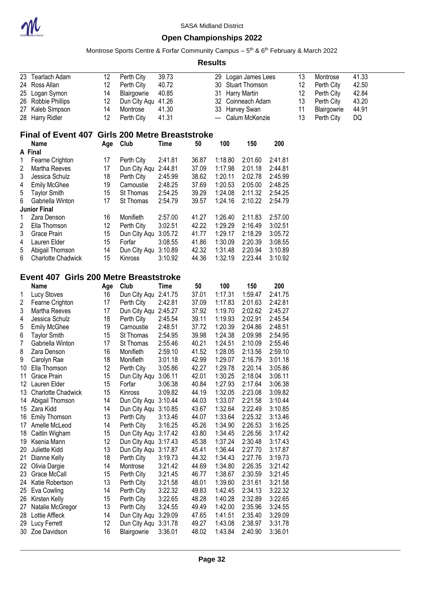

Montrose Sports Centre & Forfar Community Campus – 5<sup>th</sup> & 6<sup>th</sup> February & March 2022

| 23                                     | Tearlach Adam                                   | 12  | Perth City           | 39.73                      |       |                | 29 Logan James Lees |         | 13       | Montrose    | 41.33 |
|----------------------------------------|-------------------------------------------------|-----|----------------------|----------------------------|-------|----------------|---------------------|---------|----------|-------------|-------|
| 24                                     | Ross Allan                                      | 12  | Perth City           | 40.72<br>30 Stuart Thomson |       |                |                     |         |          | Perth City  | 42.50 |
| 25                                     | Logan Symon                                     | 14  | Blairgowrie          | 40.85<br>31 Harry Martin   |       |                |                     |         |          | Perth City  | 42.84 |
| 26                                     | Robbie Phillips                                 | 12  | Dun City Aqu 41.26   | 32 Coinneach Adam          |       |                |                     |         |          | Perth City  | 43.20 |
| 27                                     | Kaleb Simpson                                   | 14  | Montrose             | 41.30                      |       | 33 Harvey Swan |                     |         | 13<br>11 | Blairgowrie | 44.91 |
| 28                                     | <b>Harry Ridler</b>                             | 12  | Perth City           | 41.31                      |       |                | Calum McKenzie      |         | 13       | Perth City  | DQ    |
|                                        |                                                 |     |                      |                            |       |                |                     |         |          |             |       |
|                                        | Final of Event 407 Girls 200 Metre Breaststroke |     |                      |                            |       |                |                     |         |          |             |       |
|                                        | <b>Name</b>                                     | Age | Club                 | Time                       | 50    | 100            | 150                 | 200     |          |             |       |
|                                        | A Final                                         |     |                      |                            |       |                |                     |         |          |             |       |
| 1                                      | Fearne Crighton                                 | 17  | Perth City           | 2:41.81                    | 36.87 | 1:18.80        | 2:01.60             | 2:41.81 |          |             |       |
| 2                                      | Martha Reeves                                   | 17  | Dun City Aqu 2:44.81 |                            | 37.09 | 1:17.98        | 2:01.18             | 2:44.81 |          |             |       |
| 3                                      | Jessica Schulz                                  | 18  | Perth City           | 2:45.99                    | 38.62 | 1:20.11        | 2:02.78             | 2:45.99 |          |             |       |
| 4                                      | <b>Emily McGhee</b>                             | 19  | Carnoustie           | 2:48.25                    | 37.69 | 1:20.53        | 2:05.00             | 2:48.25 |          |             |       |
| 5                                      | <b>Taylor Smith</b>                             | 15  | St Thomas            | 2:54.25                    | 39.29 | 1:24.08        | 2:11.32             | 2:54.25 |          |             |       |
| 6                                      | Gabriella Winton                                | 17  | St Thomas            | 2:54.79                    | 39.57 | 1:24.16        | 2:10.22             | 2:54.79 |          |             |       |
|                                        | <b>Junior Final</b>                             |     |                      |                            |       |                |                     |         |          |             |       |
| 1                                      | Zara Denson                                     | 16  | Monifieth            | 2:57.00                    | 41.27 | 1:26.40        | 2:11.83             | 2:57.00 |          |             |       |
| 2                                      | Ella Thomson                                    | 12  | Perth City           | 3:02.51                    | 42.22 | 1:29.29        | 2:16.49             | 3:02.51 |          |             |       |
| 3                                      | Grace Prain                                     | 15  | Dun City Aqu 3:05.72 |                            | 41.77 | 1:29.17        | 2:18.29             | 3:05.72 |          |             |       |
| 4                                      | Lauren Elder                                    | 15  | Forfar               | 3:08.55                    | 41.86 | 1:30.09        | 2:20.39             | 3:08.55 |          |             |       |
| 5                                      | Abigail Thomson                                 | 14  | Dun City Aqu 3:10.89 |                            | 42.32 | 1:31.48        | 2:20.94             | 3:10.89 |          |             |       |
| 6                                      | <b>Charlotte Chadwick</b>                       | 15  | Kinross              | 3:10.92                    | 44.36 | 1:32.19        | 2:23.44             | 3:10.92 |          |             |       |
|                                        |                                                 |     |                      |                            |       |                |                     |         |          |             |       |
| Event 407 Girls 200 Metre Breaststroke |                                                 |     |                      |                            |       |                |                     |         |          |             |       |
|                                        | Name                                            | Age | Club                 | Time                       | 50    | 100            | 150                 | 200     |          |             |       |
| 1                                      | Lucy Stoves                                     | 16  | Dun City Aqu 2:41.75 |                            | 37.01 | 1:17.31        | 1:59.47             | 2:41.75 |          |             |       |
| 2                                      | Fearne Crighton                                 | 17  | Perth City           | 2:42.81                    | 37.09 | 1:17.83        | 2:01.63             | 2:42.81 |          |             |       |
| 3                                      | Martha Reeves                                   | 17  | Dun City Aqu 2:45.27 |                            | 37.92 | 1:19.70        | 2:02.62             | 2:45.27 |          |             |       |
| 4                                      | Jessica Schulz                                  | 18  | Perth City           | 2:45.54                    | 39.11 | 1:19.93        | 2:02.91             | 2:45.54 |          |             |       |
|                                        |                                                 | 19  | Carnoustie           | 2:48.51                    | 37.72 | 1:20.39        | 2:04.86             | 2:48.51 |          |             |       |
| 5                                      | <b>Emily McGhee</b>                             | 15  | St Thomas            | 2:54.95                    | 39.98 | 1:24.38        | 2:09.98             | 2:54.95 |          |             |       |
| 6<br>7                                 | <b>Taylor Smith</b>                             |     |                      |                            |       |                |                     |         |          |             |       |
|                                        | Gabriella Winton                                | 17  | St Thomas            | 2:55.46                    | 40.21 | 1:24.51        | 2:10.09             | 2:55.46 |          |             |       |
| 8                                      | Zara Denson                                     | 16  | Monifieth            | 2:59.10                    | 41.52 | 1:28.05        | 2:13.56             | 2:59.10 |          |             |       |
| 9                                      | Carolyn Rae                                     | 18  | Monifieth            | 3:01.18                    | 42.99 | 1:29.07        | 2:16.79             | 3:01.18 |          |             |       |
| 10                                     | Ella Thomson                                    | 12  | Perth City           | 3:05.86                    | 42.27 | 1:29.78        | 2:20.14             | 3:05.86 |          |             |       |
| 11                                     | Grace Prain                                     | 15  | Dun City Aqu 3:06.11 |                            | 42.01 | 1:30.25        | 2:18.04             | 3:06.11 |          |             |       |
| 12                                     | Lauren Elder                                    | 15  | Forfar               | 3:06.38                    | 40.84 | 1:27.93        | 2:17.64             | 3:06.38 |          |             |       |
| 13                                     | Charlotte Chadwick                              | 15  | Kinross              | 3:09.82                    | 44.19 | 1:32.05        | 2:23.08             | 3:09.82 |          |             |       |
| 14                                     | Abigail Thomson                                 | 14  | Dun City Aqu 3:10.44 |                            | 44.03 | 1:33.07        | 2:21.58             | 3:10.44 |          |             |       |
| 15                                     | Zara Kidd                                       | 14  | Dun City Aqu 3:10.85 |                            | 43.67 | 1:32.64        | 2:22.49             | 3:10.85 |          |             |       |
| 16                                     | Emily Thomson                                   | 13  | Perth City           | 3:13.46                    | 44.07 | 1:33.64        | 2:25.32             | 3:13.46 |          |             |       |
| 17                                     | Amelle McLeod                                   | 14  | Perth City           | 3:16.25                    | 45.26 | 1:34.90        | 2:26.53             | 3:16.25 |          |             |       |
| 18                                     | Caitlin Wigham                                  | 15  | Dun City Aqu 3:17.42 |                            | 43.80 | 1:34.45        | 2:26.56             | 3:17.42 |          |             |       |
| 19                                     | Ksenia Mann                                     | 12  | Dun City Aqu 3:17.43 |                            | 45.38 | 1:37.24        | 2:30.48             | 3:17.43 |          |             |       |
| 20                                     | Juliette Kidd                                   | 13  | Dun City Aqu 3:17.87 |                            | 45.41 | 1:36.44        | 2:27.70             | 3:17.87 |          |             |       |
| 21                                     | Dianne Kelly                                    | 18  | Perth City           | 3:19.73                    | 44.32 | 1:34.43        | 2:27.76             | 3:19.73 |          |             |       |
| 22                                     | Olivia Dargie                                   | 14  | Montrose             | 3:21.42                    | 44.69 | 1:34.80        | 2:26.35             | 3:21.42 |          |             |       |
| 23                                     | Grace McCall                                    | 15  | Perth City           | 3:21.45                    | 46.77 | 1:38.67        | 2:30.59             | 3:21.45 |          |             |       |
| 24                                     | Katie Robertson                                 | 13  | Perth City           | 3:21.58                    | 48.01 | 1:39.60        | 2:31.61             | 3:21.58 |          |             |       |
| 25                                     | Eva Cowling                                     | 14  | Perth City           | 3:22.32                    | 49.83 | 1:42.45        | 2:34.13             | 3:22.32 |          |             |       |
| 26                                     | Kirsten Kelly                                   | 15  | Perth City           | 3:22.65                    | 48.28 | 1:40.28        | 2:32.89             | 3:22.65 |          |             |       |
| 27                                     | Natalie McGregor                                | 13  | Perth City           | 3:24.55                    | 49.49 | 1:42.00        | 2:35.96             | 3:24.55 |          |             |       |
| 28                                     | Lottie Affleck                                  | 14  | Dun City Aqu 3:29.09 |                            | 47.65 | 1:41.51        | 2:35.40             | 3:29.09 |          |             |       |
| 29                                     | Lucy Ferrett                                    | 12  | Dun City Aqu 3:31.78 |                            | 49.27 | 1:43.08        | 2:38.97             | 3:31.78 |          |             |       |
| 30                                     | Zoe Davidson                                    | 16  | Blairgowrie          | 3:36.01                    | 48.02 | 1:43.84        | 2:40.90             | 3:36.01 |          |             |       |
|                                        |                                                 |     |                      |                            |       |                |                     |         |          |             |       |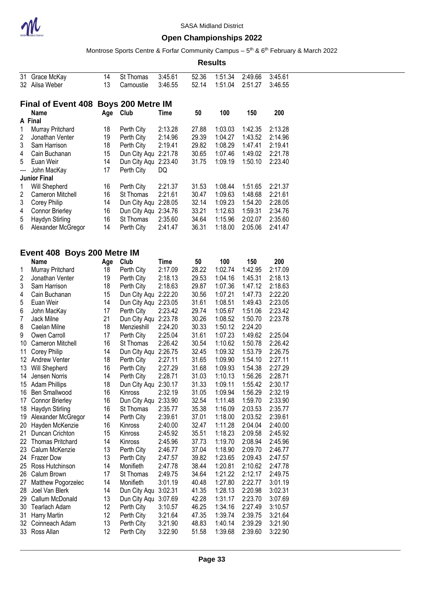

Montrose Sports Centre & Forfar Community Campus – 5<sup>th</sup> & 6<sup>th</sup> February & March 2022

| 31  | Grace McKay                          | 14  | St Thomas            | 3:45.61     | 52.36 | 1:51.34 | 2:49.66 | 3:45.61 |
|-----|--------------------------------------|-----|----------------------|-------------|-------|---------|---------|---------|
|     | 32 Ailsa Weber                       | 13  | Carnoustie           | 3:46.55     | 52.14 | 1:51.04 | 2:51.27 | 3:46.55 |
|     |                                      |     |                      |             |       |         |         |         |
|     |                                      |     |                      |             |       |         |         |         |
|     | Final of Event 408 Boys 200 Metre IM |     |                      |             |       |         |         |         |
|     | <b>Name</b>                          | Age | <b>Club</b>          | Time        | 50    | 100     | 150     | 200     |
|     | A Final                              |     |                      |             |       |         |         |         |
| 1   | Murray Pritchard                     | 18  | Perth City           | 2:13.28     | 27.88 | 1:03.03 | 1:42.35 | 2:13.28 |
| 2   | Jonathan Venter                      | 19  | Perth City           | 2:14.96     | 29.39 | 1:04.27 | 1:43.52 | 2:14.96 |
| 3   | Sam Harrison                         | 18  | Perth City           | 2:19.41     | 29.82 | 1:08.29 | 1:47.41 | 2:19.41 |
| 4   | Cain Buchanan                        | 15  | Dun City Aqu 2:21.78 |             | 30.65 | 1:07.46 | 1:49.02 | 2:21.78 |
| 5   | Euan Weir                            | 14  | Dun City Aqu 2:23.40 |             | 31.75 | 1:09.19 | 1:50.10 | 2:23.40 |
| --- | John MacKay                          | 17  | Perth City           | DQ          |       |         |         |         |
|     | <b>Junior Final</b>                  |     |                      |             |       |         |         |         |
| 1   | Will Shepherd                        | 16  | Perth City           | 2:21.37     | 31.53 | 1:08.44 | 1:51.65 | 2:21.37 |
| 2   | Cameron Mitchell                     | 16  | St Thomas            | 2:21.61     | 30.47 | 1:09.63 | 1:48.68 | 2:21.61 |
| 3   | <b>Corey Philip</b>                  | 14  | Dun City Aqu 2:28.05 |             | 32.14 | 1:09.23 | 1:54.20 | 2:28.05 |
| 4   | <b>Connor Brierley</b>               | 16  | Dun City Aqu 2:34.76 |             | 33.21 | 1:12.63 | 1:59.31 | 2:34.76 |
| 5   | Haydyn Stirling                      | 16  | St Thomas            | 2:35.60     | 34.64 | 1:15.96 | 2:02.07 | 2:35.60 |
| 6   | Alexander McGregor                   | 14  | Perth City           | 2:41.47     | 36.31 | 1:18.00 | 2:05.06 | 2:41.47 |
|     |                                      |     |                      |             |       |         |         |         |
|     |                                      |     |                      |             |       |         |         |         |
|     | Event 408 Boys 200 Metre IM          |     |                      |             |       |         |         |         |
|     | Name                                 |     | Age Club             | <b>Time</b> | 50    | 100     | 150     | 200     |
| 1   | <b>Murray Pritchard</b>              | 18  | Perth City           | 2:17.09     | 28.22 | 1:02.74 | 1:42.95 | 2:17.09 |
| 2   | Jonathan Venter                      | 19  | Perth City           | 2:18.13     | 29.53 | 1:04.16 | 1:45.31 | 2:18.13 |
| 3   | Sam Harrison                         | 18  | Perth City           | 2:18.63     | 29.87 | 1:07.36 | 1:47.12 | 2:18.63 |
| 4   | Cain Buchanan                        | 15  | Dun City Aqu 2:22.20 |             | 30.56 | 1:07.21 | 1:47.73 | 2:22.20 |
| 5   | Euan Weir                            | 14  | Dun City Aqu 2:23.05 |             | 31.61 | 1:08.51 | 1:49.43 | 2:23.05 |
| 6   | John MacKay                          | 17  | Perth City           | 2:23.42     | 29.74 | 1:05.67 | 1:51.06 | 2:23.42 |
| 7   | Jack Milne                           | 21  | Dun City Aqu 2:23.78 |             | 30.26 | 1:08.52 | 1:50.70 | 2:23.78 |
| 8   | Caelan Milne                         | 18  | Menzieshill          | 2:24.20     | 30.33 | 1:50.12 | 2:24.20 |         |
| 9   | Owen Carroll                         | 17  | Perth City           | 2:25.04     | 31.61 | 1:07.23 | 1:49.62 | 2:25.04 |
| 10  | <b>Cameron Mitchell</b>              | 16  | St Thomas            | 2:26.42     | 30.54 | 1:10.62 | 1:50.78 | 2:26.42 |
| 11  | <b>Corey Philip</b>                  | 14  | Dun City Aqu 2:26.75 |             | 32.45 | 1:09.32 | 1:53.79 | 2:26.75 |
|     | 12 Andrew Venter                     | 18  | Perth City           | 2:27.11     | 31.65 | 1:09.90 | 1:54.10 | 2:27.11 |
| 13  | Will Shepherd                        | 16  | Perth City           | 2:27.29     | 31.68 | 1:09.93 | 1:54.38 | 2:27.29 |
| 14  | Jensen Norris                        | 14  | Perth City           | 2:28.71     | 31.03 | 1:10.13 | 1:56.26 | 2:28.71 |
|     | 15 Adam Phillips                     | 18  | Dun City Aqu 2:30.17 |             | 31.33 | 1:09.11 | 1:55.42 | 2:30.17 |
| 16  | <b>Ben Smallwood</b>                 | 16  | Kinross              | 2:32.19     | 31.05 | 1:09.94 | 1:56.29 | 2:32.19 |
| 17  | <b>Connor Brierley</b>               | 16  | Dun City Aqu         | 2:33.90     | 32.54 | 1:11.48 | 1:59.70 | 2:33.90 |
| 18  | Haydyn Stirling                      | 16  | St Thomas            | 2:35.77     | 35.38 | 1:16.09 | 2:03.53 | 2:35.77 |
| 19  | Alexander McGregor                   | 14  | Perth City           | 2:39.61     | 37.01 | 1:18.00 | 2:03.52 | 2:39.61 |
| 20  | Hayden McKenzie                      | 16  | Kinross              | 2:40.00     | 32.47 | 1:11.28 | 2:04.04 | 2:40.00 |
| 21  | Duncan Crichton                      | 15  | Kinross              | 2:45.92     | 35.51 | 1:18.23 | 2:09.58 | 2:45.92 |
| 22  | <b>Thomas Pritchard</b>              | 14  | Kinross              | 2:45.96     | 37.73 | 1:19.70 | 2:08.94 | 2:45.96 |
| 23  | Calum McKenzie                       | 13  | Perth City           | 2:46.77     | 37.04 | 1:18.90 | 2:09.70 | 2:46.77 |
|     | 24 Frazer Dow                        | 13  | Perth City           | 2:47.57     | 39.82 | 1:23.65 | 2:09.43 | 2:47.57 |
| 25  | Ross Hutchinson                      | 14  | Monifieth            | 2:47.78     | 38.44 | 1:20.81 | 2:10.62 | 2:47.78 |
| 26  | Calum Brown                          | 17  | St Thomas            | 2:49.75     | 34.64 | 1:21.22 | 2:12.17 | 2:49.75 |
| 27  | Matthew Pogorzelec                   | 14  | Monifieth            | 3:01.19     | 40.48 | 1:27.80 | 2:22.77 | 3:01.19 |
| 28  | Joel Van Blerk                       | 14  | Dun City Aqu 3:02.31 |             | 41.35 | 1:28.13 | 2:20.98 | 3:02.31 |
| 29  | Callum McDonald                      | 13  | Dun City Aqu 3:07.69 |             | 42.28 | 1:31.17 | 2:23.70 | 3:07.69 |
| 30  | <b>Tearlach Adam</b>                 | 12  | Perth City           | 3:10.57     | 46.25 | 1:34.16 | 2:27.49 | 3:10.57 |
| 31  | <b>Harry Martin</b>                  | 12  | Perth City           | 3:21.64     | 47.35 | 1:39.74 | 2:39.75 | 3:21.64 |
| 32  | Coinneach Adam                       | 13  | Perth City           | 3:21.90     | 48.83 | 1:40.14 | 2:39.29 | 3:21.90 |
| 33  | Ross Allan                           | 12  | Perth City           | 3:22.90     | 51.58 | 1:39.68 | 2:39.60 | 3:22.90 |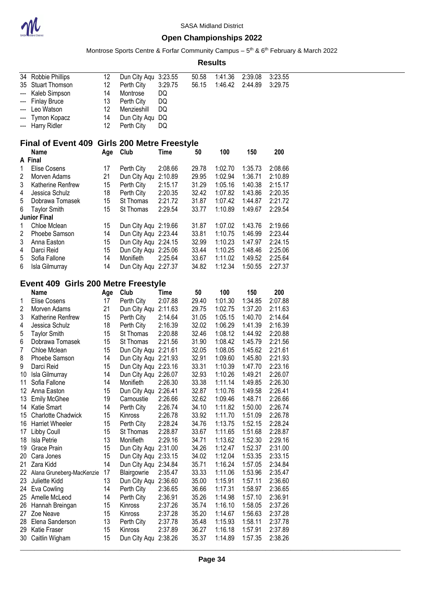

Montrose Sports Centre & Forfar Community Campus – 5<sup>th</sup> & 6<sup>th</sup> February & March 2022

| Results |
|---------|
|---------|

|     | 34 Robbie Phillips<br>35 Stuart Thomson      | 12<br>12 | Dun City Aqu 3:23.55<br>Perth City | 3:29.75 | 50.58<br>56.15 | 1:41.36<br>1:46.42 | 2:39.08<br>2:44.89 | 3:23.55<br>3:29.75 |
|-----|----------------------------------------------|----------|------------------------------------|---------|----------------|--------------------|--------------------|--------------------|
| --- | Kaleb Simpson                                | 14       | Montrose                           | DQ      |                |                    |                    |                    |
| --- | <b>Finlay Bruce</b>                          | 13       | Perth City                         | DQ      |                |                    |                    |                    |
| --- | Leo Watson                                   | 12       | Menzieshill                        | DQ      |                |                    |                    |                    |
| --- | Tymon Kopacz<br>--- Harry Ridler             | 14<br>12 | Dun City Aqu                       | DQ      |                |                    |                    |                    |
|     |                                              |          | Perth City                         | DQ      |                |                    |                    |                    |
|     | Final of Event 409 Girls 200 Metre Freestyle |          |                                    |         |                |                    |                    |                    |
|     | Name<br>A Final                              | Age Club |                                    | Time    | 50             | 100                | 150                | 200                |
| 1   | Elise Cosens                                 |          | Perth City                         | 2:08.66 | 29.78          | 1:02.70            | 1:35.73            | 2:08.66            |
| 2   | Morven Adams                                 | 17<br>21 | Dun City Aqu 2:10.89               |         | 29.95          | 1:02.94            | 1:36.71            | 2:10.89            |
| 3   | Katherine Renfrew                            | 15       | Perth City                         | 2:15.17 | 31.29          | 1:05.16            | 1:40.38            | 2:15.17            |
| 4   | Jessica Schulz                               | 18       | Perth City                         | 2:20.35 | 32.42          | 1:07.82            | 1:43.86            | 2:20.35            |
| 5   | Dobrawa Tomasek                              | 15       | St Thomas                          | 2:21.72 | 31.87          | 1:07.42            | 1:44.87            | 2:21.72            |
| 6   |                                              | 15       | St Thomas                          | 2:29.54 | 33.77          | 1:10.89            | 1:49.67            | 2:29.54            |
|     | <b>Taylor Smith</b><br><b>Junior Final</b>   |          |                                    |         |                |                    |                    |                    |
| 1   | Chloe Mclean                                 | 15       | Dun City Aqu 2:19.66               |         | 31.87          | 1:07.02            | 1:43.76            | 2:19.66            |
| 2   | Phoebe Samson                                | 14       | Dun City Aqu 2:23.44               |         | 33.81          | 1:10.75            | 1:46.99            | 2:23.44            |
| 3   | Anna Easton                                  | 15       | Dun City Aqu 2:24.15               |         | 32.99          | 1:10.23            | 1:47.97            | 2:24.15            |
| 4   | Darci Reid                                   | 15       | Dun City Aqu 2:25.06               |         | 33.44          | 1:10.25            | 1:48.46            | 2:25.06            |
| 5   | Sofia Fallone                                | 14       | Monifieth                          | 2:25.64 | 33.67          | 1:11.02            | 1:49.52            | 2:25.64            |
| 6   | Isla Gilmurray                               | 14       | Dun City Aqu 2:27.37               |         | 34.82          | 1:12.34            | 1:50.55            | 2:27.37            |
|     |                                              |          |                                    |         |                |                    |                    |                    |
|     | Event 409 Girls 200 Metre Freestyle          |          |                                    |         |                |                    |                    |                    |
|     | <b>Name</b>                                  | Age      | <b>Club</b>                        | Time    | 50             | 100                | 150                | 200                |
| 1   | <b>Elise Cosens</b>                          | 17       | Perth City                         | 2:07.88 | 29.40          | 1:01.30            | 1:34.85            | 2:07.88            |
| 2   | Morven Adams                                 | 21       | Dun City Aqu 2:11.63               |         | 29.75          | 1:02.75            | 1:37.20            | 2:11.63            |
| 3   | Katherine Renfrew                            | 15       | Perth City                         | 2:14.64 | 31.05          | 1:05.15            | 1:40.70            | 2:14.64            |
| 4   | Jessica Schulz                               | 18       | Perth City                         | 2:16.39 | 32.02          | 1:06.29            | 1:41.39            | 2:16.39            |
| 5   | <b>Taylor Smith</b>                          | 15       | St Thomas                          | 2:20.88 | 32.46          | 1:08.12            | 1:44.92            | 2:20.88            |
| 6   | Dobrawa Tomasek                              | 15       | St Thomas                          | 2:21.56 | 31.90          | 1:08.42            | 1:45.79            | 2:21.56            |
| 7   | Chloe Mclean                                 | 15       | Dun City Aqu 2:21.61               |         | 32.05          | 1:08.05            | 1:45.62            | 2:21.61            |
| 8   | Phoebe Samson                                | 14       | Dun City Aqu 2:21.93               |         | 32.91          | 1:09.60            | 1:45.80            | 2:21.93            |
| 9   | Darci Reid                                   | 15       | Dun City Aqu 2:23.16               |         | 33.31          | 1:10.39            | 1:47.70            | 2:23.16            |
| 10  | Isla Gilmurray                               | 14       | Dun City Aqu 2:26.07               |         | 32.93          | 1:10.26            | 1:49.21            | 2:26.07            |
| 11  | Sofia Fallone                                | 14       | Monifieth                          | 2:26.30 | 33.38          | 1:11.14            | 1:49.85            | 2:26.30            |
|     | 12 Anna Easton                               | 15       | Dun City Aqu 2:26.41               |         | 32.87          | 1:10.76            | 1:49.58            | 2:26.41            |
|     | 13 Emily McGhee                              | 19       | Carnoustie                         | 2:26.66 | 32.62          | 1:09.46            | 1:48.71            | 2:26.66            |
|     | 14 Katie Smart                               | 14       | Perth City                         | 2:26.74 | 34.10          | 1:11.82            | 1:50.00            | 2:26.74            |
| 15  | <b>Charlotte Chadwick</b>                    | 15       | Kinross                            | 2:26.78 | 33.92          | 1:11.70            | 1:51.09            | 2:26.78            |
|     | 16 Harriet Wheeler                           | 15       | Perth City                         | 2:28.24 | 34.76          | 1:13.75            | 1:52.15            | 2:28.24            |
|     | 17 Libby Coull                               | 15       | St Thomas                          | 2:28.87 | 33.67          | 1:11.65            | 1:51.68            | 2:28.87            |
| 18  | Isla Petrie                                  | 13       | Monifieth                          | 2:29.16 | 34.71          | 1:13.62            | 1:52.30            | 2:29.16            |
| 19  | <b>Grace Prain</b>                           | 15       | Dun City Aqu 2:31.00               |         | 34.26          | 1:12.47            | 1:52.37            | 2:31.00            |
|     | 20 Cara Jones                                | 15       | Dun City Aqu 2:33.15               |         | 34.02          | 1:12.04            | 1:53.35            | 2:33.15            |
|     | 21 Zara Kidd                                 | 14       | Dun City Aqu 2:34.84               |         | 35.71          | 1:16.24            | 1:57.05            | 2:34.84            |
|     | 22 Alana Gruneberg-MacKenzie                 | 17       | Blairgowrie                        | 2:35.47 | 33.33          | 1:11.06            | 1:53.96            | 2:35.47            |
|     | 23 Juliette Kidd                             | 13       | Dun City Aqu 2:36.60               |         | 35.00          | 1:15.91            | 1:57.11            | 2:36.60            |
|     | 24 Eva Cowling                               | 14       | Perth City                         | 2:36.65 | 36.66          | 1:17.31            | 1:58.97            | 2:36.65            |
|     | 25 Amelle McLeod                             | 14       | Perth City                         | 2:36.91 | 35.26          | 1:14.98            | 1:57.10            | 2:36.91            |
|     | 26 Hannah Breingan                           | 15       | Kinross                            | 2:37.26 | 35.74          | 1:16.10            | 1:58.05            | 2:37.26            |
|     | 27 Zoe Neave                                 | 15       | Kinross                            | 2:37.28 | 35.20          | 1:14.67            | 1:56.63            | 2:37.28            |
|     | 28 Elena Sanderson                           | 13       | Perth City                         | 2:37.78 | 35.48          | 1:15.93            | 1:58.11            | 2:37.78            |
|     | 29 Katie Fraser                              | 15       | Kinross                            | 2:37.89 | 36.27          | 1:16.18            | 1:57.91            | 2:37.89            |
|     | 30 Caitlin Wigham                            | 15       | Dun City Aqu 2:38.26               |         | 35.37          | 1:14.89            | 1:57.35            | 2:38.26            |
|     |                                              |          |                                    |         |                |                    |                    |                    |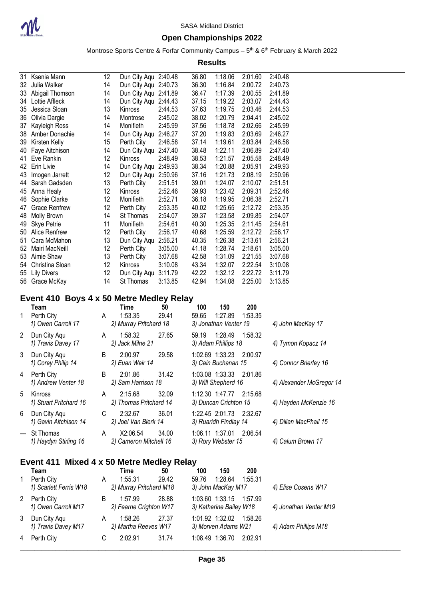

### **Open Championships 2022**

Montrose Sports Centre & Forfar Community Campus – 5<sup>th</sup> & 6<sup>th</sup> February & March 2022

**Results**

| 31 | Ksenia Mann                              | 12 | Dun City Aqu 2:40.48 |         | 36.80 | 1:18.06 | 2:01.60 | 2:40.48 |
|----|------------------------------------------|----|----------------------|---------|-------|---------|---------|---------|
| 32 | Julia Walker                             | 14 | Dun City Aqu 2:40.73 |         | 36.30 | 1:16.84 | 2:00.72 | 2:40.73 |
| 33 | Abigail Thomson                          | 14 | Dun City Aqu         | 2:41.89 | 36.47 | 1:17.39 | 2:00.55 | 2:41.89 |
| 34 | Lottie Affleck                           | 14 | Dun City Aqu         | 2:44.43 | 37.15 | 1:19.22 | 2:03.07 | 2:44.43 |
| 35 | Jessica Sloan                            | 13 | Kinross              | 2:44.53 | 37.63 | 1:19.75 | 2:03.46 | 2:44.53 |
| 36 | Olivia Dargie                            | 14 | Montrose             | 2:45.02 | 38.02 | 1:20.79 | 2:04.41 | 2:45.02 |
| 37 | Kayleigh Ross                            | 14 | Monifieth            | 2:45.99 | 37.56 | 1:18.78 | 2:02.66 | 2:45.99 |
| 38 | Amber Donachie                           | 14 | Dun City Agu         | 2:46.27 | 37.20 | 1:19.83 | 2:03.69 | 2:46.27 |
| 39 | Kirsten Kelly                            | 15 | Perth City           | 2:46.58 | 37.14 | 1:19.61 | 2:03.84 | 2:46.58 |
| 40 | Faye Aitchison                           | 14 | Dun City Aqu         | 2:47.40 | 38.48 | 1:22.11 | 2:06.89 | 2:47.40 |
| 41 | Eve Rankin                               | 12 | Kinross              | 2:48.49 | 38.53 | 1:21.57 | 2:05.58 | 2:48.49 |
| 42 | Erin Livie                               | 14 | Dun City Aqu         | 2:49.93 | 38.34 | 1:20.88 | 2:05.91 | 2:49.93 |
| 43 | Imogen Jarrett                           | 12 | Dun City Aqu         | 2:50.96 | 37.16 | 1:21.73 | 2:08.19 | 2:50.96 |
| 44 | Sarah Gadsden                            | 13 | Perth City           | 2:51.51 | 39.01 | 1:24.07 | 2:10.07 | 2:51.51 |
| 45 | Anna Healy                               | 12 | <b>Kinross</b>       | 2:52.46 | 39.93 | 1:23.42 | 2:09.31 | 2:52.46 |
| 46 | Sophie Clarke                            | 12 | Monifieth            | 2:52.71 | 36.18 | 1:19.95 | 2:06.38 | 2:52.71 |
| 47 | <b>Grace Renfrew</b>                     | 12 | Perth City           | 2:53.35 | 40.02 | 1:25.65 | 2:12.72 | 2:53.35 |
| 48 | Molly Brown                              | 14 | St Thomas            | 2:54.07 | 39.37 | 1:23.58 | 2:09.85 | 2:54.07 |
| 49 | Skye Petrie                              | 11 | Monifieth            | 2:54.61 | 40.30 | 1:25.35 | 2:11.45 | 2:54.61 |
| 50 | Alice Renfrew                            | 12 | Perth City           | 2:56.17 | 40.68 | 1:25.59 | 2:12.72 | 2:56.17 |
| 51 | Cara McMahon                             | 13 | Dun City Aqu         | 2:56.21 | 40.35 | 1:26.38 | 2:13.61 | 2:56.21 |
| 52 | Mairi MacNeill                           | 12 | Perth City           | 3:05.00 | 41.18 | 1:28.74 | 2:18.61 | 3:05.00 |
| 53 | Aimie Shaw                               | 13 | Perth City           | 3:07.68 | 42.58 | 1:31.09 | 2:21.55 | 3:07.68 |
| 54 | Christina Sloan                          | 12 | Kinross              | 3:10.08 | 43.34 | 1:32.07 | 2:22.54 | 3:10.08 |
| 55 | <b>Lily Divers</b>                       | 12 | Dun City Aqu         | 3:11.79 | 42.22 | 1:32.12 | 2:22.72 | 3:11.79 |
| 56 | Grace McKay                              | 14 | St Thomas            | 3:13.85 | 42.94 | 1:34.08 | 2:25.00 | 3:13.85 |
|    | Event 410 Boys 4 x 50 Metre Medley Relay |    |                      |         |       |         |         |         |
|    | Taam                                     |    | <b>Time</b>          | 50      | 100   | 150     | 200     |         |

|   | Team                                   |    | Time                               | 50    | 100   | 150                                              | 200     |                          |
|---|----------------------------------------|----|------------------------------------|-------|-------|--------------------------------------------------|---------|--------------------------|
|   | Perth City<br>1) Owen Carroll 17       | A  | 1:53.35<br>2) Murray Pritchard 18  | 29.41 | 59.65 | 1:27.89<br>3) Jonathan Venter 19                 | 1:53.35 | 4) John MacKay 17        |
| 2 | Dun City Aqu<br>1) Travis Davey 17     | A  | 1:58.32<br>2) Jack Milne 21        | 27.65 | 59.19 | 1:28.49 1:58.32<br>3) Adam Phillips 18           |         | 4) Tymon Kopacz 14       |
| 3 | Dun City Agu<br>1) Corey Philip 14     | B  | 2:00.97<br>2) Euan Weir 14         | 29.58 |       | 1:02.69 1:33.23 2:00.97<br>3) Cain Buchanan 15   |         | 4) Connor Brierley 16    |
| 4 | Perth City<br>1) Andrew Venter 18      | B. | 2:01.86<br>2) Sam Harrison 18      | 31.42 |       | 1:03.08 1:33.33 2:01.86<br>3) Will Shepherd 16   |         | 4) Alexander McGregor 14 |
| 5 | Kinross<br>1) Stuart Pritchard 16      | A  | 2:15.68<br>2) Thomas Pritchard 14  | 32.09 |       | 1:12.30 1:47.77 2:15.68<br>3) Duncan Crichton 15 |         | 4) Hayden McKenzie 16    |
| 6 | Dun City Agu<br>1) Gavin Aitchison 14  | C. | 2:32.67<br>2) Joel Van Blerk 14    | 36.01 |       | 1:22.45 2:01.73 2:32.67<br>3) Ruaridh Findlay 14 |         | 4) Dillan MacPhail 15    |
|   | --- St Thomas<br>1) Haydyn Stirling 16 | A  | X2:06.54<br>2) Cameron Mitchell 16 | 34.00 |       | 1:06.11 1:37.01 2:06.54<br>3) Rory Webster 15    |         | 4) Calum Brown 17        |

### **Event 411 Mixed 4 x 50 Metre Medley Relay**

|   | Team                   |   | Time                    | 50    | 100                     | 150                     | 200     |                        |
|---|------------------------|---|-------------------------|-------|-------------------------|-------------------------|---------|------------------------|
|   | Perth City             | A | 1:55.31                 | 29.42 | 59.76                   | 1:28.64                 | 1:55.31 |                        |
|   | 1) Scarlett Ferris W18 |   | 2) Murray Pritchard M18 |       |                         | 3) John MacKay M17      |         | 4) Elise Cosens W17    |
| 2 | Perth City             | B | 1:57.99                 | 28.88 |                         | 1:03.60 1:33.15 1:57.99 |         |                        |
|   | 1) Owen Carroll M17    |   | 2) Fearne Crighton W17  |       | 3) Katherine Bailey W18 |                         |         | 4) Jonathan Venter M19 |
| 3 | Dun City Agu           | A | 1:58.26                 | 27.37 |                         | 1:01.92 1:32.02         | 1:58.26 |                        |
|   | 1) Travis Davey M17    |   | 2) Martha Reeves W17    |       |                         | 3) Morven Adams W21     |         | 4) Adam Phillips M18   |
| 4 | Perth City             | С | 2:02.91                 | 31.74 |                         | 1:08.49 1:36.70         | 2:02.91 |                        |